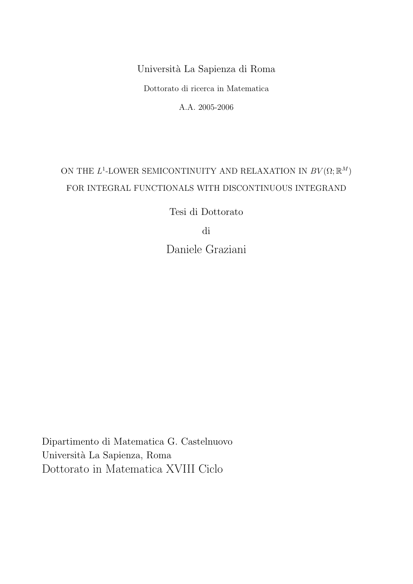## Universit`a La Sapienza di Roma

Dottorato di ricerca in Matematica

A.A. 2005-2006

## ON THE  $L^1$ -LOWER SEMICONTINUITY AND RELAXATION IN  $BV(\Omega;\mathbb{R}^M)$ FOR INTEGRAL FUNCTIONALS WITH DISCONTINUOUS INTEGRAND

Tesi di Dottorato

di

Daniele Graziani

Dipartimento di Matematica G. Castelnuovo Universit`a La Sapienza, Roma Dottorato in Matematica XVIII Ciclo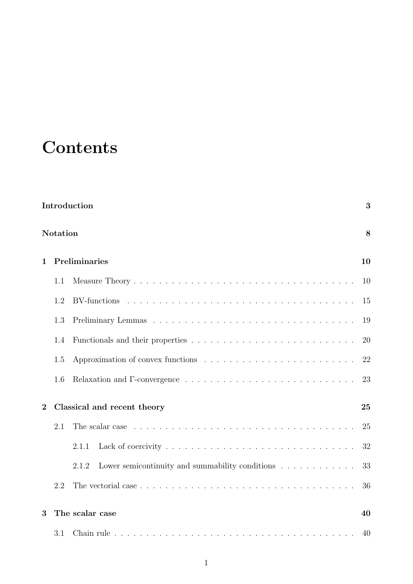# **Contents**

| Introduction<br>3 |                      |                                                                                                       |    |  |  |
|-------------------|----------------------|-------------------------------------------------------------------------------------------------------|----|--|--|
|                   | <b>Notation</b><br>8 |                                                                                                       |    |  |  |
| $\mathbf{1}$      |                      | Preliminaries                                                                                         |    |  |  |
|                   | 1.1                  |                                                                                                       | 10 |  |  |
|                   | 1.2                  |                                                                                                       | 15 |  |  |
|                   | 1.3                  |                                                                                                       | 19 |  |  |
|                   | 1.4                  |                                                                                                       | 20 |  |  |
|                   | 1.5                  |                                                                                                       | 22 |  |  |
|                   | 1.6                  |                                                                                                       | 23 |  |  |
| $\overline{2}$    |                      | Classical and recent theory                                                                           | 25 |  |  |
|                   | 2.1                  | The scalar case $\ldots \ldots \ldots \ldots \ldots \ldots \ldots \ldots \ldots \ldots \ldots \ldots$ | 25 |  |  |
|                   |                      | 2.1.1                                                                                                 | 32 |  |  |
|                   |                      | Lower semicontinuity and summability conditions $\ldots \ldots \ldots \ldots$<br>2.1.2                | 33 |  |  |
|                   | 2.2                  |                                                                                                       | 36 |  |  |
| 3                 | The scalar case      |                                                                                                       |    |  |  |
|                   | 3.1                  |                                                                                                       | 40 |  |  |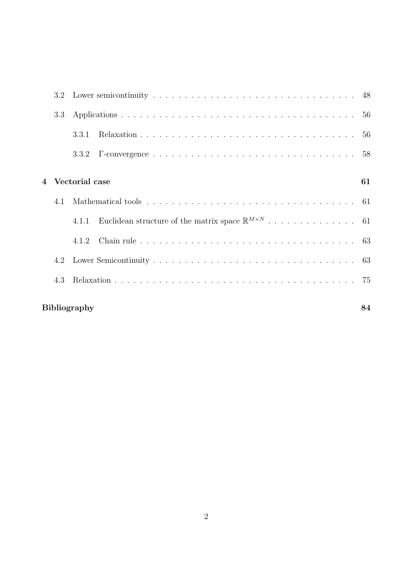|                | 3.3                |                |    |  |  |  |
|----------------|--------------------|----------------|----|--|--|--|
|                |                    | 3.3.1          |    |  |  |  |
|                |                    |                |    |  |  |  |
|                |                    |                |    |  |  |  |
| $\overline{4}$ |                    | Vectorial case | 61 |  |  |  |
|                | 4.1                |                |    |  |  |  |
|                |                    | 4.1.1          |    |  |  |  |
|                |                    |                |    |  |  |  |
|                |                    |                |    |  |  |  |
|                | 4.3                |                |    |  |  |  |
|                | Bibliography<br>84 |                |    |  |  |  |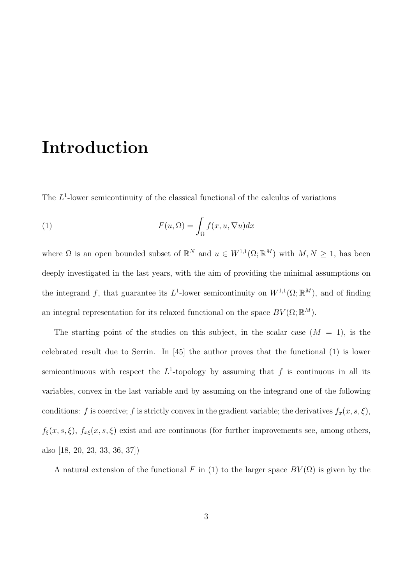# Introduction

The  $L^1$ -lower semicontinuity of the classical functional of the calculus of variations

(1) 
$$
F(u, \Omega) = \int_{\Omega} f(x, u, \nabla u) dx
$$

where  $\Omega$  is an open bounded subset of  $\mathbb{R}^N$  and  $u \in W^{1,1}(\Omega;\mathbb{R}^M)$  with  $M, N \geq 1$ , has been deeply investigated in the last years, with the aim of providing the minimal assumptions on the integrand f, that guarantee its  $L^1$ -lower semicontinuity on  $W^{1,1}(\Omega;\mathbb{R}^M)$ , and of finding an integral representation for its relaxed functional on the space  $BV(\Omega;\mathbb{R}^M)$ .

The starting point of the studies on this subject, in the scalar case  $(M = 1)$ , is the celebrated result due to Serrin. In [45] the author proves that the functional (1) is lower semicontinuous with respect the  $L^1$ -topology by assuming that f is continuous in all its variables, convex in the last variable and by assuming on the integrand one of the following conditions: f is coercive; f is strictly convex in the gradient variable; the derivatives  $f_x(x, s, \xi)$ ,  $f_{\xi}(x, s, \xi)$ ,  $f_{x\xi}(x, s, \xi)$  exist and are continuous (for further improvements see, among others, also [18, 20, 23, 33, 36, 37])

A natural extension of the functional F in (1) to the larger space  $BV(\Omega)$  is given by the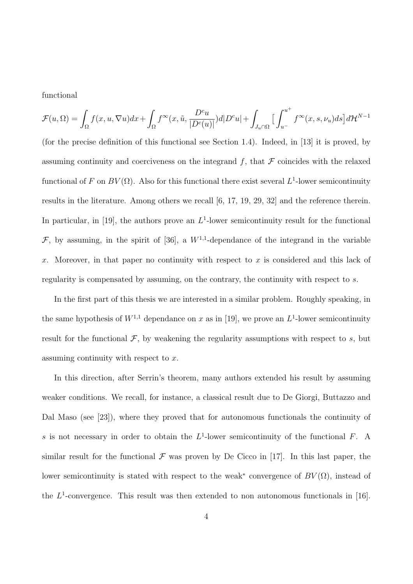functional

$$
\mathcal{F}(u,\Omega)=\int_{\Omega}f(x,u,\nabla u)dx+\int_{\Omega}f^{\infty}(x,\tilde{u},\frac{D^cu}{|D^c(u)|})d|D^cu|+\int_{J_u\cap\Omega}\Big[\int_{u^-}^{u^+}f^{\infty}(x,s,\nu_u)ds\Big]d\mathcal{H}^{N-1}
$$

(for the precise definition of this functional see Section 1.4). Indeed, in [13] it is proved, by assuming continuity and coerciveness on the integrand f, that  $\mathcal F$  coincides with the relaxed functional of F on  $BV(\Omega)$ . Also for this functional there exist several  $L^1$ -lower semicontinuity results in the literature. Among others we recall [6, 17, 19, 29, 32] and the reference therein. In particular, in [19], the authors prove an  $L^1$ -lower semicontinuity result for the functional  $\mathcal{F}$ , by assuming, in the spirit of [36], a  $W^{1,1}$ -dependance of the integrand in the variable x. Moreover, in that paper no continuity with respect to x is considered and this lack of regularity is compensated by assuming, on the contrary, the continuity with respect to s.

In the first part of this thesis we are interested in a similar problem. Roughly speaking, in the same hypothesis of  $W^{1,1}$  dependance on x as in [19], we prove an  $L^1$ -lower semicontinuity result for the functional  $\mathcal{F}$ , by weakening the regularity assumptions with respect to s, but assuming continuity with respect to  $x$ .

In this direction, after Serrin's theorem, many authors extended his result by assuming weaker conditions. We recall, for instance, a classical result due to De Giorgi, Buttazzo and Dal Maso (see [23]), where they proved that for autonomous functionals the continuity of s is not necessary in order to obtain the  $L^1$ -lower semicontinuity of the functional F. A similar result for the functional  $\mathcal F$  was proven by De Cicco in [17]. In this last paper, the lower semicontinuity is stated with respect to the weak<sup>\*</sup> convergence of  $BV(\Omega)$ , instead of the  $L^1$ -convergence. This result was then extended to non autonomous functionals in [16].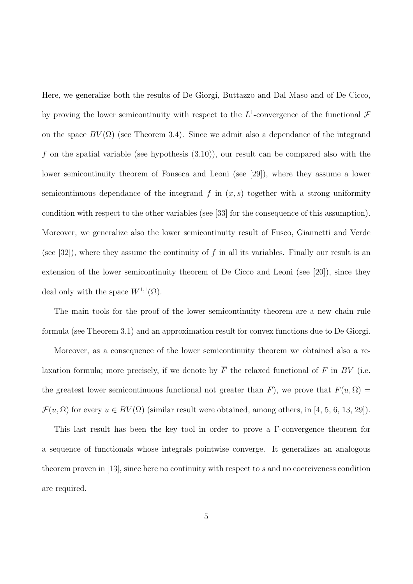Here, we generalize both the results of De Giorgi, Buttazzo and Dal Maso and of De Cicco, by proving the lower semicontinuity with respect to the  $L^1$ -convergence of the functional  $\mathcal F$ on the space  $BV(\Omega)$  (see Theorem 3.4). Since we admit also a dependance of the integrand f on the spatial variable (see hypothesis  $(3.10)$ ), our result can be compared also with the lower semicontinuity theorem of Fonseca and Leoni (see [29]), where they assume a lower semicontinuous dependance of the integrand f in  $(x, s)$  together with a strong uniformity condition with respect to the other variables (see [33] for the consequence of this assumption). Moreover, we generalize also the lower semicontinuity result of Fusco, Giannetti and Verde (see [32]), where they assume the continuity of f in all its variables. Finally our result is an extension of the lower semicontinuity theorem of De Cicco and Leoni (see [20]), since they deal only with the space  $W^{1,1}(\Omega)$ .

The main tools for the proof of the lower semicontinuity theorem are a new chain rule formula (see Theorem 3.1) and an approximation result for convex functions due to De Giorgi.

Moreover, as a consequence of the lower semicontinuity theorem we obtained also a relaxation formula; more precisely, if we denote by  $\overline{F}$  the relaxed functional of F in BV (i.e. the greatest lower semicontinuous functional not greater than F), we prove that  $\overline{F}(u, \Omega) =$  $\mathcal{F}(u, \Omega)$  for every  $u \in BV(\Omega)$  (similar result were obtained, among others, in [4, 5, 6, 13, 29]).

This last result has been the key tool in order to prove a Γ-convergence theorem for a sequence of functionals whose integrals pointwise converge. It generalizes an analogous theorem proven in  $[13]$ , since here no continuity with respect to s and no coerciveness condition are required.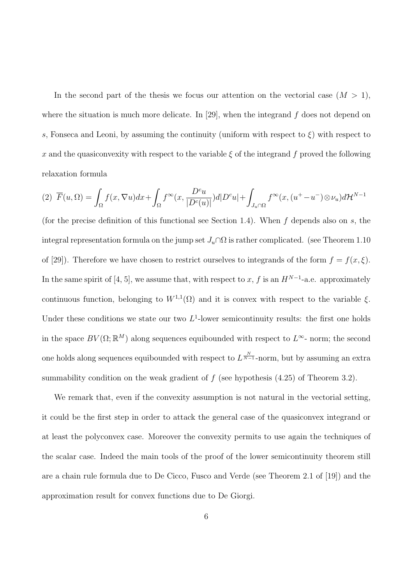In the second part of the thesis we focus our attention on the vectorial case  $(M > 1)$ , where the situation is much more delicate. In [29], when the integrand  $f$  does not depend on s, Fonseca and Leoni, by assuming the continuity (uniform with respect to  $\xi$ ) with respect to x and the quasiconvexity with respect to the variable  $\xi$  of the integrand f proved the following relaxation formula

$$
(2)\ \ \overline{F}(u,\Omega)=\int_{\Omega}f(x,\nabla u)dx+\int_{\Omega}f^{\infty}(x,\frac{D^cu}{|D^c(u)|})d|D^cu|+\int_{J_u\cap\Omega}f^{\infty}(x,(u^+-u^-)\otimes \nu_u)d\mathcal{H}^{N-1}
$$

(for the precise definition of this functional see Section 1.4). When  $f$  depends also on  $s$ , the integral representation formula on the jump set  $J_u \cap \Omega$  is rather complicated. (see Theorem 1.10 of [29]). Therefore we have chosen to restrict ourselves to integrands of the form  $f = f(x, \xi)$ . In the same spirit of [4, 5], we assume that, with respect to x, f is an  $H^{N-1}$ -a.e. approximately continuous function, belonging to  $W^{1,1}(\Omega)$  and it is convex with respect to the variable  $\xi$ . Under these conditions we state our two  $L^1$ -lower semicontinuity results: the first one holds in the space  $BV(\Omega;\mathbb{R}^M)$  along sequences equibounded with respect to  $L^{\infty}$ - norm; the second one holds along sequences equibounded with respect to  $L^{\frac{N}{N-1}}$ -norm, but by assuming an extra summability condition on the weak gradient of  $f$  (see hypothesis  $(4.25)$  of Theorem 3.2).

We remark that, even if the convexity assumption is not natural in the vectorial setting, it could be the first step in order to attack the general case of the quasiconvex integrand or at least the polyconvex case. Moreover the convexity permits to use again the techniques of the scalar case. Indeed the main tools of the proof of the lower semicontinuity theorem still are a chain rule formula due to De Cicco, Fusco and Verde (see Theorem 2.1 of [19]) and the approximation result for convex functions due to De Giorgi.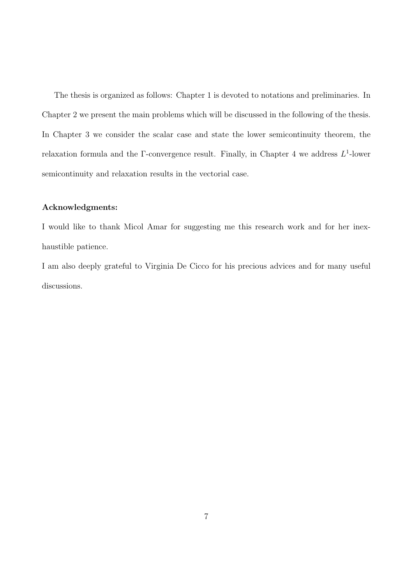The thesis is organized as follows: Chapter 1 is devoted to notations and preliminaries. In Chapter 2 we present the main problems which will be discussed in the following of the thesis. In Chapter 3 we consider the scalar case and state the lower semicontinuity theorem, the relaxation formula and the  $\Gamma$ -convergence result. Finally, in Chapter 4 we address  $L^1$ -lower semicontinuity and relaxation results in the vectorial case.

#### Acknowledgments:

I would like to thank Micol Amar for suggesting me this research work and for her inexhaustible patience.

I am also deeply grateful to Virginia De Cicco for his precious advices and for many useful discussions.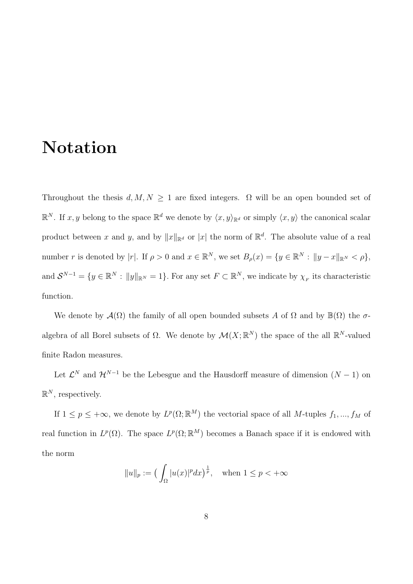# Notation

Throughout the thesis  $d, M, N \geq 1$  are fixed integers.  $\Omega$  will be an open bounded set of  $\mathbb{R}^N$ . If  $x, y$  belong to the space  $\mathbb{R}^d$  we denote by  $\langle x, y \rangle_{\mathbb{R}^d}$  or simply  $\langle x, y \rangle$  the canonical scalar product between x and y, and by  $||x||_{\mathbb{R}^d}$  or |x| the norm of  $\mathbb{R}^d$ . The absolute value of a real number r is denoted by |r|. If  $\rho > 0$  and  $x \in \mathbb{R}^N$ , we set  $B_\rho(x) = \{y \in \mathbb{R}^N : ||y - x||_{\mathbb{R}^N} < \rho\}$ , and  $\mathcal{S}^{N-1} = \{y \in \mathbb{R}^N : ||y||_{\mathbb{R}^N} = 1\}$ . For any set  $F \subset \mathbb{R}^N$ , we indicate by  $\chi_F$  its characteristic function.

We denote by  $\mathcal{A}(\Omega)$  the family of all open bounded subsets A of  $\Omega$  and by  $\mathbb{B}(\Omega)$  the  $\sigma$ algebra of all Borel subsets of  $\Omega$ . We denote by  $\mathcal{M}(X;\mathbb{R}^N)$  the space of the all  $\mathbb{R}^N$ -valued finite Radon measures.

Let  $\mathcal{L}^N$  and  $\mathcal{H}^{N-1}$  be the Lebesgue and the Hausdorff measure of dimension  $(N-1)$  on  $\mathbb{R}^N$ , respectively.

If  $1 \leq p \leq +\infty$ , we denote by  $L^p(\Omega;\mathbb{R}^M)$  the vectorial space of all M-tuples  $f_1, ..., f_M$  of real function in  $L^p(\Omega)$ . The space  $L^p(\Omega;\mathbb{R}^M)$  becomes a Banach space if it is endowed with the norm

$$
||u||_p := \left(\int_{\Omega} |u(x)|^p dx\right)^{\frac{1}{p}}, \quad \text{when } 1 \le p < +\infty
$$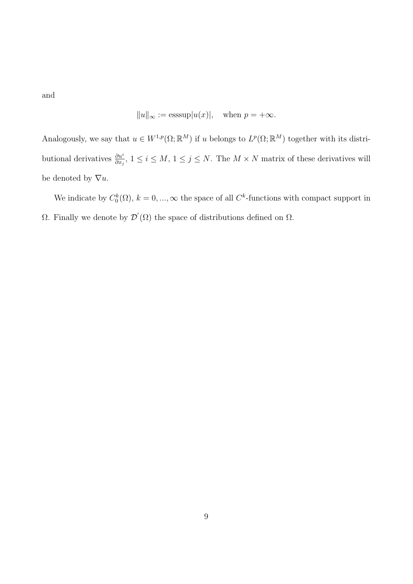and

$$
||u||_{\infty} := \operatorname{esssup} |u(x)|
$$
, when  $p = +\infty$ .

Analogously, we say that  $u \in W^{1,p}(\Omega;\mathbb{R}^M)$  if u belongs to  $L^p(\Omega;\mathbb{R}^M)$  together with its distributional derivatives  $\frac{\partial u^i}{\partial x_j}$ ,  $1 \le i \le M$ ,  $1 \le j \le N$ . The  $M \times N$  matrix of these derivatives will be denoted by  $\nabla u$ .

We indicate by  $C_0^k(\Omega)$ ,  $k = 0, ..., \infty$  the space of all  $C^k$ -functions with compact support in  $Ω$ . Finally we denote by  $\mathcal{D}'(Ω)$  the space of distributions defined on  $Ω$ .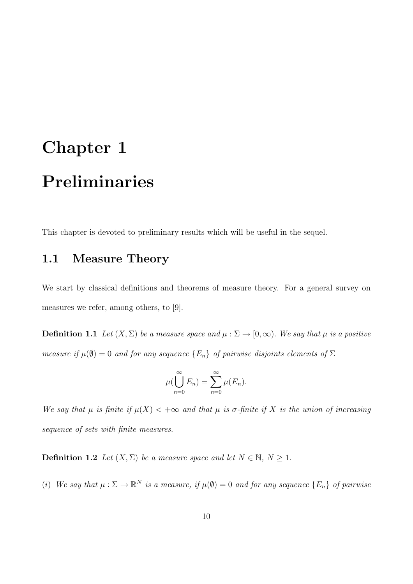# Chapter 1 Preliminaries

This chapter is devoted to preliminary results which will be useful in the sequel.

## 1.1 Measure Theory

We start by classical definitions and theorems of measure theory. For a general survey on measures we refer, among others, to [9].

**Definition 1.1** Let  $(X, \Sigma)$  be a measure space and  $\mu : \Sigma \to [0, \infty)$ . We say that  $\mu$  is a positive measure if  $\mu(\emptyset) = 0$  and for any sequence  $\{E_n\}$  of pairwise disjoints elements of  $\Sigma$ 

$$
\mu(\bigcup_{n=0}^{\infty} E_n) = \sum_{n=0}^{\infty} \mu(E_n).
$$

We say that  $\mu$  is finite if  $\mu(X) < +\infty$  and that  $\mu$  is  $\sigma$ -finite if X is the union of increasing sequence of sets with finite measures.

**Definition 1.2** Let  $(X, \Sigma)$  be a measure space and let  $N \in \mathbb{N}$ ,  $N \geq 1$ .

(i) We say that  $\mu : \Sigma \to \mathbb{R}^N$  is a measure, if  $\mu(\emptyset) = 0$  and for any sequence  $\{E_n\}$  of pairwise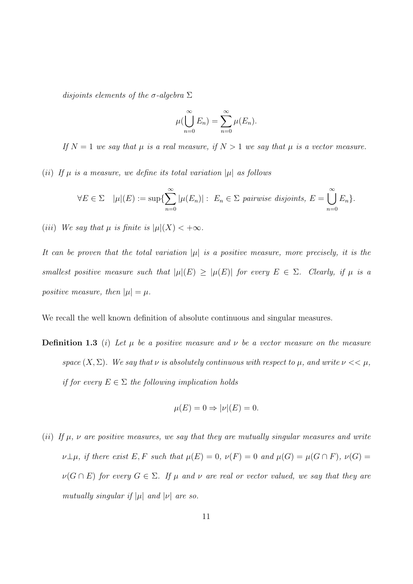disjoints elements of the  $\sigma$ -algebra  $\Sigma$ 

$$
\mu(\bigcup_{n=0}^{\infty} E_n) = \sum_{n=0}^{\infty} \mu(E_n).
$$

If  $N = 1$  we say that  $\mu$  is a real measure, if  $N > 1$  we say that  $\mu$  is a vector measure.

(ii) If  $\mu$  is a measure, we define its total variation  $|\mu|$  as follows

$$
\forall E \in \Sigma \quad |\mu|(E) := \sup \{ \sum_{n=0}^{\infty} |\mu(E_n)| : \ E_n \in \Sigma \text{ pairwise disjoint} s, \ E = \bigcup_{n=0}^{\infty} E_n \}.
$$

(iii) We say that  $\mu$  is finite is  $|\mu|(X) < +\infty$ .

It can be proven that the total variation  $|\mu|$  is a positive measure, more precisely, it is the smallest positive measure such that  $|\mu|(E) \geq |\mu(E)|$  for every  $E \in \Sigma$ . Clearly, if  $\mu$  is a positive measure, then  $|\mu| = \mu$ .

We recall the well known definition of absolute continuous and singular measures.

**Definition 1.3** (i) Let  $\mu$  be a positive measure and  $\nu$  be a vector measure on the measure space  $(X, \Sigma)$ . We say that  $\nu$  is absolutely continuous with respect to  $\mu$ , and write  $\nu << \mu$ , if for every  $E \in \Sigma$  the following implication holds

$$
\mu(E) = 0 \Rightarrow |\nu|(E) = 0.
$$

(ii) If  $\mu$ ,  $\nu$  are positive measures, we say that they are mutually singular measures and write  $\nu\bot\mu$ , if there exist E, F such that  $\mu(E) = 0$ ,  $\nu(F) = 0$  and  $\mu(G) = \mu(G \cap F)$ ,  $\nu(G) =$  $\nu(G \cap E)$  for every  $G \in \Sigma$ . If  $\mu$  and  $\nu$  are real or vector valued, we say that they are mutually singular if  $|\mu|$  and  $|\nu|$  are so.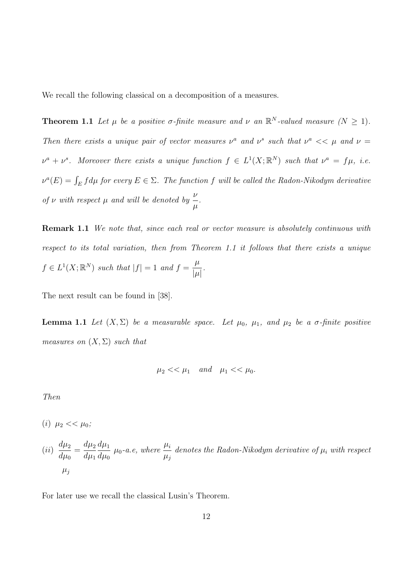We recall the following classical on a decomposition of a measures.

**Theorem 1.1** Let  $\mu$  be a positive  $\sigma$ -finite measure and  $\nu$  an  $\mathbb{R}^N$ -valued measure  $(N \geq 1)$ . Then there exists a unique pair of vector measures  $\nu^a$  and  $\nu^s$  such that  $\nu^a \ll \mu$  and  $\nu =$  $\nu^a + \nu^s$ . Moreover there exists a unique function  $f \in L^1(X; \mathbb{R}^N)$  such that  $\nu^a = f\mu$ , i.e.  $\nu^{a}(E) = \int_{E} f d\mu$  for every  $E \in \Sigma$ . The function f will be called the Radon-Nikodym derivative of v with respect  $\mu$  and will be denoted by  $\frac{\nu}{\tau}$  $\mu$ .

**Remark 1.1** We note that, since each real or vector measure is absolutely continuous with respect to its total variation, then from Theorem 1.1 it follows that there exists a unique  $f \in L^1(X; \mathbb{R}^N)$  such that  $|f| = 1$  and  $f = \frac{\mu}{h}$  $|\mu|$ .

The next result can be found in [38].

**Lemma 1.1** Let  $(X, \Sigma)$  be a measurable space. Let  $\mu_0$ ,  $\mu_1$ , and  $\mu_2$  be a  $\sigma$ -finite positive measures on  $(X, \Sigma)$  such that

$$
\mu_2<<\mu_1 \quad and \quad \mu_1<<\mu_0.
$$

Then

(*i*)  $\mu_2 \ll \mu_0$ ;

(ii) 
$$
\frac{d\mu_2}{d\mu_0} = \frac{d\mu_2}{d\mu_1} \frac{d\mu_1}{d\mu_0} \mu_0
$$
-a.e, where  $\frac{\mu_i}{\mu_j}$  denotes the Radon-Nikodym derivative of  $\mu_i$  with respect  $\mu_j$ 

For later use we recall the classical Lusin's Theorem.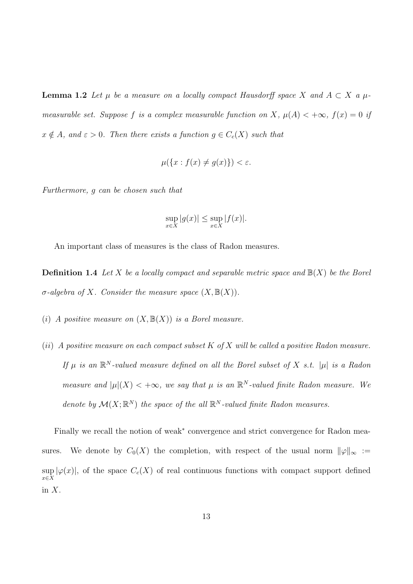**Lemma 1.2** Let  $\mu$  be a measure on a locally compact Hausdorff space X and  $A \subset X$  a  $\mu$ measurable set. Suppose f is a complex measurable function on X,  $\mu(A) < +\infty$ ,  $f(x) = 0$  if  $x \notin A$ , and  $\varepsilon > 0$ . Then there exists a function  $g \in C_c(X)$  such that

$$
\mu(\{x : f(x) \neq g(x)\}) < \varepsilon.
$$

Furthermore, g can be chosen such that

$$
\sup_{x \in X} |g(x)| \le \sup_{x \in X} |f(x)|.
$$

An important class of measures is the class of Radon measures.

**Definition 1.4** Let X be a locally compact and separable metric space and  $\mathbb{B}(X)$  be the Borel σ-algebra of X. Consider the measure space  $(X, \mathbb{B}(X))$ .

- (i) A positive measure on  $(X, \mathbb{B}(X))$  is a Borel measure.
- (ii) A positive measure on each compact subset  $K$  of  $X$  will be called a positive Radon measure. If  $\mu$  is an  $\mathbb{R}^N$ -valued measure defined on all the Borel subset of X s.t.  $|\mu|$  is a Radon measure and  $|\mu|(X) < +\infty$ , we say that  $\mu$  is an  $\mathbb{R}^N$ -valued finite Radon measure. We denote by  $\mathcal{M}(X;\mathbb{R}^N)$  the space of the all  $\mathbb{R}^N$ -valued finite Radon measures.

Finally we recall the notion of weak<sup>∗</sup> convergence and strict convergence for Radon measures. We denote by  $C_0(X)$  the completion, with respect of the usual norm  $\|\varphi\|_{\infty} :=$ sup  $\sup_{x\in X} |\varphi(x)|$ , of the space  $C_c(X)$  of real continuous functions with compact support defined in  $X$ .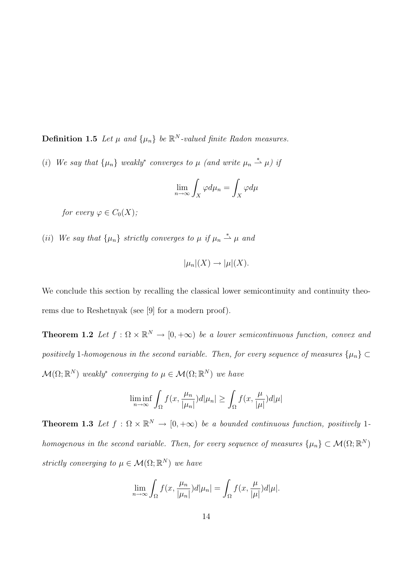**Definition 1.5** Let  $\mu$  and  $\{\mu_n\}$  be  $\mathbb{R}^N$ -valued finite Radon measures.

(i) We say that  $\{\mu_n\}$  weakly<sup>\*</sup> converges to  $\mu$  (and write  $\mu_n \stackrel{*}{\rightharpoonup} \mu$ ) if

$$
\lim_{n \to \infty} \int_X \varphi d\mu_n = \int_X \varphi d\mu
$$

for every  $\varphi \in C_0(X)$ ;

(ii) We say that  $\{\mu_n\}$  strictly converges to  $\mu$  if  $\mu_n \stackrel{*}{\rightharpoonup} \mu$  and

$$
|\mu_n|(X) \to |\mu|(X).
$$

We conclude this section by recalling the classical lower semicontinuity and continuity theorems due to Reshetnyak (see [9] for a modern proof).

**Theorem 1.2** Let  $f : \Omega \times \mathbb{R}^N \to [0, +\infty)$  be a lower semicontinuous function, convex and positively 1-homogenous in the second variable. Then, for every sequence of measures  $\{\mu_n\} \subset$  $\mathcal{M}(\Omega;\mathbb{R}^N)$  weakly<sup>\*</sup> converging to  $\mu \in \mathcal{M}(\Omega;\mathbb{R}^N)$  we have

$$
\liminf_{n \to \infty} \int_{\Omega} f(x, \frac{\mu_n}{|\mu_n|}) d|\mu_n| \ge \int_{\Omega} f(x, \frac{\mu}{|\mu|}) d|\mu|
$$

**Theorem 1.3** Let  $f : \Omega \times \mathbb{R}^N \to [0, +\infty)$  be a bounded continuous function, positively 1homogenous in the second variable. Then, for every sequence of measures  $\{\mu_n\} \subset \mathcal{M}(\Omega;\mathbb{R}^N)$ strictly converging to  $\mu \in \mathcal{M}(\Omega;\mathbb{R}^N)$  we have

$$
\lim_{n \to \infty} \int_{\Omega} f(x, \frac{\mu_n}{|\mu_n|}) d|\mu_n| = \int_{\Omega} f(x, \frac{\mu}{|\mu|}) d|\mu|.
$$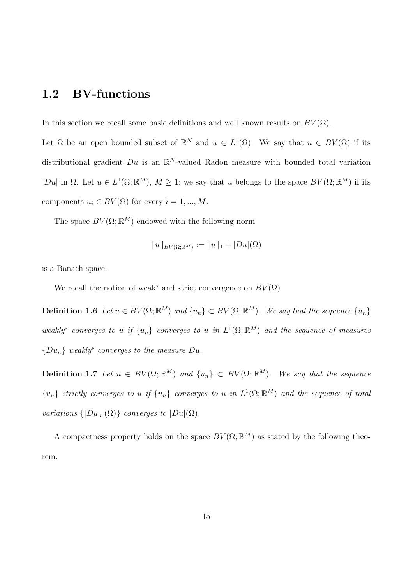## 1.2 BV-functions

In this section we recall some basic definitions and well known results on  $BV(\Omega)$ .

Let  $\Omega$  be an open bounded subset of  $\mathbb{R}^N$  and  $u \in L^1(\Omega)$ . We say that  $u \in BV(\Omega)$  if its distributional gradient  $Du$  is an  $\mathbb{R}^N$ -valued Radon measure with bounded total variation  $|Du|$  in  $\Omega$ . Let  $u \in L^1(\Omega;\mathbb{R}^M)$ ,  $M \geq 1$ ; we say that u belongs to the space  $BV(\Omega;\mathbb{R}^M)$  if its components  $u_i \in BV(\Omega)$  for every  $i = 1, ..., M$ .

The space  $BV(\Omega;\mathbb{R}^M)$  endowed with the following norm

$$
||u||_{BV(\Omega;\mathbb{R}^M)} := ||u||_1 + |Du|(\Omega)
$$

is a Banach space.

We recall the notion of weak<sup>\*</sup> and strict convergence on  $BV(\Omega)$ 

**Definition 1.6** Let  $u \in BV(\Omega;\mathbb{R}^M)$  and  $\{u_n\} \subset BV(\Omega;\mathbb{R}^M)$ . We say that the sequence  $\{u_n\}$ weakly<sup>\*</sup> converges to u if  $\{u_n\}$  converges to u in  $L^1(\Omega;\mathbb{R}^M)$  and the sequence of measures  ${D u_n}$  weakly<sup>\*</sup> converges to the measure Du.

**Definition 1.7** Let  $u \in BV(\Omega;\mathbb{R}^M)$  and  $\{u_n\} \subset BV(\Omega;\mathbb{R}^M)$ . We say that the sequence  ${u_n}$  strictly converges to u if  ${u_n}$  converges to u in  $L^1(\Omega;\mathbb{R}^M)$  and the sequence of total variations  $\{|Du_n|(\Omega)\}\)$  converges to  $|Du|(\Omega)$ .

A compactness property holds on the space  $BV(\Omega;\mathbb{R}^M)$  as stated by the following theorem.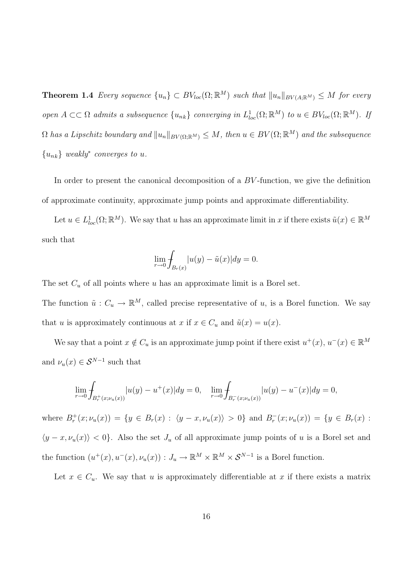**Theorem 1.4** Every sequence  $\{u_n\} \subset BV_{loc}(\Omega;\mathbb{R}^M)$  such that  $||u_n||_{BV(A;\mathbb{R}^M)} \leq M$  for every open  $A \subset\subset \Omega$  admits a subsequence  $\{u_{nk}\}$  converging in  $L_{loc}^1(\Omega;\mathbb{R}^M)$  to  $u \in BV_{loc}(\Omega;\mathbb{R}^M)$ . If  $\Omega$  has a Lipschitz boundary and  $||u_n||_{BV(\Omega;\mathbb{R}^M)} \leq M$ , then  $u \in BV(\Omega;\mathbb{R}^M)$  and the subsequence  ${u_{nk}}$  weakly<sup>\*</sup> converges to u.

In order to present the canonical decomposition of a BV -function, we give the definition of approximate continuity, approximate jump points and approximate differentiability.

Let  $u \in L^1_{loc}(\Omega;\mathbb{R}^M)$ . We say that u has an approximate limit in x if there exists  $\tilde{u}(x) \in \mathbb{R}^M$ such that

$$
\lim_{r \to 0} \int_{B_r(x)} |u(y) - \tilde{u}(x)| dy = 0.
$$

The set  $C_u$  of all points where u has an approximate limit is a Borel set.

The function  $\tilde{u}: C_u \to \mathbb{R}^M$ , called precise representative of u, is a Borel function. We say that u is approximately continuous at x if  $x \in C_u$  and  $\tilde{u}(x) = u(x)$ .

We say that a point  $x \notin C_u$  is an approximate jump point if there exist  $u^+(x), u^-(x) \in \mathbb{R}^M$ and  $\nu_u(x) \in \mathcal{S}^{N-1}$  such that

$$
\lim_{r \to 0} \int_{B_r^+(x; \nu_u(x))} |u(y) - u^+(x)| dy = 0, \quad \lim_{r \to 0} \int_{B_r^-(x; \nu_u(x))} |u(y) - u^-(x)| dy = 0,
$$

where  $B_r^+(x; \nu_u(x)) = \{y \in B_r(x) : \langle y - x, \nu_u(x) \rangle > 0\}$  and  $B_r^-(x; \nu_u(x)) = \{y \in B_r(x) :$  $\langle y - x, \nu_u(x) \rangle$  < 0}. Also the set  $J_u$  of all approximate jump points of u is a Borel set and the function  $(u^+(x), u^-(x), \nu_u(x)) : J_u \to \mathbb{R}^M \times \mathbb{R}^M \times S^{N-1}$  is a Borel function.

Let  $x \in C_u$ . We say that u is approximately differentiable at x if there exists a matrix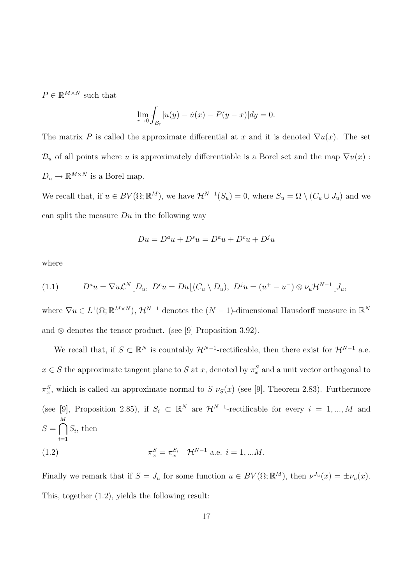$P \in \mathbb{R}^{M \times N}$  such that

$$
\lim_{r \to 0} \int_{B_r} |u(y) - \tilde{u}(x) - P(y - x)| dy = 0.
$$

The matrix P is called the approximate differential at x and it is denoted  $\nabla u(x)$ . The set  $\mathcal{D}_u$  of all points where u is approximately differentiable is a Borel set and the map  $\nabla u(x)$ :  $D_u \to \mathbb{R}^{M \times N}$  is a Borel map.

We recall that, if  $u \in BV(\Omega;\mathbb{R}^M)$ , we have  $\mathcal{H}^{N-1}(S_u) = 0$ , where  $S_u = \Omega \setminus (C_u \cup J_u)$  and we can split the measure  $Du$  in the following way

$$
Du = D^a u + D^s u = D^a u + D^c u + D^j u
$$

where

(1.1) 
$$
D^a u = \nabla u \mathcal{L}^N \big[ D_u, \ D^c u = D u \big[ (C_u \setminus D_u), \ D^j u = (u^+ - u^-) \otimes \nu_u \mathcal{H}^{N-1} \big] J_u,
$$

where  $\nabla u \in L^1(\Omega;\mathbb{R}^{M\times N}), \mathcal{H}^{N-1}$  denotes the  $(N-1)$ -dimensional Hausdorff measure in  $\mathbb{R}^N$ and  $\otimes$  denotes the tensor product. (see [9] Proposition 3.92).

We recall that, if  $S \subset \mathbb{R}^N$  is countably  $\mathcal{H}^{N-1}$ -rectificable, then there exist for  $\mathcal{H}^{N-1}$  a.e.  $x \in S$  the approximate tangent plane to S at x, denoted by  $\pi_x^S$  and a unit vector orthogonal to  $\pi_x^S$ , which is called an approximate normal to S  $\nu_S(x)$  (see [9], Theorem 2.83). Furthermore (see [9], Proposition 2.85), if  $S_i \subset \mathbb{R}^N$  are  $\mathcal{H}^{N-1}$ -rectificable for every  $i = 1, ..., M$  and  $S =$  $\overline{\mathcal{M}}$  $i=1$  $S_i$ , then

(1.2) 
$$
\pi_x^S = \pi_x^{S_i} \quad \mathcal{H}^{N-1} \text{ a.e. } i = 1, ... M.
$$

Finally we remark that if  $S = J_u$  for some function  $u \in BV(\Omega;\mathbb{R}^M)$ , then  $\nu^{J_u}(x) = \pm \nu_u(x)$ . This, together (1.2), yields the following result: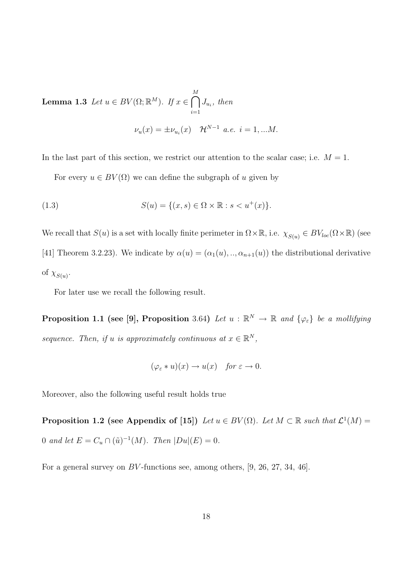**Lemma 1.3** Let  $u \in BV(\Omega;\mathbb{R}^M)$ . If  $x \in$  $\overline{\mathcal{L}}$  $i=1$  $J_{u_i}$ , then  $\nu_u(x) = \pm \nu_{u_i}(x)$   $\mathcal{H}^{N-1}$  a.e.  $i = 1, ...M$ .

In the last part of this section, we restrict our attention to the scalar case; i.e.  $M = 1$ .

For every  $u \in BV(\Omega)$  we can define the subgraph of u given by

(1.3) 
$$
S(u) = \{(x, s) \in \Omega \times \mathbb{R} : s < u^+(x)\}.
$$

We recall that  $S(u)$  is a set with locally finite perimeter in  $\Omega \times \mathbb{R}$ , i.e.  $\chi_{S(u)} \in BV_{loc}(\Omega \times \mathbb{R})$  (see [41] Theorem 3.2.23). We indicate by  $\alpha(u) = (\alpha_1(u), ..., \alpha_{n+1}(u))$  the distributional derivative of  $\chi_{S(u)}$ .

For later use we recall the following result.

**Proposition 1.1 (see [9], Proposition** 3.64) Let  $u : \mathbb{R}^N \to \mathbb{R}$  and  $\{\varphi_{\varepsilon}\}\$  be a mollifying sequence. Then, if u is approximately continuous at  $x \in \mathbb{R}^N$ ,

$$
(\varphi_{\varepsilon} * u)(x) \to u(x) \quad \text{for } \varepsilon \to 0.
$$

Moreover, also the following useful result holds true

**Proposition 1.2** (see Appendix of [15]) Let  $u \in BV(\Omega)$ . Let  $M \subset \mathbb{R}$  such that  $\mathcal{L}^1(M) =$ 0 and let  $E = C_u \cap (\tilde{u})^{-1}(M)$ . Then  $|Du|(E) = 0$ .

For a general survey on BV -functions see, among others, [9, 26, 27, 34, 46].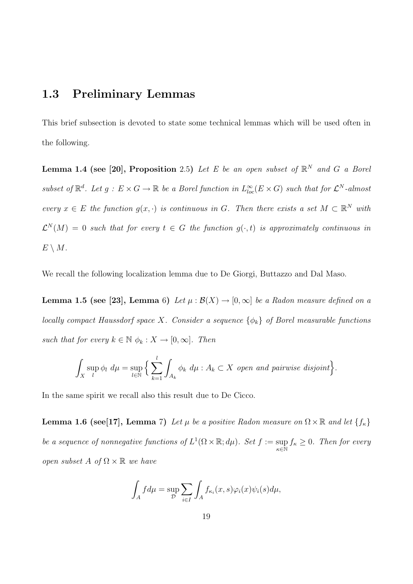#### 1.3 Preliminary Lemmas

This brief subsection is devoted to state some technical lemmas which will be used often in the following.

**Lemma 1.4 (see [20], Proposition** 2.5) Let E be an open subset of  $\mathbb{R}^N$  and G a Borel subset of  $\mathbb{R}^d$ . Let  $g: E \times G \to \mathbb{R}$  be a Borel function in  $L^{\infty}_{loc}(E \times G)$  such that for  $\mathcal{L}^N$ -almost every  $x \in E$  the function  $g(x, \cdot)$  is continuous in G. Then there exists a set  $M \subset \mathbb{R}^N$  with  $\mathcal{L}^N(M) = 0$  such that for every  $t \in G$  the function  $g(\cdot,t)$  is approximately continuous in  $E \setminus M$ .

We recall the following localization lemma due to De Giorgi, Buttazzo and Dal Maso.

Lemma 1.5 (see [23], Lemma 6) Let  $\mu : \mathcal{B}(X) \to [0,\infty]$  be a Radon measure defined on a locally compact Haussdorf space X. Consider a sequence  $\{\phi_k\}$  of Borel measurable functions such that for every  $k \in \mathbb{N}$   $\phi_k : X \to [0, \infty]$ . Then

$$
\int_X \sup_l \phi_l \ d\mu = \sup_{l \in \mathbb{N}} \Big\{ \sum_{k=1}^l \int_{A_k} \phi_k \ d\mu : A_k \subset X \text{ open and pairwise disjoint} \Big\}.
$$

In the same spirit we recall also this result due to De Cicco.

**Lemma 1.6 (see[17], Lemma** 7) Let  $\mu$  be a positive Radon measure on  $\Omega \times \mathbb{R}$  and let  $\{f_{\kappa}\}\$ be a sequence of nonnegative functions of  $L^1(\Omega \times \mathbb{R}; d\mu)$ . Set  $f := \sup$ κ∈N  $f_{\kappa} \geq 0$ . Then for every open subset A of  $\Omega \times \mathbb{R}$  we have

$$
\int_A f d\mu = \sup_{\mathcal{D}} \sum_{i \in I} \int_A f_{\kappa_i}(x, s) \varphi_i(x) \psi_i(s) d\mu,
$$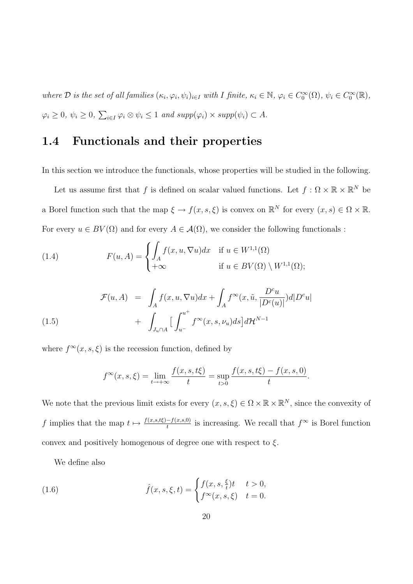where  $\mathcal D$  is the set of all families  $(\kappa_i, \varphi_i, \psi_i)_{i \in I}$  with I finite,  $\kappa_i \in \mathbb N$ ,  $\varphi_i \in C_0^{\infty}(\Omega)$ ,  $\psi_i \in C_0^{\infty}(\mathbb R)$ ,  $\varphi_i \geq 0, \psi_i \geq 0,$  $\overline{ }$  $i \in I \varphi_i \otimes \psi_i \leq 1$  and  $supp(\varphi_i) \times supp(\psi_i) \subset A$ .

#### 1.4 Functionals and their properties

In this section we introduce the functionals, whose properties will be studied in the following.

Let us assume first that f is defined on scalar valued functions. Let  $f: \Omega \times \mathbb{R} \times \mathbb{R}^N$  be a Borel function such that the map  $\xi \to f(x, s, \xi)$  is convex on  $\mathbb{R}^N$  for every  $(x, s) \in \Omega \times \mathbb{R}$ . For every  $u \in BV(\Omega)$  and for every  $A \in \mathcal{A}(\Omega)$ , we consider the following functionals :

(1.4) 
$$
F(u, A) = \begin{cases} \int_A f(x, u, \nabla u) dx & \text{if } u \in W^{1,1}(\Omega) \\ +\infty & \text{if } u \in BV(\Omega) \setminus W^{1,1}(\Omega); \end{cases}
$$

(1.5) 
$$
\mathcal{F}(u, A) = \int_A f(x, u, \nabla u) dx + \int_A f^{\infty}(x, \tilde{u}, \frac{D^c u}{|D^c(u)|}) d|D^c u| + \int_{J_u \cap A} \left[ \int_{u^-}^{u^+} f^{\infty}(x, s, \nu_u) ds \right] d\mathcal{H}^{N-1}
$$

where  $f^{\infty}(x, s, \xi)$  is the recession function, defined by

$$
f^{\infty}(x, s, \xi) = \lim_{t \to +\infty} \frac{f(x, s, t\xi)}{t} = \sup_{t > 0} \frac{f(x, s, t\xi) - f(x, s, 0)}{t}.
$$

We note that the previous limit exists for every  $(x, s, \xi) \in \Omega \times \mathbb{R} \times \mathbb{R}^N$ , since the convexity of f implies that the map  $t \mapsto \frac{f(x,s,t\xi)-f(x,s,0)}{t}$  is increasing. We recall that  $f^{\infty}$  is Borel function convex and positively homogenous of degree one with respect to  $\xi$ .

We define also

(1.6) 
$$
\hat{f}(x, s, \xi, t) = \begin{cases} f(x, s, \frac{\xi}{t})t & t > 0, \\ f^{\infty}(x, s, \xi) & t = 0. \end{cases}
$$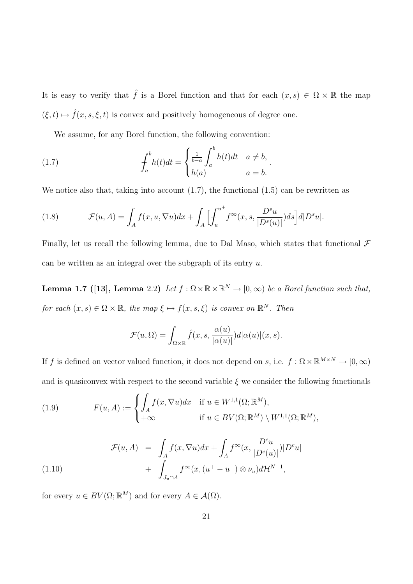It is easy to verify that  $\hat{f}$  is a Borel function and that for each  $(x, s) \in \Omega \times \mathbb{R}$  the map  $(\xi, t) \mapsto \hat{f}(x, s, \xi, t)$  is convex and positively homogeneous of degree one.

We assume, for any Borel function, the following convention:

(1.7) 
$$
\int_a^b h(t)dt = \begin{cases} \frac{1}{b-a} \int_a^b h(t)dt & a \neq b, \\ h(a) & a = b. \end{cases}
$$

We notice also that, taking into account  $(1.7)$ , the functional  $(1.5)$  can be rewritten as

(1.8) 
$$
\mathcal{F}(u, A) = \int_A f(x, u, \nabla u) dx + \int_A \Big[ \int_{u^-}^{u^+} f^{\infty}(x, s, \frac{D^s u}{|D^s(u)|}) ds \Big] d|D^s u|.
$$

Finally, let us recall the following lemma, due to Dal Maso, which states that functional  $\mathcal F$ can be written as an integral over the subgraph of its entry  $u$ .

**Lemma 1.7** ([13], Lemma 2.2) Let  $f : \Omega \times \mathbb{R} \times \mathbb{R}^N \to [0, \infty)$  be a Borel function such that, for each  $(x, s) \in \Omega \times \mathbb{R}$ , the map  $\xi \mapsto f(x, s, \xi)$  is convex on  $\mathbb{R}^N$ . Then

$$
\mathcal{F}(u,\Omega) = \int_{\Omega \times \mathbb{R}} \hat{f}(x,s,\frac{\alpha(u)}{|\alpha(u)|})d|\alpha(u)|(x,s).
$$

If f is defined on vector valued function, it does not depend on s, i.e.  $f : \Omega \times \mathbb{R}^{M \times N} \to [0, \infty)$ and is quasiconvex with respect to the second variable  $\xi$  we consider the following functionals

(1.9) 
$$
F(u, A) := \begin{cases} \int_A f(x, \nabla u) dx & \text{if } u \in W^{1,1}(\Omega; \mathbb{R}^M), \\ +\infty & \text{if } u \in BV(\Omega; \mathbb{R}^M) \setminus W^{1,1}(\Omega; \mathbb{R}^M), \end{cases}
$$

(1.10) 
$$
\mathcal{F}(u, A) = \int_A f(x, \nabla u) dx + \int_A f^{\infty}(x, \frac{D^c u}{|D^c(u)|}) |D^c u| + \int_{J_u \cap A} f^{\infty}(x, (u^+ - u^-) \otimes \nu_u) d\mathcal{H}^{N-1},
$$

for every  $u \in BV(\Omega;\mathbb{R}^M)$  and for every  $A \in \mathcal{A}(\Omega)$ .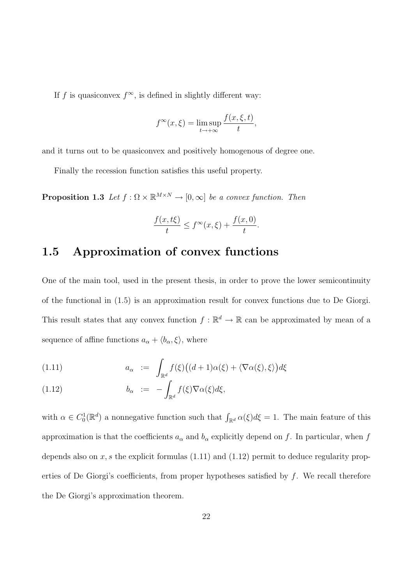If f is quasiconvex  $f^{\infty}$ , is defined in slightly different way:

$$
f^{\infty}(x,\xi) = \limsup_{t \to +\infty} \frac{f(x,\xi,t)}{t},
$$

and it turns out to be quasiconvex and positively homogenous of degree one.

Finally the recession function satisfies this useful property.

**Proposition 1.3** Let  $f : \Omega \times \mathbb{R}^{M \times N} \to [0, \infty]$  be a convex function. Then

$$
\frac{f(x,t\xi)}{t} \le f^\infty(x,\xi) + \frac{f(x,0)}{t}.
$$

#### 1.5 Approximation of convex functions

One of the main tool, used in the present thesis, in order to prove the lower semicontinuity of the functional in (1.5) is an approximation result for convex functions due to De Giorgi. This result states that any convex function  $f : \mathbb{R}^d \to \mathbb{R}$  can be approximated by mean of a sequence of affine functions  $a_{\alpha} + \langle b_{\alpha}, \xi \rangle$ , where

(1.11) 
$$
a_{\alpha} := \int_{\mathbb{R}^d} f(\xi) \big( (d+1) \alpha(\xi) + \langle \nabla \alpha(\xi), \xi \rangle \big) d\xi
$$

(1.12) 
$$
b_{\alpha} := - \int_{\mathbb{R}^d} f(\xi) \nabla \alpha(\xi) d\xi,
$$

with  $\alpha \in C_0^1(\mathbb{R}^d)$  a nonnegative function such that  $\int_{\mathbb{R}^d} \alpha(\xi) d\xi = 1$ . The main feature of this approximation is that the coefficients  $a_{\alpha}$  and  $b_{\alpha}$  explicitly depend on f. In particular, when f depends also on  $x, s$  the explicit formulas (1.11) and (1.12) permit to deduce regularity properties of De Giorgi's coefficients, from proper hypotheses satisfied by  $f$ . We recall therefore the De Giorgi's approximation theorem.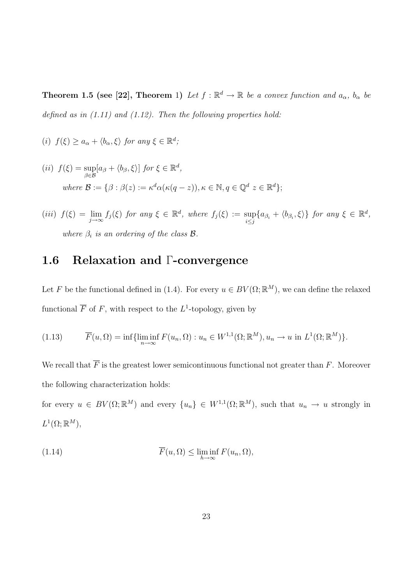**Theorem 1.5 (see [22], Theorem** 1) Let  $f : \mathbb{R}^d \to \mathbb{R}$  be a convex function and  $a_\alpha$ ,  $b_\alpha$  be defined as in  $(1.11)$  and  $(1.12)$ . Then the following properties hold:

- (i)  $f(\xi) \ge a_{\alpha} + \langle b_{\alpha}, \xi \rangle$  for any  $\xi \in \mathbb{R}^d$ ;
- $(ii) f(\xi) = \sup$ β∈B  $[a_{\beta} + \langle b_{\beta}, \xi \rangle]$  for  $\xi \in \mathbb{R}^d$ , where  $\mathcal{B} := \{ \beta : \beta(z) := \kappa^d \alpha(\kappa(q-z)), \kappa \in \mathbb{N}, q \in \mathbb{Q}^d \; z \in \mathbb{R}^d \};$
- (iii)  $f(\xi) = \lim_{j \to \infty} f_j(\xi)$  for any  $\xi \in \mathbb{R}^d$ , where  $f_j(\xi) := \sup_{i \leq j} \{a_{\beta_i} + \langle b_{\beta_i}, \xi \rangle\}$  for any  $\xi \in \mathbb{R}^d$ , where  $\beta_i$  is an ordering of the class **B**.

## 1.6 Relaxation and Γ-convergence

Let F be the functional defined in (1.4). For every  $u \in BV(\Omega;\mathbb{R}^M)$ , we can define the relaxed functional  $\overline{F}$  of F, with respect to the L<sup>1</sup>-topology, given by

(1.13) 
$$
\overline{F}(u,\Omega) = \inf \{ \liminf_{n \to \infty} F(u_n,\Omega) : u_n \in W^{1,1}(\Omega; \mathbb{R}^M), u_n \to u \text{ in } L^1(\Omega; \mathbb{R}^M) \}.
$$

We recall that  $\overline{F}$  is the greatest lower semicontinuous functional not greater than  $F$ . Moreover the following characterization holds:

for every  $u \in BV(\Omega;\mathbb{R}^M)$  and every  $\{u_n\} \in W^{1,1}(\Omega;\mathbb{R}^M)$ , such that  $u_n \to u$  strongly in  $L^1(\Omega;\mathbb{R}^M),$ 

(1.14) 
$$
\overline{F}(u,\Omega) \le \liminf_{h \to \infty} F(u_n,\Omega),
$$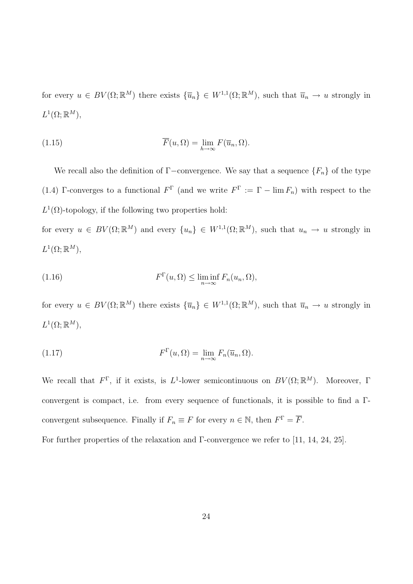for every  $u \in BV(\Omega;\mathbb{R}^M)$  there exists  $\{\overline{u}_n\} \in W^{1,1}(\Omega;\mathbb{R}^M)$ , such that  $\overline{u}_n \to u$  strongly in  $L^1(\Omega;\mathbb{R}^M)$ ,

(1.15) 
$$
\overline{F}(u,\Omega) = \lim_{h \to \infty} F(\overline{u}_n,\Omega).
$$

We recall also the definition of  $\Gamma$ −convergence. We say that a sequence  $\{F_n\}$  of the type (1.4) Γ-converges to a functional  $F^{\Gamma}$  (and we write  $F^{\Gamma} := \Gamma - \lim F_n$ ) with respect to the  $L^1(\Omega)$ -topology, if the following two properties hold:

for every  $u \in BV(\Omega;\mathbb{R}^M)$  and every  $\{u_n\} \in W^{1,1}(\Omega;\mathbb{R}^M)$ , such that  $u_n \to u$  strongly in  $L^1(\Omega;\mathbb{R}^M)$ ,

(1.16) 
$$
F^{\Gamma}(u,\Omega) \leq \liminf_{n \to \infty} F_n(u_n,\Omega),
$$

for every  $u \in BV(\Omega;\mathbb{R}^M)$  there exists  $\{\overline{u}_n\} \in W^{1,1}(\Omega;\mathbb{R}^M)$ , such that  $\overline{u}_n \to u$  strongly in  $L^1(\Omega;\mathbb{R}^M)$ ,

(1.17) 
$$
F^{\Gamma}(u,\Omega) = \lim_{n \to \infty} F_n(\overline{u}_n,\Omega).
$$

We recall that  $F^{\Gamma}$ , if it exists, is  $L^{1}$ -lower semicontinuous on  $BV(\Omega;\mathbb{R}^{M})$ . Moreover,  $\Gamma$ convergent is compact, i.e. from every sequence of functionals, it is possible to find a Γconvergent subsequence. Finally if  $F_n \equiv F$  for every  $n \in \mathbb{N}$ , then  $F^{\Gamma} = \overline{F}$ .

For further properties of the relaxation and Γ-convergence we refer to [11, 14, 24, 25].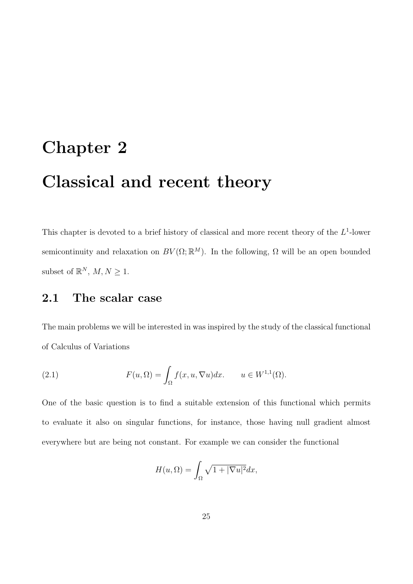# Chapter 2

# Classical and recent theory

This chapter is devoted to a brief history of classical and more recent theory of the  $L^1$ -lower semicontinuity and relaxation on  $BV(\Omega;\mathbb{R}^M)$ . In the following,  $\Omega$  will be an open bounded subset of  $\mathbb{R}^N$ ,  $M, N \geq 1$ .

#### 2.1 The scalar case

The main problems we will be interested in was inspired by the study of the classical functional of Calculus of Variations

(2.1) 
$$
F(u, \Omega) = \int_{\Omega} f(x, u, \nabla u) dx. \qquad u \in W^{1,1}(\Omega).
$$

One of the basic question is to find a suitable extension of this functional which permits to evaluate it also on singular functions, for instance, those having null gradient almost everywhere but are being not constant. For example we can consider the functional

$$
H(u,\Omega) = \int_{\Omega} \sqrt{1 + |\nabla u|^2} dx,
$$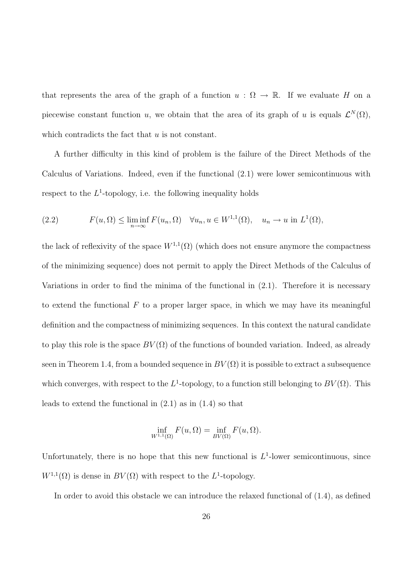that represents the area of the graph of a function  $u : \Omega \to \mathbb{R}$ . If we evaluate H on a piecewise constant function u, we obtain that the area of its graph of u is equals  $\mathcal{L}^N(\Omega)$ , which contradicts the fact that  $u$  is not constant.

A further difficulty in this kind of problem is the failure of the Direct Methods of the Calculus of Variations. Indeed, even if the functional (2.1) were lower semicontinuous with respect to the  $L^1$ -topology, i.e. the following inequality holds

(2.2) 
$$
F(u, \Omega) \le \liminf_{n \to \infty} F(u_n, \Omega) \quad \forall u_n, u \in W^{1,1}(\Omega), \quad u_n \to u \text{ in } L^1(\Omega),
$$

the lack of reflexivity of the space  $W^{1,1}(\Omega)$  (which does not ensure anymore the compactness of the minimizing sequence) does not permit to apply the Direct Methods of the Calculus of Variations in order to find the minima of the functional in  $(2.1)$ . Therefore it is necessary to extend the functional  $F$  to a proper larger space, in which we may have its meaningful definition and the compactness of minimizing sequences. In this context the natural candidate to play this role is the space  $BV(\Omega)$  of the functions of bounded variation. Indeed, as already seen in Theorem 1.4, from a bounded sequence in  $BV(\Omega)$  it is possible to extract a subsequence which converges, with respect to the  $L^1$ -topology, to a function still belonging to  $BV(\Omega)$ . This leads to extend the functional in  $(2.1)$  as in  $(1.4)$  so that

$$
\inf_{W^{1,1}(\Omega)} F(u,\Omega) = \inf_{BV(\Omega)} F(u,\Omega).
$$

Unfortunately, there is no hope that this new functional is  $L^1$ -lower semicontinuous, since  $W^{1,1}(\Omega)$  is dense in  $BV(\Omega)$  with respect to the  $L^1$ -topology.

In order to avoid this obstacle we can introduce the relaxed functional of (1.4), as defined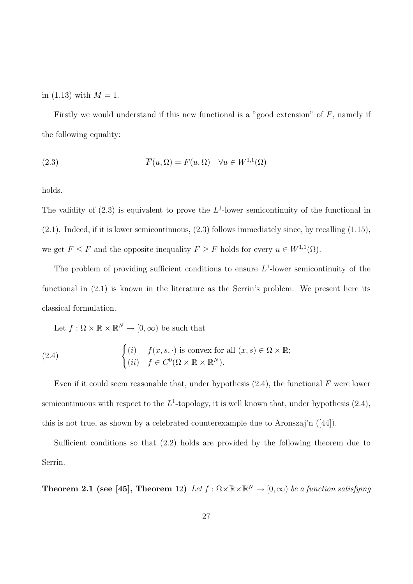in (1.13) with  $M = 1$ .

Firstly we would understand if this new functional is a "good extension" of  $F$ , namely if the following equality:

(2.3) 
$$
\overline{F}(u,\Omega) = F(u,\Omega) \quad \forall u \in W^{1,1}(\Omega)
$$

holds.

The validity of  $(2.3)$  is equivalent to prove the  $L^1$ -lower semicontinuity of the functional in  $(2.1)$ . Indeed, if it is lower semicontinuous,  $(2.3)$  follows immediately since, by recalling  $(1.15)$ , we get  $F \leq \overline{F}$  and the opposite inequality  $F \geq \overline{F}$  holds for every  $u \in W^{1,1}(\Omega)$ .

The problem of providing sufficient conditions to ensure  $L^1$ -lower semicontinuity of the functional in (2.1) is known in the literature as the Serrin's problem. We present here its classical formulation.

Let  $f : \Omega \times \mathbb{R} \times \mathbb{R}^N \to [0, \infty)$  be such that

(2.4) 
$$
\begin{cases} (i) & f(x, s, \cdot) \text{ is convex for all } (x, s) \in \Omega \times \mathbb{R}; \\ (ii) & f \in C^{0}(\Omega \times \mathbb{R} \times \mathbb{R}^{N}). \end{cases}
$$

Even if it could seem reasonable that, under hypothesis  $(2.4)$ , the functional F were lower semicontinuous with respect to the  $L^1$ -topology, it is well known that, under hypothesis  $(2.4)$ , this is not true, as shown by a celebrated counterexample due to Aronszaj'n ([44]).

Sufficient conditions so that (2.2) holds are provided by the following theorem due to Serrin.

**Theorem 2.1 (see [45], Theorem** 12) Let  $f : \Omega \times \mathbb{R} \times \mathbb{R}^N \to [0, \infty)$  be a function satisfying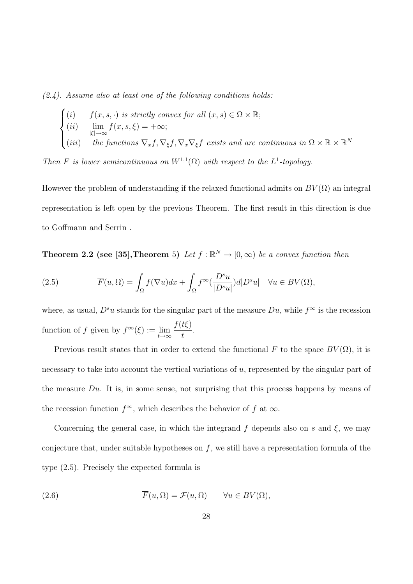$(2.4)$ . Assume also at least one of the following conditions holds:

$$
\begin{cases}\n(i) & f(x, s, \cdot) \text{ is strictly convex for all } (x, s) \in \Omega \times \mathbb{R}; \\
(ii) & \lim_{|\xi| \to \infty} f(x, s, \xi) = +\infty; \\
(iii) & the functions \nabla_x f, \nabla_{\xi} f, \nabla_x \nabla_{\xi} f \text{ exists and are continuous in } \Omega \times \mathbb{R} \times \mathbb{R}^N\n\end{cases}
$$

Then F is lower semicontinuous on  $W^{1,1}(\Omega)$  with respect to the  $L^1$ -topology.

However the problem of understanding if the relaxed functional admits on  $BV(\Omega)$  an integral representation is left open by the previous Theorem. The first result in this direction is due to Goffmann and Serrin .

**Theorem 2.2 (see [35], Theorem** 5) Let  $f : \mathbb{R}^N \to [0, \infty)$  be a convex function then

(2.5) 
$$
\overline{F}(u,\Omega) = \int_{\Omega} f(\nabla u) dx + \int_{\Omega} f^{\infty}(\frac{D^s u}{|D^s u|}) d|D^s u| \quad \forall u \in BV(\Omega),
$$

where, as usual,  $D^s u$  stands for the singular part of the measure  $Du$ , while  $f^{\infty}$  is the recession function of f given by  $f^{\infty}(\xi) := \lim_{t \to \infty} \frac{f(t\xi)}{t}$ t .

Previous result states that in order to extend the functional F to the space  $BV(\Omega)$ , it is necessary to take into account the vertical variations of  $u$ , represented by the singular part of the measure  $Du$ . It is, in some sense, not surprising that this process happens by means of the recession function  $f^{\infty}$ , which describes the behavior of f at  $\infty$ .

Concerning the general case, in which the integrand f depends also on s and  $\xi$ , we may conjecture that, under suitable hypotheses on  $f$ , we still have a representation formula of the type (2.5). Precisely the expected formula is

(2.6) 
$$
\overline{F}(u,\Omega) = \mathcal{F}(u,\Omega) \quad \forall u \in BV(\Omega),
$$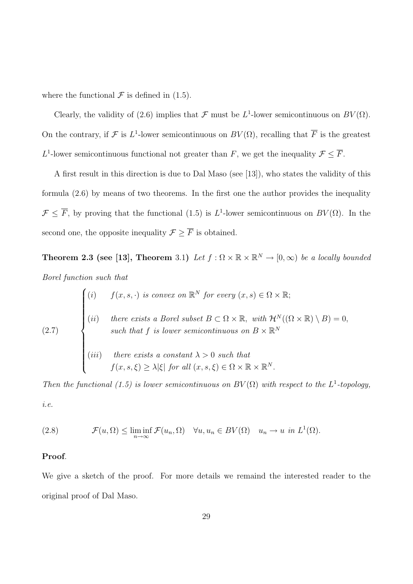where the functional  $\mathcal F$  is defined in (1.5).

Clearly, the validity of (2.6) implies that  $\mathcal F$  must be  $L^1$ -lower semicontinuous on  $BV(\Omega)$ . On the contrary, if F is L<sup>1</sup>-lower semicontinuous on  $BV(\Omega)$ , recalling that  $\overline{F}$  is the greatest L<sup>1</sup>-lower semicontinuous functional not greater than F, we get the inequality  $\mathcal{F} \leq \overline{F}$ .

A first result in this direction is due to Dal Maso (see [13]), who states the validity of this formula (2.6) by means of two theorems. In the first one the author provides the inequality  $\mathcal{F} \leq \overline{F}$ , by proving that the functional (1.5) is  $L^1$ -lower semicontinuous on  $BV(\Omega)$ . In the second one, the opposite inequality  $\mathcal{F} \geq \overline{F}$  is obtained.

**Theorem 2.3 (see [13], Theorem** 3.1) Let  $f : \Omega \times \mathbb{R} \times \mathbb{R}^N \to [0, \infty)$  be a locally bounded Borel function such that  $\overline{a}$ 

(2.7)  
\n
$$
\begin{cases}\n(i) & f(x, s, \cdot) \text{ is convex on } \mathbb{R}^N \text{ for every } (x, s) \in \Omega \times \mathbb{R}; \\
(ii) & there \text{ exists a Borel subset } B \subset \Omega \times \mathbb{R}, \text{ with } \mathcal{H}^N((\Omega \times \mathbb{R}) \setminus B) = 0, \\
such that f \text{ is lower semicontinuous on } B \times \mathbb{R}^N \\
(iii) & there \text{ exists a constant } \lambda > 0 \text{ such that} \\
f(x, s, \xi) \geq \lambda |\xi| \text{ for all } (x, s, \xi) \in \Omega \times \mathbb{R} \times \mathbb{R}^N.\n\end{cases}
$$

Then the functional (1.5) is lower semicontinuous on  $BV(\Omega)$  with respect to the L<sup>1</sup>-topology, i.e.

(2.8) 
$$
\mathcal{F}(u,\Omega) \leq \liminf_{n\to\infty} \mathcal{F}(u_n,\Omega) \quad \forall u, u_n \in BV(\Omega) \quad u_n \to u \text{ in } L^1(\Omega).
$$

#### Proof.

We give a sketch of the proof. For more details we remaind the interested reader to the original proof of Dal Maso.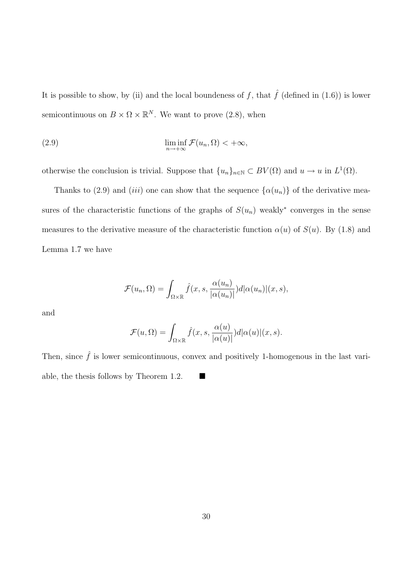It is possible to show, by (ii) and the local boundeness of  $f$ , that  $\hat{f}$  (defined in (1.6)) is lower semicontinuous on  $B \times \Omega \times \mathbb{R}^N$ . We want to prove (2.8), when

(2.9) 
$$
\liminf_{n \to +\infty} \mathcal{F}(u_n, \Omega) < +\infty,
$$

otherwise the conclusion is trivial. Suppose that  $\{u_n\}_{n\in\mathbb{N}} \subset BV(\Omega)$  and  $u \to u$  in  $L^1(\Omega)$ .

Thanks to (2.9) and (iii) one can show that the sequence  $\{\alpha(u_n)\}\$  of the derivative measures of the characteristic functions of the graphs of  $S(u_n)$  weakly<sup>\*</sup> converges in the sense measures to the derivative measure of the characteristic function  $\alpha(u)$  of  $S(u)$ . By (1.8) and Lemma 1.7 we have

$$
\mathcal{F}(u_n, \Omega) = \int_{\Omega \times \mathbb{R}} \hat{f}(x, s, \frac{\alpha(u_n)}{|\alpha(u_n)|}) d|\alpha(u_n)| (x, s),
$$

and

$$
\mathcal{F}(u,\Omega) = \int_{\Omega\times\mathbb{R}} \hat{f}(x,s,\frac{\alpha(u)}{|\alpha(u)|})d|\alpha(u)|(x,s).
$$

Then, since  $\hat{f}$  is lower semicontinuous, convex and positively 1-homogenous in the last variable, the thesis follows by Theorem 1.2.  $\blacksquare$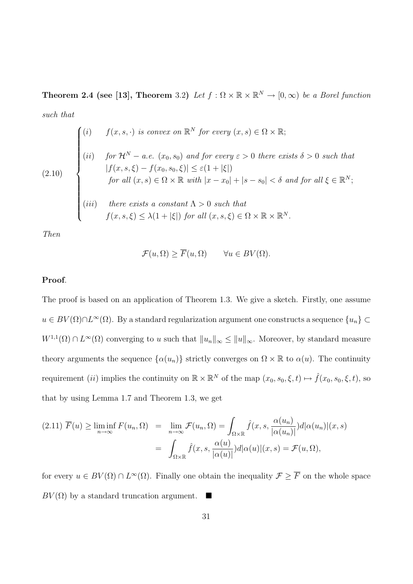**Theorem 2.4 (see [13], Theorem** 3.2) Let  $f : \Omega \times \mathbb{R} \times \mathbb{R}^N \to [0, \infty)$  be a Borel function such that

$$
(2.10)
$$
\n
$$
(1)
$$
\n
$$
(i)
$$
\n
$$
for \mathcal{H}^{N} - a.e. (x_{0}, s_{0}) and for every \varepsilon > 0 there exists \delta > 0 such that
$$
\n
$$
|f(x, s, \xi) - f(x_{0}, s_{0}, \xi)| \leq \varepsilon (1 + |\xi|)
$$
\n
$$
for all (x, s) \in \Omega \times \mathbb{R} with |x - x_{0}| + |s - s_{0}| < \delta and for all \xi \in \mathbb{R}^{N};
$$
\n
$$
(iii)
$$
\n
$$
there exists a constant \Lambda > 0 such that
$$
\n
$$
f(x, s, \xi) \leq \lambda (1 + |\xi|) for all (x, s, \xi) \in \Omega \times \mathbb{R} \times \mathbb{R}^{N}.
$$

Then

$$
\mathcal{F}(u,\Omega) \ge \overline{F}(u,\Omega) \qquad \forall u \in BV(\Omega).
$$

#### Proof.

The proof is based on an application of Theorem 1.3. We give a sketch. Firstly, one assume  $u \in BV(\Omega) \cap L^{\infty}(\Omega)$ . By a standard regularization argument one constructs a sequence  $\{u_n\} \subset$  $W^{1,1}(\Omega) \cap L^{\infty}(\Omega)$  converging to u such that  $||u_n||_{\infty} \le ||u||_{\infty}$ . Moreover, by standard measure theory arguments the sequence  $\{\alpha(u_n)\}\$  strictly converges on  $\Omega \times \mathbb{R}$  to  $\alpha(u)$ . The continuity requirement *(ii)* implies the continuity on  $\mathbb{R} \times \mathbb{R}^N$  of the map  $(x_0, s_0, \xi, t) \mapsto \hat{f}(x_0, s_0, \xi, t)$ , so that by using Lemma 1.7 and Theorem 1.3, we get

$$
(2.11) \ \overline{F}(u) \ge \liminf_{n \to \infty} F(u_n, \Omega) = \lim_{n \to \infty} \mathcal{F}(u_n, \Omega) = \int_{\Omega \times \mathbb{R}} \hat{f}(x, s, \frac{\alpha(u_n)}{|\alpha(u_n)|}) d|\alpha(u_n)|(x, s)
$$

$$
= \int_{\Omega \times \mathbb{R}} \hat{f}(x, s, \frac{\alpha(u)}{|\alpha(u)|}) d|\alpha(u)|(x, s) = \mathcal{F}(u, \Omega),
$$

for every  $u \in BV(\Omega) \cap L^{\infty}(\Omega)$ . Finally one obtain the inequality  $\mathcal{F} \geq \overline{F}$  on the whole space  $BV(\Omega)$  by a standard truncation argument.  $\blacksquare$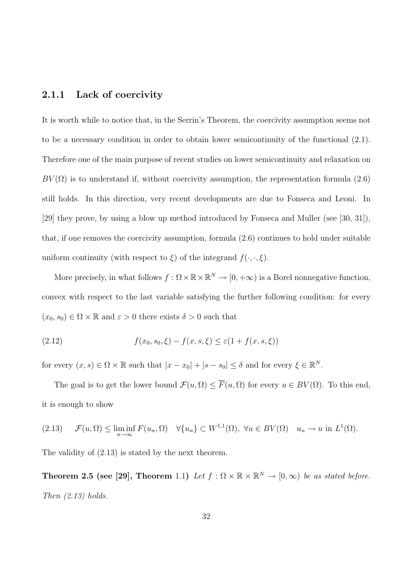#### 2.1.1 Lack of coercivity

It is worth while to notice that, in the Serrin's Theorem, the coercivity assumption seems not to be a necessary condition in order to obtain lower semicontinuity of the functional (2.1). Therefore one of the main purpose of recent studies on lower semicontinuity and relaxation on  $BV(\Omega)$  is to understand if, without coercivity assumption, the representation formula (2.6) still holds. In this direction, very recent developments are due to Fonseca and Leoni. In [29] they prove, by using a blow up method introduced by Fonseca and Muller (see [30, 31]), that, if one removes the coercivity assumption, formula (2.6) continues to hold under suitable uniform continuity (with respect to  $\xi$ ) of the integrand  $f(\cdot, \cdot, \xi)$ .

More precisely, in what follows  $f : \Omega \times \mathbb{R} \times \mathbb{R}^N \to [0, +\infty)$  is a Borel nonnegative function, convex with respect to the last variable satisfying the further following condition: for every  $(x_0, s_0) \in \Omega \times \mathbb{R}$  and  $\varepsilon > 0$  there exists  $\delta > 0$  such that

(2.12) 
$$
f(x_0, s_0, \xi) - f(x, s, \xi) \leq \varepsilon (1 + f(x, s, \xi))
$$

for every  $(x, s) \in \Omega \times \mathbb{R}$  such that  $|x - x_0| + |s - s_0| \leq \delta$  and for every  $\xi \in \mathbb{R}^N$ .

The goal is to get the lower bound  $\mathcal{F}(u, \Omega) \leq \overline{F}(u, \Omega)$  for every  $u \in BV(\Omega)$ . To this end, it is enough to show

$$
(2.13) \quad \mathcal{F}(u,\Omega) \le \liminf_{n\to\infty} F(u_n,\Omega) \quad \forall \{u_n\} \subset W^{1,1}(\Omega), \ \forall u \in BV(\Omega) \quad u_n \to u \text{ in } L^1(\Omega).
$$

The validity of (2.13) is stated by the next theorem.

**Theorem 2.5 (see [29], Theorem** 1.1) Let  $f : \Omega \times \mathbb{R} \times \mathbb{R}^N \to [0, \infty)$  be as stated before. Then  $(2.13)$  holds.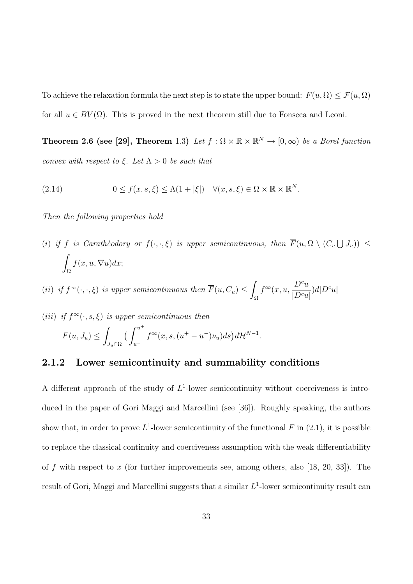To achieve the relaxation formula the next step is to state the upper bound:  $\overline{F}(u, \Omega) \leq \mathcal{F}(u, \Omega)$ for all  $u \in BV(\Omega)$ . This is proved in the next theorem still due to Fonseca and Leoni.

**Theorem 2.6 (see [29], Theorem** 1.3) Let  $f : \Omega \times \mathbb{R} \times \mathbb{R}^N \to [0, \infty)$  be a Borel function convex with respect to  $\xi$ . Let  $\Lambda > 0$  be such that

(2.14) 
$$
0 \le f(x, s, \xi) \le \Lambda(1 + |\xi|) \quad \forall (x, s, \xi) \in \Omega \times \mathbb{R} \times \mathbb{R}^N.
$$

Then the following properties hold

(i) if f is Carathèodory or  $f(\cdot,\cdot,\xi)$  is upper semicontinuous, then  $\overline{F}(u,\Omega \setminus (C_u))$ S  $J_u$ ))  $\leq$ Ω  $f(x, u, \nabla u)dx;$ 

(ii) if  $f^{\infty}(\cdot,\cdot,\xi)$  is upper semicontinuous then  $\overline{F}(u, C_u) \leq$ Ω  $f^{\infty}(x, u, \frac{D^c u}{\ln a})$  $\frac{D^{\prime}u}{|D^cu|})d|D^cu|$ 

(iii) if  $f^{\infty}(\cdot, s, \xi)$  is upper semicontinuous then  $\overline{F}(u, J_u) \leq$  $J_u\cap\Omega$  $\int u^+$  $u^$  $f^{\infty}(x, s, (u^+ - u^-)\nu_u)ds\big)d\mathcal{H}^{N-1}.$ 

#### 2.1.2 Lower semicontinuity and summability conditions

A different approach of the study of  $L^1$ -lower semicontinuity without coerciveness is introduced in the paper of Gori Maggi and Marcellini (see [36]). Roughly speaking, the authors show that, in order to prove  $L^1$ -lower semicontinuity of the functional F in (2.1), it is possible to replace the classical continuity and coerciveness assumption with the weak differentiability of f with respect to x (for further improvements see, among others, also [18, 20, 33]). The result of Gori, Maggi and Marcellini suggests that a similar  $L^1$ -lower semicontinuity result can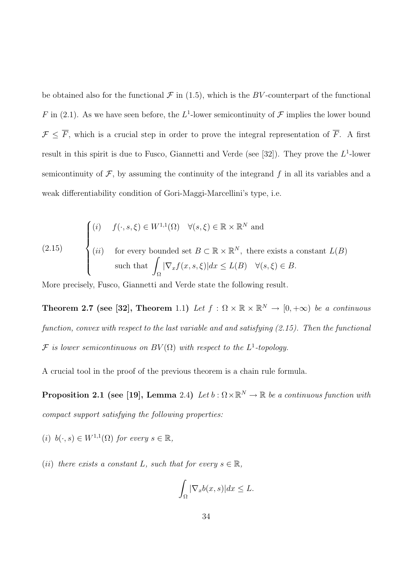be obtained also for the functional  $\mathcal F$  in (1.5), which is the BV-counterpart of the functional F in (2.1). As we have seen before, the  $L^1$ -lower semicontinuity of F implies the lower bound  $\mathcal{F} \leq \overline{F}$ , which is a crucial step in order to prove the integral representation of  $\overline{F}$ . A first result in this spirit is due to Fusco, Giannetti and Verde (see [32]). They prove the  $L^1$ -lower semicontinuity of  $\mathcal{F}$ , by assuming the continuity of the integrand f in all its variables and a weak differentiability condition of Gori-Maggi-Marcellini's type, i.e.

(2.15) 
$$
\begin{cases} (i) & f(\cdot, s, \xi) \in W^{1,1}(\Omega) \quad \forall (s, \xi) \in \mathbb{R} \times \mathbb{R}^N \text{ and} \\ (ii) & \text{for every bounded set } B \subset \mathbb{R} \times \mathbb{R}^N, \text{ there exists a constant } L(B) \\ \text{such that } \int_{\Omega} |\nabla_x f(x, s, \xi)| dx \le L(B) \quad \forall (s, \xi) \in B. \end{cases}
$$

More precisely, Fusco, Giannetti and Verde state the following result.

**Theorem 2.7 (see [32], Theorem** 1.1) Let  $f : \Omega \times \mathbb{R} \times \mathbb{R}^N \to [0, +\infty)$  be a continuous function, convex with respect to the last variable and and satisfying (2.15). Then the functional F is lower semicontinuous on  $BV(\Omega)$  with respect to the  $L^1$ -topology.

A crucial tool in the proof of the previous theorem is a chain rule formula.

**Proposition 2.1** (see [19], Lemma 2.4) Let  $b : \Omega \times \mathbb{R}^N \to \mathbb{R}$  be a continuous function with compact support satisfying the following properties:

- (i)  $b(\cdot, s) \in W^{1,1}(\Omega)$  for every  $s \in \mathbb{R}$ ,
- (ii) there exists a constant L, such that for every  $s \in \mathbb{R}$ ,

$$
\int_{\Omega} |\nabla_x b(x, s)| dx \le L.
$$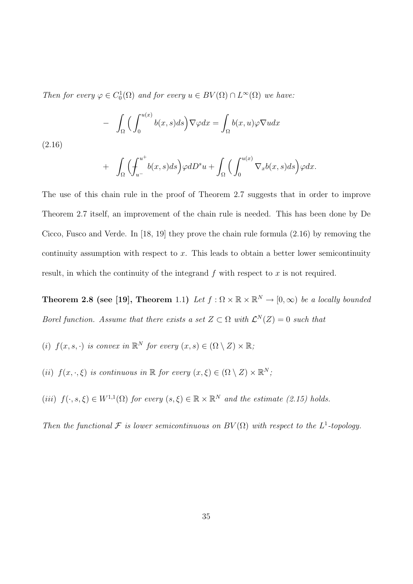Then for every  $\varphi \in C_0^1(\Omega)$  and for every  $u \in BV(\Omega) \cap L^{\infty}(\Omega)$  we have:

$$
- \int_{\Omega} \Big( \int_0^{u(x)} b(x,s)ds \Big) \nabla \varphi dx = \int_{\Omega} b(x,u) \varphi \nabla u dx
$$

(2.16)

$$
+ \int_{\Omega} \Bigl( \int_{u^-}^{u^+} b(x,s) ds \Bigr) \varphi dD^s u + \int_{\Omega} \Bigl( \int_{0}^{u(x)} \nabla_x b(x,s) ds \Bigr) \varphi dx.
$$

The use of this chain rule in the proof of Theorem 2.7 suggests that in order to improve Theorem 2.7 itself, an improvement of the chain rule is needed. This has been done by De Cicco, Fusco and Verde. In [18, 19] they prove the chain rule formula (2.16) by removing the continuity assumption with respect to  $x$ . This leads to obtain a better lower semicontinuity result, in which the continuity of the integrand  $f$  with respect to  $x$  is not required.

**Theorem 2.8 (see [19], Theorem** 1.1) Let  $f : \Omega \times \mathbb{R} \times \mathbb{R}^N \to [0, \infty)$  be a locally bounded Borel function. Assume that there exists a set  $Z \subset \Omega$  with  $\mathcal{L}^{N}(Z) = 0$  such that

- (i)  $f(x, s, \cdot)$  is convex in  $\mathbb{R}^N$  for every  $(x, s) \in (\Omega \setminus Z) \times \mathbb{R}$ ;
- (ii)  $f(x, \cdot, \xi)$  is continuous in  $\mathbb R$  for every  $(x, \xi) \in (\Omega \setminus Z) \times \mathbb R^N$ ;

(iii)  $f(\cdot, s, \xi) \in W^{1,1}(\Omega)$  for every  $(s, \xi) \in \mathbb{R} \times \mathbb{R}^N$  and the estimate (2.15) holds.

Then the functional  $\mathcal F$  is lower semicontinuous on  $BV(\Omega)$  with respect to the  $L^1$ -topology.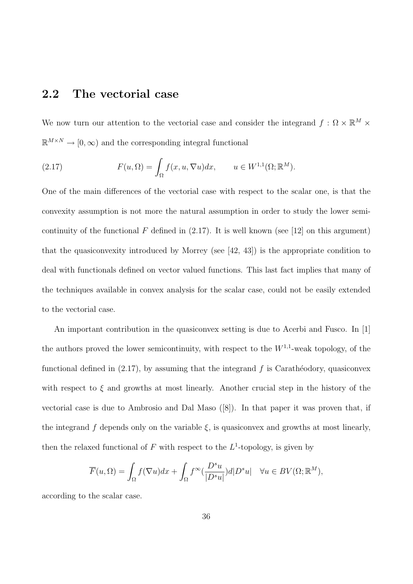## 2.2 The vectorial case

We now turn our attention to the vectorial case and consider the integrand  $f: \Omega \times \mathbb{R}^M \times$  $\mathbb{R}^{M \times N} \to [0, \infty)$  and the corresponding integral functional

(2.17) 
$$
F(u, \Omega) = \int_{\Omega} f(x, u, \nabla u) dx, \qquad u \in W^{1,1}(\Omega; \mathbb{R}^{M}).
$$

One of the main differences of the vectorial case with respect to the scalar one, is that the convexity assumption is not more the natural assumption in order to study the lower semicontinuity of the functional F defined in  $(2.17)$ . It is well known (see [12] on this argument) that the quasiconvexity introduced by Morrey (see [42, 43]) is the appropriate condition to deal with functionals defined on vector valued functions. This last fact implies that many of the techniques available in convex analysis for the scalar case, could not be easily extended to the vectorial case.

An important contribution in the quasiconvex setting is due to Acerbi and Fusco. In [1] the authors proved the lower semicontinuity, with respect to the  $W^{1,1}$ -weak topology, of the functional defined in  $(2.17)$ , by assuming that the integrand f is Carathéodory, quasiconvex with respect to  $\xi$  and growths at most linearly. Another crucial step in the history of the vectorial case is due to Ambrosio and Dal Maso ([8]). In that paper it was proven that, if the integrand f depends only on the variable  $\xi$ , is quasiconvex and growths at most linearly, then the relaxed functional of  $F$  with respect to the  $L^1$ -topology, is given by

$$
\overline{F}(u,\Omega) = \int_{\Omega} f(\nabla u) dx + \int_{\Omega} f^{\infty}(\frac{D^s u}{|D^s u|}) d|D^s u| \quad \forall u \in BV(\Omega; \mathbb{R}^M),
$$

according to the scalar case.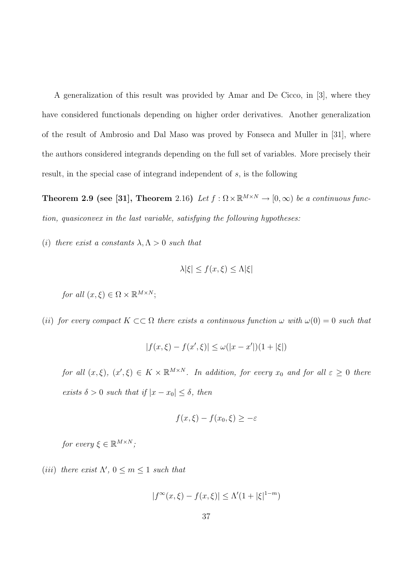A generalization of this result was provided by Amar and De Cicco, in [3], where they have considered functionals depending on higher order derivatives. Another generalization of the result of Ambrosio and Dal Maso was proved by Fonseca and Muller in [31], where the authors considered integrands depending on the full set of variables. More precisely their result, in the special case of integrand independent of s, is the following

**Theorem 2.9 (see [31], Theorem** 2.16) Let  $f : \Omega \times \mathbb{R}^{M \times N} \to [0, \infty)$  be a continuous function, quasiconvex in the last variable, satisfying the following hypotheses:

(i) there exist a constants  $\lambda, \Lambda > 0$  such that

$$
\lambda|\xi| \le f(x,\xi) \le \Lambda|\xi|
$$

for all  $(x,\xi) \in \Omega \times \mathbb{R}^{M \times N}$ ;

(ii) for every compact  $K \subset\subset \Omega$  there exists a continuous function  $\omega$  with  $\omega(0) = 0$  such that

$$
|f(x,\xi) - f(x',\xi)| \le \omega(|x - x'|)(1 + |\xi|)
$$

for all  $(x,\xi)$ ,  $(x',\xi) \in K \times \mathbb{R}^{M \times N}$ . In addition, for every  $x_0$  and for all  $\varepsilon \geq 0$  there exists  $\delta > 0$  such that if  $|x - x_0| \leq \delta$ , then

$$
f(x,\xi) - f(x_0,\xi) \ge -\varepsilon
$$

for every  $\xi \in \mathbb{R}^{M \times N}$ ;

(iii) there exist  $\Lambda'$ ,  $0 \leq m \leq 1$  such that

$$
|f^{\infty}(x,\xi) - f(x,\xi)| \le \Lambda'(1 + |\xi|^{1-m})
$$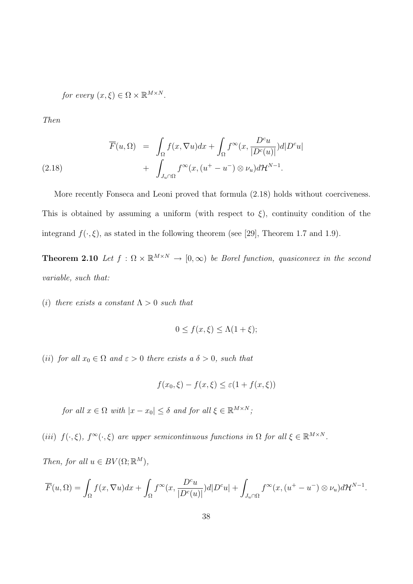for every  $(x,\xi) \in \Omega \times \mathbb{R}^{M \times N}$ .

Then

(2.18) 
$$
\overline{F}(u,\Omega) = \int_{\Omega} f(x,\nabla u)dx + \int_{\Omega} f^{\infty}(x,\frac{D^c u}{|D^c(u)|})d|D^c u| + \int_{J_u \cap \Omega} f^{\infty}(x,(u^+ - u^-) \otimes \nu_u)d\mathcal{H}^{N-1}.
$$

More recently Fonseca and Leoni proved that formula (2.18) holds without coerciveness. This is obtained by assuming a uniform (with respect to  $\xi$ ), continuity condition of the integrand  $f(\cdot,\xi)$ , as stated in the following theorem (see [29], Theorem 1.7 and 1.9).

**Theorem 2.10** Let  $f : \Omega \times \mathbb{R}^{M \times N} \to [0, \infty)$  be Borel function, quasiconvex in the second variable, such that:

(i) there exists a constant  $\Lambda > 0$  such that

$$
0 \le f(x,\xi) \le \Lambda(1+\xi);
$$

(ii) for all  $x_0 \in \Omega$  and  $\varepsilon > 0$  there exists a  $\delta > 0$ , such that

$$
f(x_0, \xi) - f(x, \xi) \le \varepsilon (1 + f(x, \xi))
$$

for all  $x \in \Omega$  with  $|x - x_0| \leq \delta$  and for all  $\xi \in \mathbb{R}^{M \times N}$ ;

(iii)  $f(\cdot,\xi)$ ,  $f^{\infty}(\cdot,\xi)$  are upper semicontinuous functions in  $\Omega$  for all  $\xi \in \mathbb{R}^{M \times N}$ .

Then, for all  $u \in BV(\Omega;\mathbb{R}^M)$ ,

$$
\overline{F}(u,\Omega) = \int_{\Omega} f(x,\nabla u)dx + \int_{\Omega} f^{\infty}(x,\frac{D^cu}{|D^c(u)|})d|D^cu| + \int_{J_u\cap\Omega} f^{\infty}(x,(u^+-u^-)\otimes\nu_u)d\mathcal{H}^{N-1}.
$$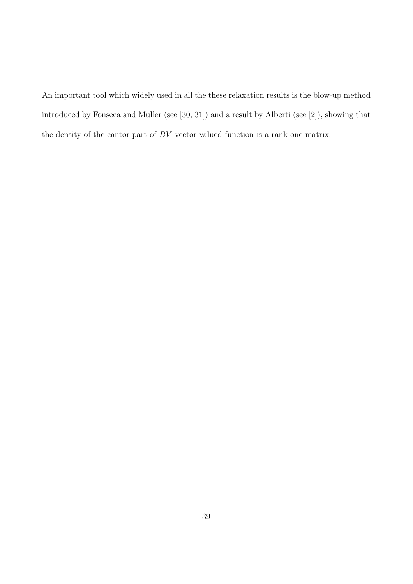An important tool which widely used in all the these relaxation results is the blow-up method introduced by Fonseca and Muller (see [30, 31]) and a result by Alberti (see [2]), showing that the density of the cantor part of  $BV$ -vector valued function is a rank one matrix.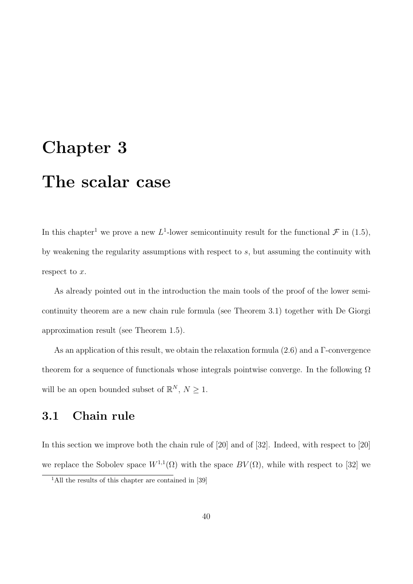# Chapter 3 The scalar case

In this chapter<sup>1</sup> we prove a new L<sup>1</sup>-lower semicontinuity result for the functional  $\mathcal{F}$  in (1.5), by weakening the regularity assumptions with respect to s, but assuming the continuity with respect to x.

As already pointed out in the introduction the main tools of the proof of the lower semicontinuity theorem are a new chain rule formula (see Theorem 3.1) together with De Giorgi approximation result (see Theorem 1.5).

As an application of this result, we obtain the relaxation formula (2.6) and a Γ-convergence theorem for a sequence of functionals whose integrals pointwise converge. In the following  $\Omega$ will be an open bounded subset of  $\mathbb{R}^N$ ,  $N \geq 1$ .

# 3.1 Chain rule

In this section we improve both the chain rule of [20] and of [32]. Indeed, with respect to [20] we replace the Sobolev space  $W^{1,1}(\Omega)$  with the space  $BV(\Omega)$ , while with respect to [32] we

<sup>&</sup>lt;sup>1</sup>All the results of this chapter are contained in [39]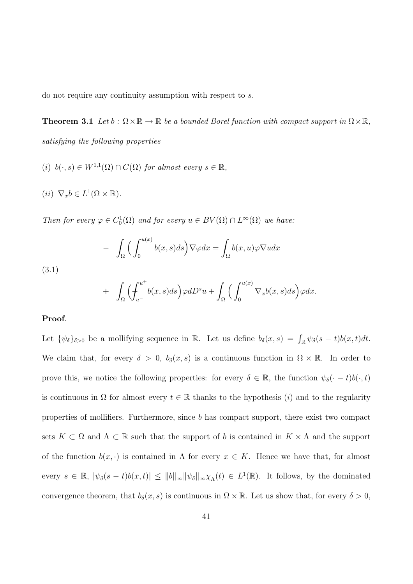do not require any continuity assumption with respect to s.

**Theorem 3.1** Let  $b : \Omega \times \mathbb{R} \to \mathbb{R}$  be a bounded Borel function with compact support in  $\Omega \times \mathbb{R}$ , satisfying the following properties

- (i)  $b(\cdot, s) \in W^{1,1}(\Omega) \cap C(\Omega)$  for almost every  $s \in \mathbb{R}$ ,
- (*ii*)  $\nabla_x b \in L^1(\Omega \times \mathbb{R})$ .

Then for every  $\varphi \in C_0^1(\Omega)$  and for every  $u \in BV(\Omega) \cap L^{\infty}(\Omega)$  we have:

$$
- \int_{\Omega} \Big( \int_0^{u(x)} b(x,s)ds \Big) \nabla \varphi dx = \int_{\Omega} b(x,u) \varphi \nabla u dx
$$
  
3.1)  

$$
+ \int_{\Omega} \Big( \int_{u^-}^{u^+} b(x,s)ds \Big) \varphi dD^s u + \int_{\Omega} \Big( \int_0^{u(x)} \nabla_x b(x,s)ds \Big) \varphi dx.
$$

#### Proof.

 $($ 

Let  $\{\psi_{\delta}\}_{{\delta} > 0}$  be a mollifying sequence in R. Let us define  $b_{\delta}(x, s) = \int_{\mathbb{R}} \psi_{\delta}(s - t) b(x, t) dt$ . We claim that, for every  $\delta > 0$ ,  $b_{\delta}(x, s)$  is a continuous function in  $\Omega \times \mathbb{R}$ . In order to prove this, we notice the following properties: for every  $\delta \in \mathbb{R}$ , the function  $\psi_{\delta}(\cdot - t)b(\cdot, t)$ is continuous in  $\Omega$  for almost every  $t \in \mathbb{R}$  thanks to the hypothesis (i) and to the regularity properties of mollifiers. Furthermore, since b has compact support, there exist two compact sets  $K \subset \Omega$  and  $\Lambda \subset \mathbb{R}$  such that the support of b is contained in  $K \times \Lambda$  and the support of the function  $b(x, \cdot)$  is contained in  $\Lambda$  for every  $x \in K$ . Hence we have that, for almost every  $s \in \mathbb{R}$ ,  $|\psi_{\delta}(s-t)b(x,t)| \leq ||b||_{\infty} ||\psi_{\delta}||_{\infty} \chi_{\Lambda}(t) \in L^{1}(\mathbb{R})$ . It follows, by the dominated convergence theorem, that  $b_{\delta}(x, s)$  is continuous in  $\Omega \times \mathbb{R}$ . Let us show that, for every  $\delta > 0$ ,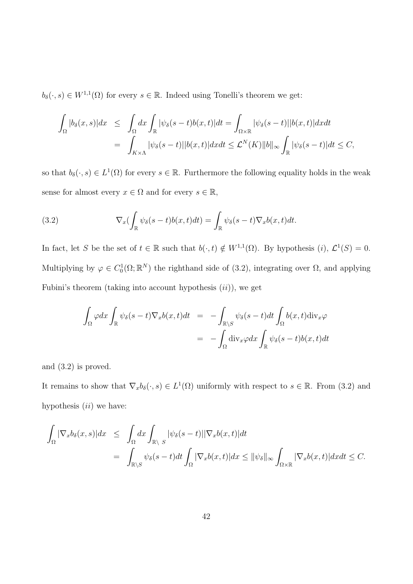$b_{\delta}(\cdot, s) \in W^{1,1}(\Omega)$  for every  $s \in \mathbb{R}$ . Indeed using Tonelli's theorem we get:

$$
\int_{\Omega} |b_{\delta}(x,s)| dx \leq \int_{\Omega} dx \int_{\mathbb{R}} |\psi_{\delta}(s-t)b(x,t)| dt = \int_{\Omega \times \mathbb{R}} |\psi_{\delta}(s-t)||b(x,t)| dx dt
$$
  
= 
$$
\int_{K \times \Lambda} |\psi_{\delta}(s-t)||b(x,t)| dx dt \leq \mathcal{L}^{N}(K) ||b||_{\infty} \int_{\mathbb{R}} |\psi_{\delta}(s-t)| dt \leq C,
$$

so that  $b_{\delta}(\cdot, s) \in L^{1}(\Omega)$  for every  $s \in \mathbb{R}$ . Furthermore the following equality holds in the weak sense for almost every  $x \in \Omega$  and for every  $s \in \mathbb{R}$ ,

(3.2) 
$$
\nabla_x \left( \int_{\mathbb{R}} \psi_{\delta}(s-t) b(x,t) dt \right) = \int_{\mathbb{R}} \psi_{\delta}(s-t) \nabla_x b(x,t) dt.
$$

In fact, let S be the set of  $t \in \mathbb{R}$  such that  $b(\cdot, t) \notin W^{1,1}(\Omega)$ . By hypothesis  $(i)$ ,  $\mathcal{L}^1(S) = 0$ . Multiplying by  $\varphi \in C_0^1(\Omega;\mathbb{R}^N)$  the righthand side of (3.2), integrating over  $\Omega$ , and applying Fubini's theorem (taking into account hypothesis  $(ii)$ ), we get

$$
\int_{\Omega} \varphi dx \int_{\mathbb{R}} \psi_{\delta}(s-t) \nabla_{x} b(x,t) dt = - \int_{\mathbb{R} \backslash S} \psi_{\delta}(s-t) dt \int_{\Omega} b(x,t) \text{div}_{x} \varphi
$$
\n
$$
= - \int_{\Omega} \text{div}_{x} \varphi dx \int_{\mathbb{R}} \psi_{\delta}(s-t) b(x,t) dt
$$

and (3.2) is proved.

It remains to show that  $\nabla_x b_\delta(\cdot, s) \in L^1(\Omega)$  uniformly with respect to  $s \in \mathbb{R}$ . From (3.2) and hypothesis  $(ii)$  we have:

$$
\int_{\Omega} |\nabla_x b_{\delta}(x,s)| dx \leq \int_{\Omega} dx \int_{\mathbb{R} \setminus S} |\psi_{\delta}(s-t)| |\nabla_x b(x,t)| dt \n= \int_{\mathbb{R} \setminus S} \psi_{\delta}(s-t) dt \int_{\Omega} |\nabla_x b(x,t)| dx \leq ||\psi_{\delta}||_{\infty} \int_{\Omega \times \mathbb{R}} |\nabla_x b(x,t)| dx dt \leq C.
$$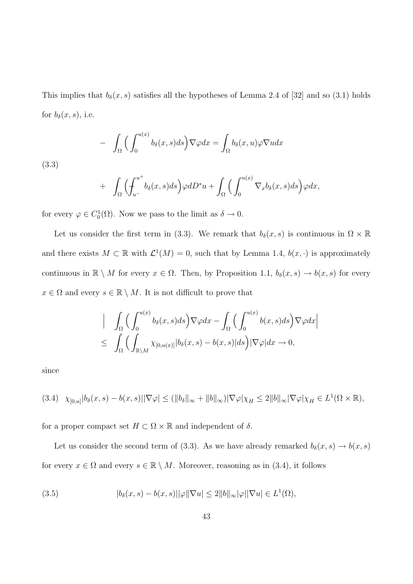This implies that  $b_{\delta}(x, s)$  satisfies all the hypotheses of Lemma 2.4 of [32] and so (3.1) holds for  $b_{\delta}(x, s)$ , i.e.

$$
- \int_{\Omega} \Big( \int_0^{u(x)} b_{\delta}(x, s) ds \Big) \nabla \varphi dx = \int_{\Omega} b_{\delta}(x, u) \varphi \nabla u dx
$$

(3.3)

$$
+ \int_{\Omega} \Bigl(\hskip-10pt\int_{u^-}^{u^+} \hskip-10pt b_\delta(x,s) ds\Bigr)\varphi dD^s u + \int_{\Omega} \Bigl(\int_{0}^{u(x)} \nabla_x b_\delta(x,s) ds\Bigr)\varphi dx,
$$

for every  $\varphi \in C_0^1(\Omega)$ . Now we pass to the limit as  $\delta \to 0$ .

Let us consider the first term in (3.3). We remark that  $b_{\delta}(x, s)$  is continuous in  $\Omega \times \mathbb{R}$ and there exists  $M \subset \mathbb{R}$  with  $\mathcal{L}^1(M) = 0$ , such that by Lemma 1.4,  $b(x, \cdot)$  is approximately continuous in  $\mathbb{R} \setminus M$  for every  $x \in \Omega$ . Then, by Proposition 1.1,  $b_{\delta}(x, s) \to b(x, s)$  for every  $x \in \Omega$  and every  $s \in \mathbb{R} \setminus M$ . It is not difficult to prove that

$$
\left| \int_{\Omega} \Big( \int_0^{u(x)} b_{\delta}(x,s) ds \Big) \nabla \varphi dx - \int_{\Omega} \Big( \int_0^{u(x)} b(x,s) ds \Big) \nabla \varphi dx \right|
$$
  

$$
\leq \int_{\Omega} \Big( \int_{\mathbb{R}\setminus M} \chi_{[0,u(x)]} |b_{\delta}(x,s) - b(x,s)| ds \Big) |\nabla \varphi| dx \to 0,
$$

since

$$
(3.4) \quad \chi_{[0,u]}|b_{\delta}(x,s) - b(x,s)||\nabla \varphi| \le (||b_{\delta}||_{\infty} + ||b||_{\infty})|\nabla \varphi|\chi_H \le 2||b||_{\infty}|\nabla \varphi|\chi_H \in L^1(\Omega \times \mathbb{R}),
$$

for a proper compact set  $H \subset \Omega \times \mathbb{R}$  and independent of  $\delta$ .

Let us consider the second term of (3.3). As we have already remarked  $b_{\delta}(x, s) \rightarrow b(x, s)$ for every  $x \in \Omega$  and every  $s \in \mathbb{R} \setminus M$ . Moreover, reasoning as in (3.4), it follows

(3.5) 
$$
|b_{\delta}(x,s) - b(x,s)||\varphi||\nabla u| \le 2||b||_{\infty}|\varphi||\nabla u| \in L^{1}(\Omega),
$$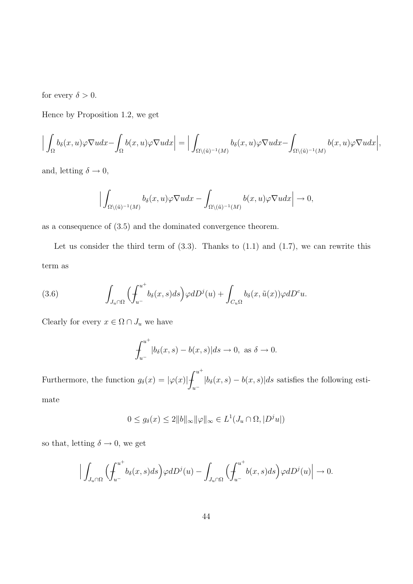for every  $\delta > 0$ .

Hence by Proposition 1.2, we get

$$
\Big|\int_\Omega b_\delta(x,u)\varphi \nabla u dx-\int_\Omega b(x,u)\varphi \nabla u dx\Big|=\Big|\int_{\Omega\backslash(\tilde{u})^{-1}(M)}b_\delta(x,u)\varphi \nabla u dx-\int_{\Omega\backslash(\tilde{u})^{-1}(M)}b(x,u)\varphi \nabla u dx\Big|,
$$

and, letting  $\delta \rightarrow 0,$ 

$$
\Big|\int_{\Omega\setminus(\tilde{u})^{-1}(M)}b_{\delta}(x,u)\varphi\nabla u dx-\int_{\Omega\setminus(\tilde{u})^{-1}(M)}b(x,u)\varphi\nabla u dx\Big|\to 0,
$$

as a consequence of (3.5) and the dominated convergence theorem.

Let us consider the third term of  $(3.3)$ . Thanks to  $(1.1)$  and  $(1.7)$ , we can rewrite this term as

(3.6) 
$$
\int_{J_u \cap \Omega} \left( \int_{u^-}^{u^+} b_{\delta}(x,s) ds \right) \varphi dD^j(u) + \int_{C_u \Omega} b_{\delta}(x,\tilde{u}(x)) \varphi dD^c u.
$$

Clearly for every  $x\in \Omega\cap J_u$  we have

$$
\int_{u^-}^{u^+} |b_{\delta}(x,s) - b(x,s)| ds \to 0, \text{ as } \delta \to 0.
$$

Furthermore, the function  $g_{\delta}(x) = |\varphi(x)| \text{f}^{u^{+}}$  $u^ |b_{\delta}(x, s) - b(x, s)|ds$  satisfies the following estimate

$$
0 \le g_\delta(x) \le 2||b||_{\infty} ||\varphi||_{\infty} \in L^1(J_u \cap \Omega, |D^j u|)
$$

so that, letting  $\delta \rightarrow 0,$  we get

$$
\Big|\int_{J_u\cap\Omega}\Big(\!\int_{u^-}^{u^+}\!\!b_\delta(x,s)ds\Big)\varphi dD^j(u)-\int_{J_u\cap\Omega}\Big(\!\int_{u^-}^{u^+}\!\!b(x,s)ds\Big)\varphi dD^j(u)\Big|\to 0.
$$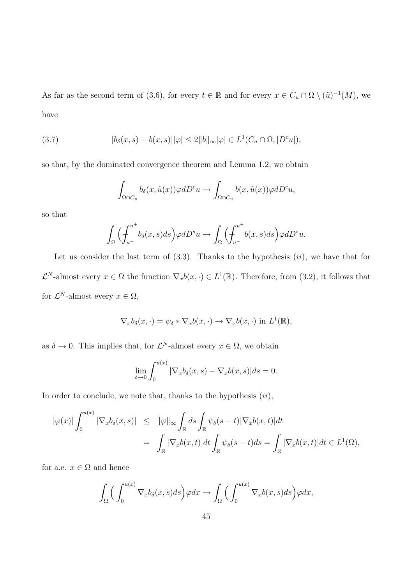As far as the second term of (3.6), for every  $t \in \mathbb{R}$  and for every  $x \in C_u \cap \Omega \setminus (\tilde{u})^{-1}(M)$ , we have

(3.7) 
$$
|b_{\delta}(x,s)-b(x,s)||\varphi|\leq 2||b||_{\infty}|\varphi|\in L^{1}(C_{u}\cap\Omega,|D^{c}u|),
$$

so that, by the dominated convergence theorem and Lemma 1.2, we obtain

$$
\int_{\Omega \cap C_u} b_{\delta}(x, \tilde{u}(x)) \varphi dD^c u \to \int_{\Omega \cap C_u} b(x, \tilde{u}(x)) \varphi dD^c u,
$$

so that

$$
\int_{\Omega} \Biggl(\int_{u^-}^{u^+} b_{\delta}(x,s) ds\Biggr) \varphi dD^s u \to \int_{\Omega} \Biggl(\int_{u^-}^{u^+} b(x,s) ds\Biggr) \varphi dD^s u.
$$

Let us consider the last term of  $(3.3)$ . Thanks to the hypothesis  $(ii)$ , we have that for  $\mathcal{L}^N$ -almost every  $x \in \Omega$  the function  $\nabla_x b(x, \cdot) \in L^1(\mathbb{R})$ . Therefore, from (3.2), it follows that for  $\mathcal{L}^N$ -almost every  $x \in \Omega$ ,

$$
\nabla_x b_\delta(x,\cdot) = \psi_\delta * \nabla_x b(x,\cdot) \to \nabla_x b(x,\cdot) \text{ in } L^1(\mathbb{R}),
$$

as  $\delta \to 0$ . This implies that, for  $\mathcal{L}^N$ -almost every  $x \in \Omega$ , we obtain

$$
\lim_{\delta \to 0} \int_0^{u(x)} |\nabla_x b_\delta(x, s) - \nabla_x b(x, s)| ds = 0.
$$

In order to conclude, we note that, thanks to the hypothesis  $(ii)$ ,

$$
\begin{array}{rcl}\n|\varphi(x)| \int_0^{u(x)} |\nabla_x b_\delta(x,s)| & \leq & \|\varphi\|_\infty \int_{\mathbb{R}} ds \int_{\mathbb{R}} \psi_\delta(s-t) |\nabla_x b(x,t)| dt \\
& = & \int_{\mathbb{R}} |\nabla_x b(x,t)| dt \int_{\mathbb{R}} \psi_\delta(s-t) ds = \int_{\mathbb{R}} |\nabla_x b(x,t)| dt \in L^1(\Omega),\n\end{array}
$$

for a.e.  $x \in \Omega$  and hence

$$
\int_{\Omega} \Big( \int_0^{u(x)} \nabla_x b_{\delta}(x, s) ds \Big) \varphi dx \to \int_{\Omega} \Big( \int_0^{u(x)} \nabla_x b(x, s) ds \Big) \varphi dx,
$$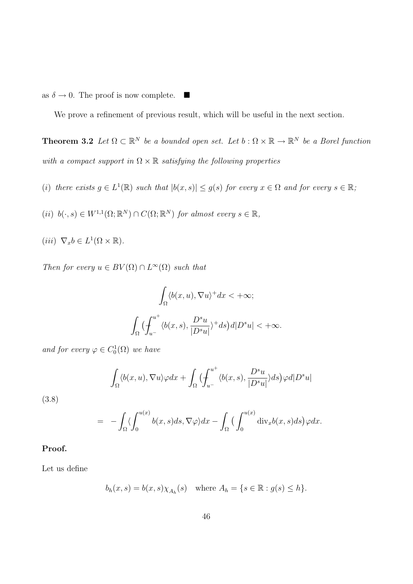as  $\delta \to 0$ . The proof is now complete.  $\blacksquare$ 

We prove a refinement of previous result, which will be useful in the next section.

**Theorem 3.2** Let  $\Omega \subset \mathbb{R}^N$  be a bounded open set. Let  $b: \Omega \times \mathbb{R} \to \mathbb{R}^N$  be a Borel function with a compact support in  $\Omega \times \mathbb{R}$  satisfying the following properties

- (i) there exists  $g \in L^1(\mathbb{R})$  such that  $|b(x, s)| \leq g(s)$  for every  $x \in \Omega$  and for every  $s \in \mathbb{R}$ ;
- (ii)  $b(\cdot,s) \in W^{1,1}(\Omega;\mathbb{R}^N) \cap C(\Omega;\mathbb{R}^N)$  for almost every  $s \in \mathbb{R}$ ,
- $(iii) \ \nabla_x b \in L^1(\Omega \times \mathbb{R}).$

Then for every  $u \in BV(\Omega) \cap L^{\infty}(\Omega)$  such that

$$
\int_{\Omega} \langle b(x, u), \nabla u \rangle^{+} dx < +\infty;
$$

$$
\int_{\Omega} \left( \int_{u^{-}}^{u^{+}} \langle b(x, s), \frac{D^{s} u}{|D^{s} u|} \rangle^{+} ds \right) d|D^{s} u| < +\infty.
$$

and for every  $\varphi \in C_0^1(\Omega)$  we have

$$
\int_{\Omega} \langle b(x, u), \nabla u \rangle \varphi dx + \int_{\Omega} \Big( \int_{u^{-}}^{u^{+}} \langle b(x, s), \frac{D^{s} u}{|D^{s} u|} \rangle ds \Big) \varphi d|D^{s} u|
$$

(3.8)

$$
= - \int_{\Omega} \langle \int_0^{u(x)} b(x,s)ds, \nabla \varphi \rangle dx - \int_{\Omega} \left( \int_0^{u(x)} \text{div}_x b(x,s)ds \right) \varphi dx.
$$

#### Proof.

Let us define

$$
b_h(x,s) = b(x,s)\chi_{A_h}(s) \quad \text{where } A_h = \{s \in \mathbb{R} : g(s) \le h\}.
$$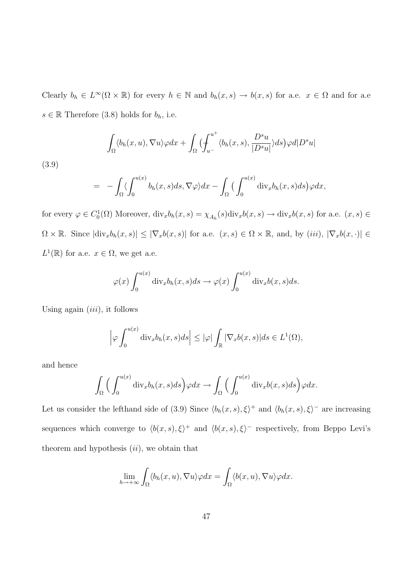Clearly  $b_h \in L^{\infty}(\Omega \times \mathbb{R})$  for every  $h \in \mathbb{N}$  and  $b_h(x, s) \to b(x, s)$  for a.e.  $x \in \Omega$  and for a.e.  $s \in \mathbb{R}$  Therefore (3.8) holds for  $b_h$ , i.e.

$$
\int_{\Omega} \langle b_h(x, u), \nabla u \rangle \varphi dx + \int_{\Omega} \Big( \int_{u^-}^{u^+} \langle b_h(x, s), \frac{D^s u}{|D^s u|} \rangle ds \Big) \varphi d|D^s u|
$$

(3.9)

$$
= - \int_{\Omega} \langle \int_0^{u(x)} b_h(x,s) ds, \nabla \varphi \rangle dx - \int_{\Omega} \Big( \int_0^{u(x)} \text{div}_x b_h(x,s) ds \Big) \varphi dx,
$$

for every  $\varphi \in C_0^1(\Omega)$  Moreover,  $\text{div}_x b_h(x, s) = \chi_{A_h}(s) \text{div}_x b(x, s) \to \text{div}_x b(x, s)$  for a.e.  $(x, s) \in$  $\Omega \times \mathbb{R}$ . Since  $|\text{div}_x b_h(x, s)| \leq |\nabla_x b(x, s)|$  for a.e.  $(x, s) \in \Omega \times \mathbb{R}$ , and, by  $(iii)$ ,  $|\nabla_x b(x, \cdot)| \in$  $L^1(\mathbb{R})$  for a.e.  $x \in \Omega$ , we get a.e.

$$
\varphi(x) \int_0^{u(x)} \text{div}_x b_h(x, s) ds \to \varphi(x) \int_0^{u(x)} \text{div}_x b(x, s) ds.
$$

Using again  $(iii)$ , it follows

$$
\left|\varphi \int_0^{u(x)} \mathrm{div}_x b_h(x,s) ds \right| \leq |\varphi| \int_{\mathbb{R}} |\nabla_x b(x,s)| ds \in L^1(\Omega),
$$

and hence

$$
\int_{\Omega} \Big( \int_0^{u(x)} \text{div}_x b_h(x, s) ds \Big) \varphi dx \to \int_{\Omega} \Big( \int_0^{u(x)} \text{div}_x b(x, s) ds \Big) \varphi dx.
$$

Let us consider the lefthand side of (3.9) Since  $\langle b_h(x, s), \xi \rangle^+$  and  $\langle b_h(x, s), \xi \rangle^-$  are increasing sequences which converge to  $\langle b(x, s), \xi \rangle^+$  and  $\langle b(x, s), \xi \rangle^-$  respectively, from Beppo Levi's theorem and hypothesis  $(ii)$ , we obtain that

$$
\lim_{h \to +\infty} \int_{\Omega} \langle b_h(x, u), \nabla u \rangle \varphi dx = \int_{\Omega} \langle b(x, u), \nabla u \rangle \varphi dx.
$$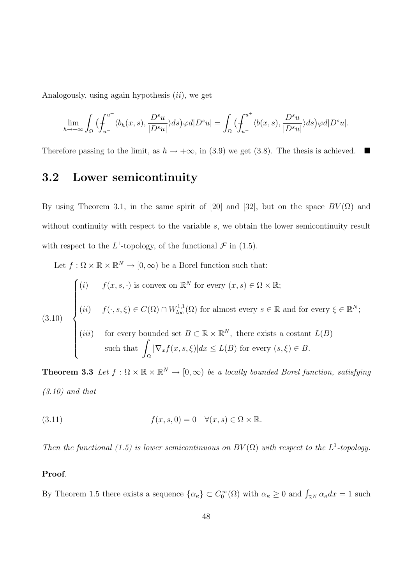Analogously, using again hypothesis  $(ii)$ , we get

$$
\lim_{h \to +\infty} \int_{\Omega} \left( \int_{u^-}^{u^+} \langle b_h(x,s), \frac{D^s u}{|D^s u|} \rangle ds \right) \varphi d|D^s u| = \int_{\Omega} \left( \int_{u^-}^{u^+} \langle b(x,s), \frac{D^s u}{|D^s u|} \rangle ds \right) \varphi d|D^s u|.
$$

Therefore passing to the limit, as  $h \to +\infty$ , in (3.9) we get (3.8). The thesis is achieved.  $\blacksquare$ 

## 3.2 Lower semicontinuity

By using Theorem 3.1, in the same spirit of [20] and [32], but on the space  $BV(\Omega)$  and without continuity with respect to the variable s, we obtain the lower semicontinuity result with respect to the  $L^1$ -topology, of the functional  $\mathcal F$  in (1.5).

Let  $f : \Omega \times \mathbb{R} \times \mathbb{R}^N \to [0, \infty)$  be a Borel function such that:

(3.10)  
\n
$$
\begin{cases}\n(i) & f(x, s, \cdot) \text{ is convex on } \mathbb{R}^N \text{ for every } (x, s) \in \Omega \times \mathbb{R}; \\
(ii) & f(\cdot, s, \xi) \in C(\Omega) \cap W_{loc}^{1,1}(\Omega) \text{ for almost every } s \in \mathbb{R} \text{ and for every } \xi \in \mathbb{R}^N; \\
(iii) & \text{for every bounded set } B \subset \mathbb{R} \times \mathbb{R}^N, \text{ there exists a constant } L(B) \\
\text{such that } \int_{\Omega} |\nabla_x f(x, s, \xi)| dx \le L(B) \text{ for every } (s, \xi) \in B.\n\end{cases}
$$

**Theorem 3.3** Let  $f : \Omega \times \mathbb{R} \times \mathbb{R}^N \to [0, \infty)$  be a locally bounded Borel function, satisfying  $(3.10)$  and that

(3.11) 
$$
f(x, s, 0) = 0 \quad \forall (x, s) \in \Omega \times \mathbb{R}.
$$

Then the functional (1.5) is lower semicontinuous on  $BV(\Omega)$  with respect to the L<sup>1</sup>-topology.

#### Proof.

By Theorem 1.5 there exists a sequence  $\{\alpha_{\kappa}\}\subset C_0^{\infty}(\Omega)$  with  $\alpha_{\kappa}\geq 0$  and  $\int_{\mathbb{R}^N} \alpha_{\kappa} dx = 1$  such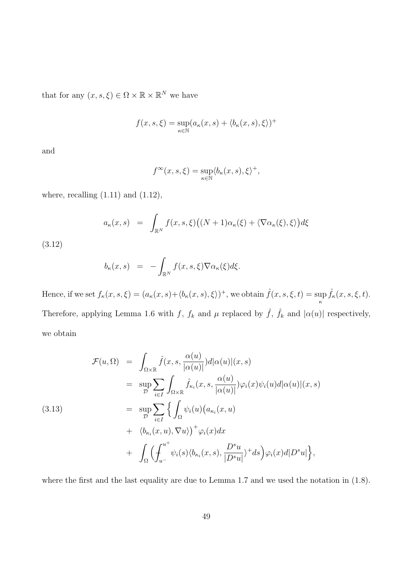that for any  $(x, s, \xi) \in \Omega \times \mathbb{R} \times \mathbb{R}^N$  we have

$$
f(x, s, \xi) = \sup_{\kappa \in \mathbb{N}} (a_{\kappa}(x, s) + \langle b_{\kappa}(x, s), \xi \rangle)^+
$$

and

$$
f^{\infty}(x, s, \xi) = \sup_{\kappa \in \mathbb{N}} \langle b_{\kappa}(x, s), \xi \rangle^{+},
$$

where, recalling  $(1.11)$  and  $(1.12)$ ,

$$
a_{\kappa}(x,s) = \int_{\mathbb{R}^N} f(x,s,\xi) \big( (N+1)\alpha_{\kappa}(\xi) + \langle \nabla \alpha_{\kappa}(\xi), \xi \rangle \big) d\xi
$$

(3.12)

$$
b_{\kappa}(x,s) = -\int_{\mathbb{R}^N} f(x,s,\xi) \nabla \alpha_{\kappa}(\xi) d\xi.
$$

Hence, if we set  $f_{\kappa}(x, s, \xi) = (a_{\kappa}(x, s) + \langle b_{\kappa}(x, s), \xi \rangle)^{+}$ , we obtain  $\hat{f}(x, s, \xi, t) = \sup$  $\sup_{\kappa} \hat{f}_{\kappa}(x, s, \xi, t).$ Therefore, applying Lemma 1.6 with f,  $f_k$  and  $\mu$  replaced by  $\hat{f}$ ,  $\hat{f}_k$  and  $|\alpha(u)|$  respectively, we obtain

$$
\mathcal{F}(u,\Omega) = \int_{\Omega\times\mathbb{R}} \hat{f}(x,s,\frac{\alpha(u)}{|\alpha(u)|})d|\alpha(u)|(x,s)
$$
  
\n
$$
= \sup_{\mathcal{D}} \sum_{i\in I} \int_{\Omega\times\mathbb{R}} \hat{f}_{\kappa_i}(x,s,\frac{\alpha(u)}{|\alpha(u)|})\varphi_i(x)\psi_i(u)d|\alpha(u)|(x,s)
$$
  
\n
$$
= \sup_{\mathcal{D}} \sum_{i\in I} \left\{ \int_{\Omega} \psi_i(u)(a_{\kappa_i}(x,u)) + \langle b_{\kappa_i}(x,u), \nabla u \rangle \right\}^+ \varphi_i(x)dx
$$
  
\n
$$
+ \int_{\Omega} \left( \int_{u^-}^{u^+} \psi_i(s)\langle b_{\kappa_i}(x,s),\frac{D^s u}{|D^s u|} \rangle^+ ds \right) \varphi_i(x) d|D^s u| \right\},
$$

where the first and the last equality are due to Lemma 1.7 and we used the notation in  $(1.8)$ .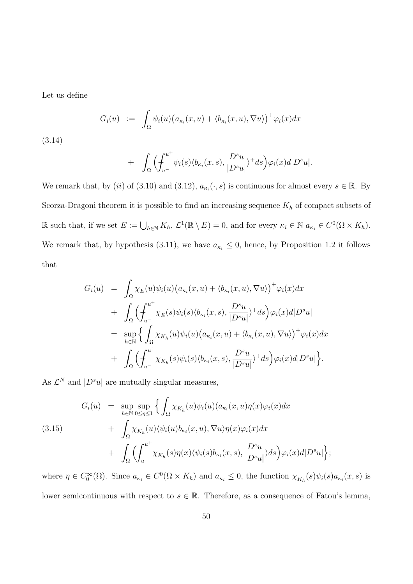Let us define

$$
G_i(u) := \int_{\Omega} \psi_i(u) \big( a_{\kappa_i}(x, u) + \langle b_{\kappa_i}(x, u), \nabla u \rangle \big)^+ \varphi_i(x) dx
$$

(3.14)

+ 
$$
\int_{\Omega} \Big( \int_{u^-}^{u^+} \psi_i(s) \langle b_{\kappa_i}(x, s), \frac{D^s u}{|D^s u|} \rangle^+ ds \Big) \varphi_i(x) d|D^s u|.
$$

We remark that, by (*ii*) of (3.10) and (3.12),  $a_{\kappa_i}(\cdot, s)$  is continuous for almost every  $s \in \mathbb{R}$ . By Scorza-Dragoni theorem it is possible to find an increasing sequence  $K_h$  of compact subsets of R such that, if we set  $E := \bigcup_{h \in \mathbb{N}} K_h$ ,  $\mathcal{L}^1(\mathbb{R} \setminus E) = 0$ , and for every  $\kappa_i \in \mathbb{N}$   $a_{\kappa_i} \in C^0(\Omega \times K_h)$ . We remark that, by hypothesis (3.11), we have  $a_{\kappa_i} \leq 0$ , hence, by Proposition 1.2 it follows that

$$
G_i(u) = \int_{\Omega} \chi_E(u)\psi_i(u) \big(a_{\kappa_i}(x, u) + \langle b_{\kappa_i}(x, u), \nabla u \rangle \big)^+ \varphi_i(x) dx
$$
  
+ 
$$
\int_{\Omega} \Big( \int_{u^-}^{u^+} \chi_E(s)\psi_i(s) \langle b_{\kappa_i}(x, s), \frac{D^s u}{|D^s u|} \rangle^+ ds \Big) \varphi_i(x) d|D^s u|
$$
  
= 
$$
\sup_{h \in \mathbb{N}} \Big\{ \int_{\Omega} \chi_{K_h}(u)\psi_i(u) \big(a_{\kappa_i}(x, u) + \langle b_{\kappa_i}(x, u), \nabla u \rangle \big)^+ \varphi_i(x) dx
$$
  
+ 
$$
\int_{\Omega} \Big( \int_{u^-}^{u^+} \chi_{K_h}(s)\psi_i(s) \langle b_{\kappa_i}(x, s), \frac{D^s u}{|D^s u|} \rangle^+ ds \Big) \varphi_i(x) d|D^s u| \Big\}.
$$

As  $\mathcal{L}^N$  and  $|D^s u|$  are mutually singular measures,

(3.15) 
$$
G_i(u) = \sup_{h \in \mathbb{N}} \sup_{0 \le \eta \le 1} \left\{ \int_{\Omega} \chi_{K_h}(u) \psi_i(u) (a_{\kappa_i}(x, u) \eta(x) \varphi_i(x) dx + \int_{\Omega} \chi_{K_h}(u) \langle \psi_i(u) b_{\kappa_i}(x, u), \nabla u \rangle \eta(x) \varphi_i(x) dx + \int_{\Omega} \left( \int_{u^-}^{u^+} \chi_{K_h}(s) \eta(x) \langle \psi_i(s) b_{\kappa_i}(x, s), \frac{D^s u}{|D^s u|} \rangle ds \right) \varphi_i(x) d|D^s u| \right\}
$$

where  $\eta \in C_0^{\infty}(\Omega)$ . Since  $a_{\kappa_i} \in C^0(\Omega \times K_h)$  and  $a_{\kappa_i} \leq 0$ , the function  $\chi_{K_h}(s)\psi_i(s)a_{\kappa_i}(x,s)$  is lower semicontinuous with respect to  $s \in \mathbb{R}$ . Therefore, as a consequence of Fatou's lemma,

;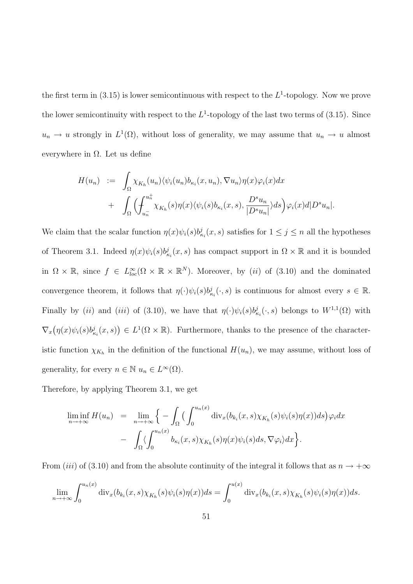the first term in (3.15) is lower semicontinuous with respect to the  $L^1$ -topology. Now we prove the lower semicontinuity with respect to the  $L^1$ -topology of the last two terms of (3.15). Since  $u_n \to u$  strongly in  $L^1(\Omega)$ , without loss of generality, we may assume that  $u_n \to u$  almost everywhere in  $\Omega$ . Let us define

$$
H(u_n) := \int_{\Omega} \chi_{K_h}(u_n) \langle \psi_i(u_n) b_{\kappa_i}(x, u_n), \nabla u_n \rangle \eta(x) \varphi_i(x) dx
$$
  
+ 
$$
\int_{\Omega} \Biggl( \int_{u_n^-}^{u_n^+} \chi_{K_h}(s) \eta(x) \langle \psi_i(s) b_{\kappa_i}(x, s), \frac{D^s u_n}{|D^s u_n|} \rangle ds \Biggr) \varphi_i(x) d|D^s u_n|.
$$

We claim that the scalar function  $\eta(x)\psi_i(s)b^j_{\kappa_i}(x,s)$  satisfies for  $1 \leq j \leq n$  all the hypotheses of Theorem 3.1. Indeed  $\eta(x)\psi_i(s)b^j_{\kappa_i}(x,s)$  has compact support in  $\Omega \times \mathbb{R}$  and it is bounded in  $\Omega \times \mathbb{R}$ , since  $f \in L^{\infty}_{loc}(\Omega \times \mathbb{R} \times \mathbb{R}^N)$ . Moreover, by *(ii)* of (3.10) and the dominated convergence theorem, it follows that  $\eta(\cdot)\psi_i(s)b^j_{\kappa_i}(\cdot,s)$  is continuous for almost every  $s \in \mathbb{R}$ . Finally by (ii) and (iii) of (3.10), we have that  $\eta(\cdot)\psi_i(s)b^j_{\kappa_i}(\cdot,s)$  belongs to  $W^{1,1}(\Omega)$  with  $\nabla_x$ ¡  $\eta(x)\psi_i(s)b^j_{\kappa_i}(x,s)$ ¢  $\in L^1(\Omega \times \mathbb{R})$ . Furthermore, thanks to the presence of the characteristic function  $\chi_{K_h}$  in the definition of the functional  $H(u_n)$ , we may assume, without loss of generality, for every  $n \in \mathbb{N}$   $u_n \in L^{\infty}(\Omega)$ .

Therefore, by applying Theorem 3.1, we get

$$
\liminf_{n \to +\infty} H(u_n) = \lim_{n \to +\infty} \left\{ -\int_{\Omega} \left( \int_0^{u_n(x)} \operatorname{div}_x(b_{k_i}(x, s) \chi_{K_h}(s) \psi_i(s) \eta(x)) ds \right) \varphi_i dx - \int_{\Omega} \left\langle \int_0^{u_n(x)} b_{\kappa_i}(x, s) \chi_{K_h}(s) \eta(x) \psi_i(s) ds, \nabla \varphi_i \right\rangle dx \right\}.
$$

From (iii) of (3.10) and from the absolute continuity of the integral it follows that as  $n \to +\infty$ 

$$
\lim_{n\to+\infty}\int_0^{u_n(x)}\mathrm{div}_x(b_{k_i}(x,s)\chi_{K_h}(s)\psi_i(s)\eta(x))ds=\int_0^{u(x)}\mathrm{div}_x(b_{k_i}(x,s)\chi_{K_h}(s)\psi_i(s)\eta(x))ds.
$$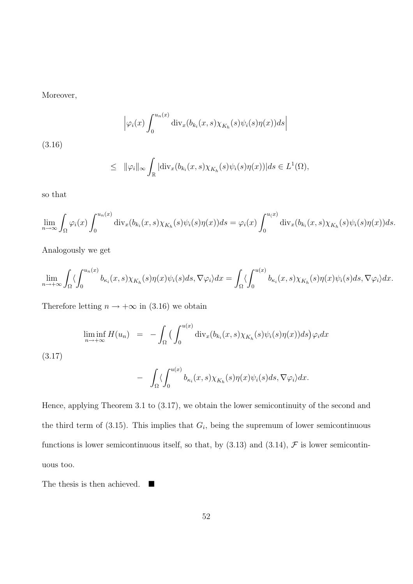Moreover,

$$
\left|\varphi_i(x)\int_0^{u_n(x)}\mathrm{div}_x(b_{k_i}(x,s)\chi_{K_h}(s)\psi_i(s)\eta(x))ds\right|
$$

(3.16)

$$
\leq \|\varphi_i\|_{\infty} \int_{\mathbb{R}} |\text{div}_x(b_{k_i}(x,s)\chi_{K_h}(s)\psi_i(s)\eta(x))| ds \in L^1(\Omega),
$$

so that

$$
\lim_{n\to\infty}\int_{\Omega}\varphi_i(x)\int_0^{u_n(x)}\mathrm{div}_x(b_{k_i}(x,s)\chi_{K_h}(s)\psi_i(s)\eta(x))ds=\varphi_i(x)\int_0^{u(x)}\mathrm{div}_x(b_{k_i}(x,s)\chi_{K_h}(s)\psi_i(s)\eta(x))ds.
$$

Analogously we get

$$
\lim_{n \to +\infty} \int_{\Omega} \langle \int_0^{u_n(x)} b_{\kappa_i}(x,s) \chi_{K_h}(s)\eta(x)\psi_i(s)ds, \nabla \varphi_i \rangle dx = \int_{\Omega} \langle \int_0^{u(x)} b_{\kappa_i}(x,s) \chi_{K_h}(s)\eta(x)\psi_i(s)ds, \nabla \varphi_i \rangle dx.
$$

Therefore letting  $n \to +\infty$  in (3.16) we obtain

$$
\liminf_{n \to +\infty} H(u_n) = -\int_{\Omega} \left( \int_0^{u(x)} \operatorname{div}_x(b_{k_i}(x, s) \chi_{K_h}(s) \psi_i(s) \eta(x)) ds \right) \varphi_i dx
$$

(3.17)

$$
- \int_{\Omega} \langle \int_0^{u(x)} b_{\kappa_i}(x,s) \chi_{K_h}(s) \eta(x) \psi_i(s) ds, \nabla \varphi_i \rangle dx.
$$

Hence, applying Theorem 3.1 to (3.17), we obtain the lower semicontinuity of the second and the third term of  $(3.15)$ . This implies that  $G_i$ , being the supremum of lower semicontinuous functions is lower semicontinuous itself, so that, by  $(3.13)$  and  $(3.14)$ ,  $\mathcal F$  is lower semicontinuous too.

The thesis is then achieved.  $\blacksquare$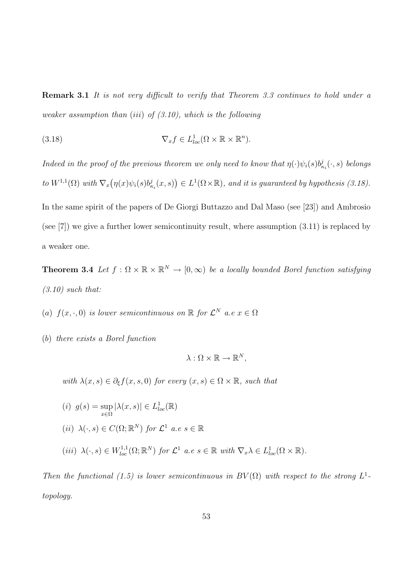Remark 3.1 It is not very difficult to verify that Theorem 3.3 continues to hold under a weaker assumption than (iii) of  $(3.10)$ , which is the following

(3.18) 
$$
\nabla_x f \in L^1_{loc}(\Omega \times \mathbb{R} \times \mathbb{R}^n).
$$

Indeed in the proof of the previous theorem we only need to know that  $\eta(\cdot)\psi_i(s)b^j_{\kappa_i}(\cdot,s)$  belongs to  $W^{1,1}(\Omega)$  with  $\nabla_x$ ¡  $\eta(x)\psi_i(s)b^j_{\kappa_i}(x,s)$ ¢  $\in L^1(\Omega\times\mathbb{R})$ , and it is guaranteed by hypothesis (3.18). In the same spirit of the papers of De Giorgi Buttazzo and Dal Maso (see [23]) and Ambrosio (see [7]) we give a further lower semicontinuity result, where assumption (3.11) is replaced by a weaker one.

**Theorem 3.4** Let  $f : \Omega \times \mathbb{R} \times \mathbb{R}^N \to [0, \infty)$  be a locally bounded Borel function satisfying  $(3.10)$  such that:

- (a)  $f(x, \cdot, 0)$  is lower semicontinuous on  $\mathbb R$  for  $\mathcal L^N$  a.e  $x \in \Omega$
- (b) there exists a Borel function

$$
\lambda:\Omega\times\mathbb{R}\to\mathbb{R}^N,
$$

with  $\lambda(x, s) \in \partial_{\xi} f(x, s, 0)$  for every  $(x, s) \in \Omega \times \mathbb{R}$ , such that

\n- (i) 
$$
g(s) = \sup_{x \in \Omega} |\lambda(x, s)| \in L_{loc}^1(\mathbb{R})
$$
\n- (ii)  $\lambda(\cdot, s) \in C(\Omega; \mathbb{R}^N)$  for  $\mathcal{L}^1$  a.e  $s \in \mathbb{R}$
\n- (iii)  $\lambda(\cdot, s) \in W_{loc}^{1,1}(\Omega; \mathbb{R}^N)$  for  $\mathcal{L}^1$  a.e  $s \in \mathbb{R}$  with  $\nabla_x \lambda \in L_{loc}^1(\Omega \times \mathbb{R})$ .
\n

Then the functional (1.5) is lower semicontinuous in  $BV(\Omega)$  with respect to the strong  $L^1$ topology.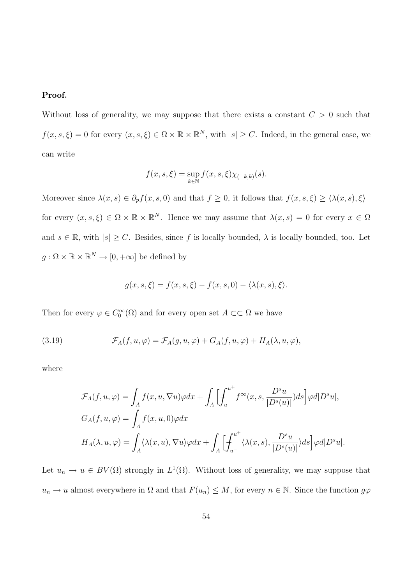#### Proof.

Without loss of generality, we may suppose that there exists a constant  $C > 0$  such that  $f(x, s, \xi) = 0$  for every  $(x, s, \xi) \in \Omega \times \mathbb{R} \times \mathbb{R}^N$ , with  $|s| \geq C$ . Indeed, in the general case, we can write

$$
f(x, s, \xi) = \sup_{k \in \mathbb{N}} f(x, s, \xi) \chi_{(-k, k)}(s).
$$

Moreover since  $\lambda(x,s) \in \partial_p f(x,s,0)$  and that  $f \geq 0$ , it follows that  $f(x,s,\xi) \geq \langle \lambda(x,s), \xi \rangle^+$ for every  $(x, s, \xi) \in \Omega \times \mathbb{R} \times \mathbb{R}^N$ . Hence we may assume that  $\lambda(x, s) = 0$  for every  $x \in \Omega$ and  $s \in \mathbb{R}$ , with  $|s| \geq C$ . Besides, since f is locally bounded,  $\lambda$  is locally bounded, too. Let  $g: \Omega \times \mathbb{R} \times \mathbb{R}^N \to [0, +\infty]$  be defined by

$$
g(x, s, \xi) = f(x, s, \xi) - f(x, s, 0) - \langle \lambda(x, s), \xi \rangle.
$$

Then for every  $\varphi \in C_0^{\infty}(\Omega)$  and for every open set  $A \subset\subset \Omega$  we have

(3.19) 
$$
\mathcal{F}_A(f, u, \varphi) = \mathcal{F}_A(g, u, \varphi) + G_A(f, u, \varphi) + H_A(\lambda, u, \varphi),
$$

where

$$
\mathcal{F}_A(f, u, \varphi) = \int_A f(x, u, \nabla u) \varphi dx + \int_A \Big[ \int_{u^-}^{u^+} f^{\infty}(x, s, \frac{D^s u}{|D^s(u)|}) ds \Big] \varphi d|D^s u|,
$$
  
\n
$$
G_A(f, u, \varphi) = \int_A f(x, u, 0) \varphi dx
$$
  
\n
$$
H_A(\lambda, u, \varphi) = \int_A \langle \lambda(x, u), \nabla u \rangle \varphi dx + \int_A \Big[ \int_{u^-}^{u^+} \langle \lambda(x, s), \frac{D^s u}{|D^s(u)|} \rangle ds \Big] \varphi d|D^s u|.
$$

Let  $u_n \to u \in BV(\Omega)$  strongly in  $L^1(\Omega)$ . Without loss of generality, we may suppose that  $u_n \to u$  almost everywhere in  $\Omega$  and that  $F(u_n) \leq M$ , for every  $n \in \mathbb{N}$ . Since the function  $g\varphi$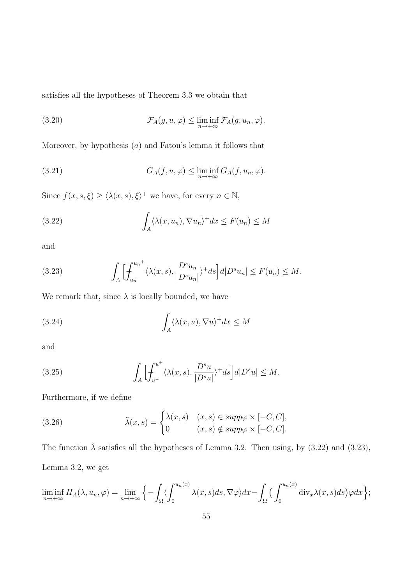satisfies all the hypotheses of Theorem 3.3 we obtain that

(3.20) 
$$
\mathcal{F}_A(g, u, \varphi) \leq \liminf_{n \to +\infty} \mathcal{F}_A(g, u_n, \varphi).
$$

Moreover, by hypothesis  $(a)$  and Fatou's lemma it follows that

(3.21) 
$$
G_A(f, u, \varphi) \leq \liminf_{n \to +\infty} G_A(f, u_n, \varphi).
$$

Since  $f(x, s, \xi) \ge \langle \lambda(x, s), \xi \rangle^+$  we have, for every  $n \in \mathbb{N}$ ,

(3.22) 
$$
\int_{A} \langle \lambda(x, u_n), \nabla u_n \rangle^+ dx \leq F(u_n) \leq M
$$

and

(3.23) 
$$
\int_A \Bigl[ \int_{u_n}^{u_n^+} \langle \lambda(x,s), \frac{D^s u_n}{|D^s u_n|} \rangle^+ ds \Bigr] d|D^s u_n| \le F(u_n) \le M.
$$

We remark that, since  $\lambda$  is locally bounded, we have

(3.24) 
$$
\int_{A} \langle \lambda(x, u), \nabla u \rangle^{+} dx \leq M
$$

and

(3.25) 
$$
\int_{A} \Bigl[ \int_{u^{-}}^{u^{+}} \langle \lambda(x, s), \frac{D^{s} u}{|D^{s} u|} \rangle^{+} ds \Bigr] d|D^{s} u| \leq M.
$$

Furthermore, if we define

(3.26) 
$$
\tilde{\lambda}(x,s) = \begin{cases} \lambda(x,s) & (x,s) \in supp \varphi \times [-C,C], \\ 0 & (x,s) \notin supp \varphi \times [-C,C]. \end{cases}
$$

The function  $\tilde{\lambda}$  satisfies all the hypotheses of Lemma 3.2. Then using, by (3.22) and (3.23), Lemma 3.2, we get

$$
\liminf_{n\to+\infty} H_A(\lambda, u_n, \varphi) = \lim_{n\to+\infty} \left\{ -\int_{\Omega} \langle \int_0^{u_n(x)} \lambda(x, s) ds, \nabla \varphi \rangle dx - \int_{\Omega} \Big( \int_0^{u_n(x)} \operatorname{div}_x \lambda(x, s) ds \Big) \varphi dx \right\};
$$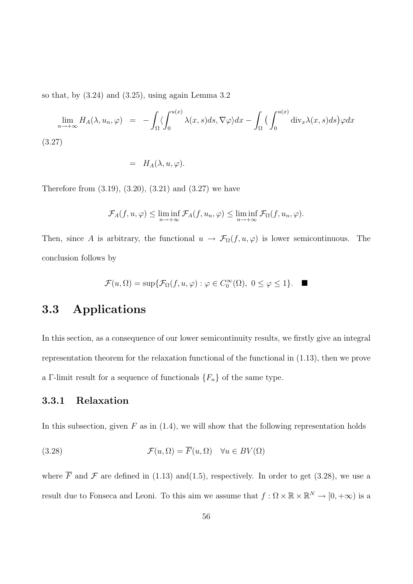so that, by  $(3.24)$  and  $(3.25)$ , using again Lemma 3.2

$$
\lim_{n \to +\infty} H_A(\lambda, u_n, \varphi) = -\int_{\Omega} \langle \int_0^{u(x)} \lambda(x, s) ds, \nabla \varphi \rangle dx - \int_{\Omega} \left( \int_0^{u(x)} \operatorname{div}_x \lambda(x, s) ds \right) \varphi dx
$$
\n(3.27)

$$
= H_A(\lambda, u, \varphi).
$$

Therefore from  $(3.19)$ ,  $(3.20)$ ,  $(3.21)$  and  $(3.27)$  we have

$$
\mathcal{F}_A(f, u, \varphi) \leq \liminf_{n \to +\infty} \mathcal{F}_A(f, u_n, \varphi) \leq \liminf_{n \to +\infty} \mathcal{F}_\Omega(f, u_n, \varphi).
$$

Then, since A is arbitrary, the functional  $u \to \mathcal{F}_{\Omega}(f, u, \varphi)$  is lower semicontinuous. The conclusion follows by

$$
\mathcal{F}(u,\Omega)=\sup\{\mathcal{F}_{\Omega}(f,u,\varphi):\varphi\in C_0^\infty(\Omega),\ 0\leq\varphi\leq 1\}.\quad \blacksquare
$$

## 3.3 Applications

In this section, as a consequence of our lower semicontinuity results, we firstly give an integral representation theorem for the relaxation functional of the functional in (1.13), then we prove a Γ-limit result for a sequence of functionals  $\{F_n\}$  of the same type.

#### 3.3.1 Relaxation

In this subsection, given  $F$  as in  $(1.4)$ , we will show that the following representation holds

(3.28) 
$$
\mathcal{F}(u,\Omega) = \overline{F}(u,\Omega) \quad \forall u \in BV(\Omega)
$$

where  $\overline{F}$  and  $\mathcal F$  are defined in (1.13) and(1.5), respectively. In order to get (3.28), we use a result due to Fonseca and Leoni. To this aim we assume that  $f: \Omega \times \mathbb{R} \times \mathbb{R}^N \to [0, +\infty)$  is a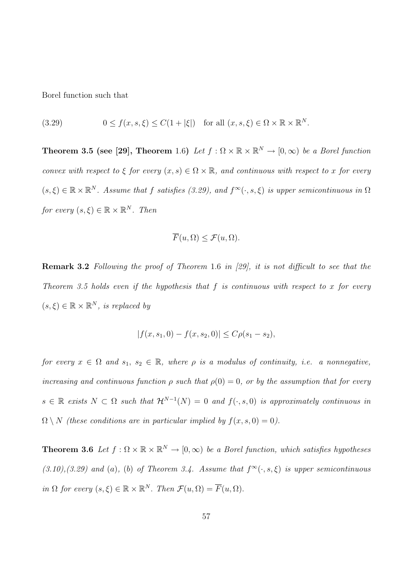Borel function such that

(3.29)  $0 \le f(x, s, \xi) \le C(1 + |\xi|)$  for all  $(x, s, \xi) \in \Omega \times \mathbb{R} \times \mathbb{R}^N$ .

**Theorem 3.5 (see [29], Theorem** 1.6) Let  $f : \Omega \times \mathbb{R} \times \mathbb{R}^N \to [0, \infty)$  be a Borel function convex with respect to  $\xi$  for every  $(x, s) \in \Omega \times \mathbb{R}$ , and continuous with respect to x for every  $(s,\xi) \in \mathbb{R} \times \mathbb{R}^N$ . Assume that f satisfies (3.29), and  $f^{\infty}(\cdot, s, \xi)$  is upper semicontinuous in  $\Omega$ for every  $(s,\xi) \in \mathbb{R} \times \mathbb{R}^N$ . Then

$$
\overline{F}(u,\Omega) \le \mathcal{F}(u,\Omega).
$$

Remark 3.2 Following the proof of Theorem 1.6 in [29], it is not difficult to see that the Theorem 3.5 holds even if the hypothesis that f is continuous with respect to x for every  $(s,\xi) \in \mathbb{R} \times \mathbb{R}^N$ , is replaced by

$$
|f(x, s_1, 0) - f(x, s_2, 0)| \le C\rho(s_1 - s_2),
$$

for every  $x \in \Omega$  and  $s_1, s_2 \in \mathbb{R}$ , where  $\rho$  is a modulus of continuity, i.e. a nonnegative, increasing and continuous function  $\rho$  such that  $\rho(0) = 0$ , or by the assumption that for every  $s \in \mathbb{R}$  exists  $N \subset \Omega$  such that  $\mathcal{H}^{N-1}(N) = 0$  and  $f(\cdot, s, 0)$  is approximately continuous in  $\Omega \setminus N$  (these conditions are in particular implied by  $f(x, s, 0) = 0$ ).

**Theorem 3.6** Let  $f : \Omega \times \mathbb{R} \times \mathbb{R}^N \to [0, \infty)$  be a Borel function, which satisfies hypotheses  $(3.10), (3.29)$  and (a), (b) of Theorem 3.4. Assume that  $f^{\infty}(\cdot, s, \xi)$  is upper semicontinuous in  $\Omega$  for every  $(s,\xi) \in \mathbb{R} \times \mathbb{R}^N$ . Then  $\mathcal{F}(u,\Omega) = \overline{F}(u,\Omega)$ .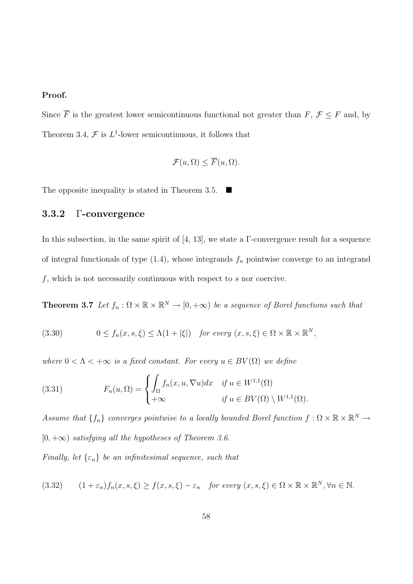## Proof.

Since  $\overline{F}$  is the greatest lower semicontinuous functional not greater than  $F, \mathcal{F} \leq F$  and, by Theorem 3.4,  $\mathcal F$  is  $L^1$ -lower semicontinuous, it follows that

$$
\mathcal{F}(u,\Omega) \leq \overline{F}(u,\Omega).
$$

The opposite inequality is stated in Theorem 3.5.

## 3.3.2 Γ-convergence

In this subsection, in the same spirit of [4, 13], we state a Γ-convergence result for a sequence of integral functionals of type  $(1.4)$ , whose integrands  $f_n$  pointwise converge to an integrand  $f$ , which is not necessarily continuous with respect to  $s$  nor coercive.

**Theorem 3.7** Let  $f_n : \Omega \times \mathbb{R} \times \mathbb{R}^N \to [0, +\infty)$  be a sequence of Borel functions such that

(3.30) 
$$
0 \le f_n(x, s, \xi) \le \Lambda(1 + |\xi|) \quad \text{for every } (x, s, \xi) \in \Omega \times \mathbb{R} \times \mathbb{R}^N,
$$

where  $0 < \Lambda < +\infty$  is a fixed constant. For every  $u \in BV(\Omega)$  we define

(3.31) 
$$
F_n(u,\Omega) = \begin{cases} \int_{\Omega} f_n(x,u,\nabla u)dx & \text{if } u \in W^{1,1}(\Omega) \\ +\infty & \text{if } u \in BV(\Omega) \setminus W^{1,1}(\Omega). \end{cases}
$$

Assume that  $\{f_n\}$  converges pointwise to a locally bounded Borel function  $f: \Omega \times \mathbb{R} \times \mathbb{R}^N \to$  $[0, +\infty)$  satisfying all the hypotheses of Theorem 3.6.

Finally, let  $\{\varepsilon_n\}$  be an infinitesimal sequence, such that

$$
(3.32) \qquad (1+\varepsilon_n)f_n(x,s,\xi) \ge f(x,s,\xi) - \varepsilon_n \quad \text{for every } (x,s,\xi) \in \Omega \times \mathbb{R} \times \mathbb{R}^N, \forall n \in \mathbb{N}.
$$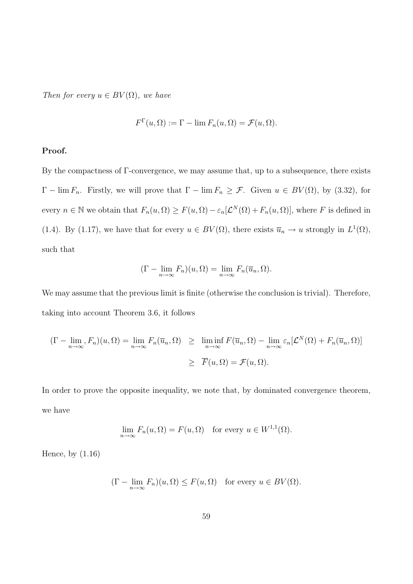Then for every  $u \in BV(\Omega)$ , we have

$$
F^{\Gamma}(u,\Omega) := \Gamma - \lim F_n(u,\Omega) = \mathcal{F}(u,\Omega).
$$

#### Proof.

By the compactness of Γ-convergence, we may assume that, up to a subsequence, there exists  $\Gamma$  – lim  $F_n$ . Firstly, we will prove that  $\Gamma$  – lim  $F_n \geq \mathcal{F}$ . Given  $u \in BV(\Omega)$ , by (3.32), for every  $n \in \mathbb{N}$  we obtain that  $F_n(u, \Omega) \geq F(u, \Omega) - \varepsilon_n[\mathcal{L}^N(\Omega) + F_n(u, \Omega)]$ , where F is defined in (1.4). By (1.17), we have that for every  $u \in BV(\Omega)$ , there exists  $\overline{u}_n \to u$  strongly in  $L^1(\Omega)$ , such that

$$
(\Gamma - \lim_{n \to \infty} F_n)(u, \Omega) = \lim_{n \to \infty} F_n(\overline{u}_n, \Omega).
$$

We may assume that the previous limit is finite (otherwise the conclusion is trivial). Therefore, taking into account Theorem 3.6, it follows

$$
(\Gamma - \lim_{n \to \infty} F_n)(u, \Omega) = \lim_{n \to \infty} F_n(\overline{u}_n, \Omega) \geq \liminf_{n \to \infty} F(\overline{u}_n, \Omega) - \lim_{n \to \infty} \varepsilon_n[\mathcal{L}^N(\Omega) + F_n(\overline{u}_n, \Omega)]
$$
  

$$
\geq \overline{F}(u, \Omega) = \mathcal{F}(u, \Omega).
$$

In order to prove the opposite inequality, we note that, by dominated convergence theorem, we have

$$
\lim_{n \to \infty} F_n(u, \Omega) = F(u, \Omega) \text{ for every } u \in W^{1,1}(\Omega).
$$

Hence, by (1.16)

$$
(\Gamma - \lim_{n \to \infty} F_n)(u, \Omega) \le F(u, \Omega) \quad \text{for every } u \in BV(\Omega).
$$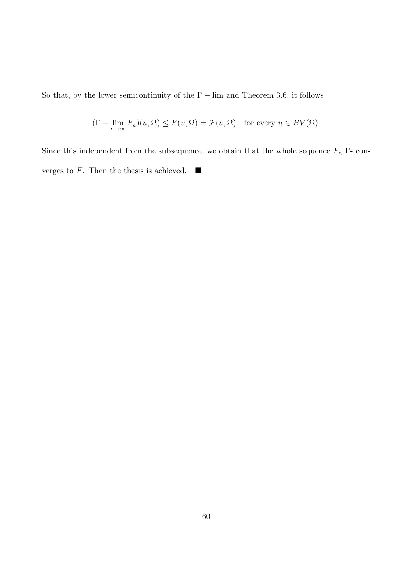So that, by the lower semicontinuity of the  $\Gamma$  – lim and Theorem 3.6, it follows

$$
(\Gamma - \lim_{n \to \infty} F_n)(u, \Omega) \le \overline{F}(u, \Omega) = \mathcal{F}(u, \Omega) \quad \text{for every } u \in BV(\Omega).
$$

Since this independent from the subsequence, we obtain that the whole sequence  $F_n$  Γ- converges to  $F$ . Then the thesis is achieved.  $\blacksquare$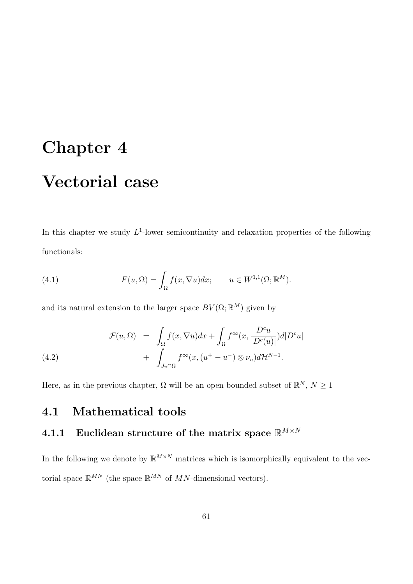# Chapter 4 Vectorial case

In this chapter we study  $L^1$ -lower semicontinuity and relaxation properties of the following functionals:

(4.1) 
$$
F(u, \Omega) = \int_{\Omega} f(x, \nabla u) dx; \qquad u \in W^{1,1}(\Omega; \mathbb{R}^{M}).
$$

and its natural extension to the larger space  $BV(\Omega;\mathbb{R}^M)$  given by

(4.2) 
$$
\mathcal{F}(u,\Omega) = \int_{\Omega} f(x,\nabla u)dx + \int_{\Omega} f^{\infty}(x,\frac{D^c u}{|D^c(u)|})d|D^c u| + \int_{J_u \cap \Omega} f^{\infty}(x,(u^+ - u^-) \otimes \nu_u)d\mathcal{H}^{N-1}.
$$

Here, as in the previous chapter,  $\Omega$  will be an open bounded subset of  $\mathbb{R}^N$ ,  $N \geq 1$ 

## 4.1 Mathematical tools

## 4.1.1 Euclidean structure of the matrix space  $\mathbb{R}^{M\times N}$

In the following we denote by  $\mathbb{R}^{M\times N}$  matrices which is isomorphically equivalent to the vectorial space  $\mathbb{R}^{MN}$  (the space  $\mathbb{R}^{MN}$  of MN-dimensional vectors).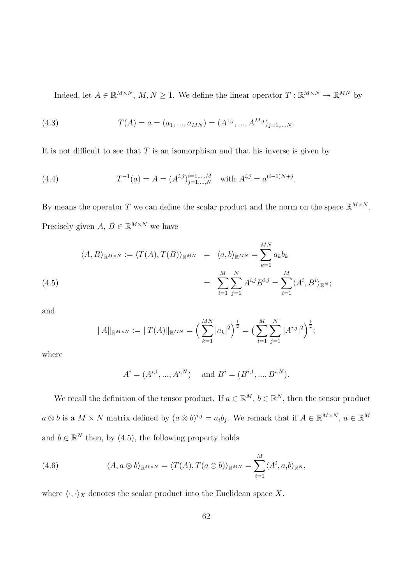Indeed, let  $A \in \mathbb{R}^{M \times N}$ ,  $M, N \ge 1$ . We define the linear operator  $T : \mathbb{R}^{M \times N} \to \mathbb{R}^{M N}$  by

(4.3) 
$$
T(A) = a = (a_1, ..., a_{MN}) = (A^{1,j}, ..., A^{M,j})_{j=1,...,N}.
$$

It is not difficult to see that  $T$  is an isomorphism and that his inverse is given by

(4.4) 
$$
T^{-1}(a) = A = (A^{i,j})_{j=1,\dots,N}^{i=1,\dots,M} \text{ with } A^{i,j} = a^{(i-1)N+j}
$$

By means the operator T we can define the scalar product and the norm on the space  $\mathbb{R}^{M\times N}$ . Precisely given  $A, B \in \mathbb{R}^{M \times N}$  we have

.

$$
\langle A, B \rangle_{\mathbb{R}^{M \times N}} := \langle T(A), T(B) \rangle_{\mathbb{R}^{M N}} = \langle a, b \rangle_{\mathbb{R}^{M N}} = \sum_{k=1}^{M N} a_k b_k
$$
  
= 
$$
\sum_{i=1}^{M} \sum_{j=1}^{N} A^{i,j} B^{i,j} = \sum_{i=1}^{M} \langle A^i, B^i \rangle_{\mathbb{R}^N};
$$

and

$$
||A||_{\mathbb{R}^{M\times N}} := ||T(A)||_{\mathbb{R}^{MN}} = \left(\sum_{k=1}^{MN} |a_k|^2\right)^{\frac{1}{2}} = \left(\sum_{i=1}^{M} \sum_{j=1}^{N} |A^{i,j}|^2\right)^{\frac{1}{2}};
$$

where

$$
A^{i} = (A^{i,1}, ..., A^{i,N})
$$
 and  $B^{i} = (B^{i,1}, ..., B^{i,N}).$ 

We recall the definition of the tensor product. If  $a \in \mathbb{R}^M$ ,  $b \in \mathbb{R}^N$ , then the tensor product  $a \otimes b$  is a  $M \times N$  matrix defined by  $(a \otimes b)^{i,j} = a_i b_j$ . We remark that if  $A \in \mathbb{R}^{M \times N}$ ,  $a \in \mathbb{R}^M$ and  $b \in \mathbb{R}^N$  then, by (4.5), the following property holds

(4.6) 
$$
\langle A, a \otimes b \rangle_{\mathbb{R}^{M \times N}} = \langle T(A), T(a \otimes b) \rangle_{\mathbb{R}^{M N}} = \sum_{i=1}^{M} \langle A^i, a_i b \rangle_{\mathbb{R}^N},
$$

where  $\langle \cdot, \cdot \rangle_X$  denotes the scalar product into the Euclidean space X.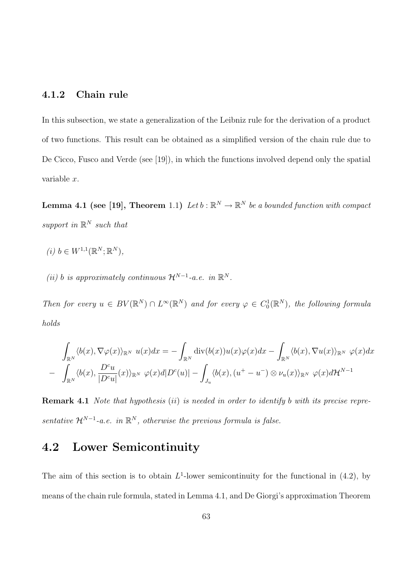## 4.1.2 Chain rule

In this subsection, we state a generalization of the Leibniz rule for the derivation of a product of two functions. This result can be obtained as a simplified version of the chain rule due to De Cicco, Fusco and Verde (see [19]), in which the functions involved depend only the spatial variable x.

**Lemma 4.1 (see [19], Theorem** 1.1) Let  $b : \mathbb{R}^N \to \mathbb{R}^N$  be a bounded function with compact support in  $\mathbb{R}^N$  such that

$$
(i) b \in W^{1,1}(\mathbb{R}^N; \mathbb{R}^N),
$$

(ii) b is approximately continuous  $\mathcal{H}^{N-1}$ -a.e. in  $\mathbb{R}^N$ .

Then for every  $u \in BV(\mathbb{R}^N) \cap L^{\infty}(\mathbb{R}^N)$  and for every  $\varphi \in C_0^1(\mathbb{R}^N)$ , the following formula holds

$$
\int_{\mathbb{R}^N} \langle b(x), \nabla \varphi(x) \rangle_{\mathbb{R}^N} u(x) dx = - \int_{\mathbb{R}^N} \text{div}(b(x)) u(x) \varphi(x) dx - \int_{\mathbb{R}^N} \langle b(x), \nabla u(x) \rangle_{\mathbb{R}^N} \varphi(x) dx \n- \int_{\mathbb{R}^N} \langle b(x), \frac{D^c u}{|D^c u|}(x) \rangle_{\mathbb{R}^N} \varphi(x) d|D^c(u)| - \int_{J_u} \langle b(x), (u^+ - u^-) \otimes \nu_u(x) \rangle_{\mathbb{R}^N} \varphi(x) d\mathcal{H}^{N-1}
$$

Remark 4.1 Note that hypothesis (ii) is needed in order to identify b with its precise representative  $\mathcal{H}^{N-1}$ -a.e. in  $\mathbb{R}^N$ , otherwise the previous formula is false.

# 4.2 Lower Semicontinuity

The aim of this section is to obtain  $L^1$ -lower semicontinuity for the functional in (4.2), by means of the chain rule formula, stated in Lemma 4.1, and De Giorgi's approximation Theorem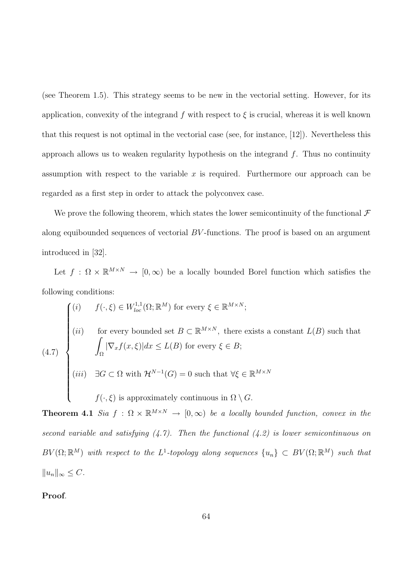(see Theorem 1.5). This strategy seems to be new in the vectorial setting. However, for its application, convexity of the integrand f with respect to  $\xi$  is crucial, whereas it is well known that this request is not optimal in the vectorial case (see, for instance, [12]). Nevertheless this approach allows us to weaken regularity hypothesis on the integrand  $f$ . Thus no continuity assumption with respect to the variable  $x$  is required. Furthermore our approach can be regarded as a first step in order to attack the polyconvex case.

We prove the following theorem, which states the lower semicontinuity of the functional  $\mathcal F$ along equibounded sequences of vectorial BV -functions. The proof is based on an argument introduced in [32].

Let  $f : \Omega \times \mathbb{R}^{M \times N} \to [0, \infty)$  be a locally bounded Borel function which satisfies the following conditions:

$$
(4.7)
$$
\n
$$
\begin{cases}\n(i) \quad f(\cdot,\xi) \in W_{loc}^{1,1}(\Omega;\mathbb{R}^M) \text{ for every } \xi \in \mathbb{R}^{M \times N}; \\
(ii) \quad \text{for every bounded set } B \subset \mathbb{R}^{M \times N}, \text{ there exists a constant } L(B) \text{ such that} \\
\int_{\Omega} |\nabla_x f(x,\xi)| dx \le L(B) \text{ for every } \xi \in B; \\
(iii) \quad \exists G \subset \Omega \text{ with } \mathcal{H}^{N-1}(G) = 0 \text{ such that } \forall \xi \in \mathbb{R}^{M \times N} \\
f(\cdot,\xi) \text{ is approximately continuous in } \Omega \setminus G.\n\end{cases}
$$

**Theorem 4.1** Sia  $f : \Omega \times \mathbb{R}^{M \times N} \to [0, \infty)$  be a locally bounded function, convex in the second variable and satisfying  $(4.7)$ . Then the functional  $(4.2)$  is lower semicontinuous on  $BV(\Omega;\mathbb R^M)$  with respect to the L<sup>1</sup>-topology along sequences  $\{u_n\} \subset BV(\Omega;\mathbb R^M)$  such that  $||u_n||_{\infty} \leq C.$ 

Proof.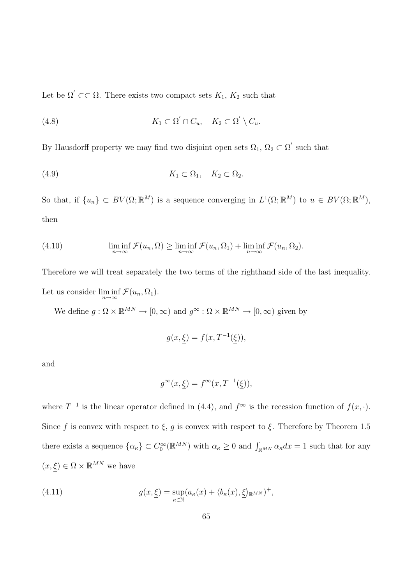Let be  $\Omega' \subset\subset \Omega$ . There exists two compact sets  $K_1$ ,  $K_2$  such that

(4.8) 
$$
K_1 \subset \Omega' \cap C_u, \quad K_2 \subset \Omega' \setminus C_u.
$$

By Hausdorff property we may find two disjoint open sets  $\Omega_1, \Omega_2 \subset \Omega'$  such that

$$
(4.9) \t K_1 \subset \Omega_1, \quad K_2 \subset \Omega_2.
$$

So that, if  $\{u_n\} \subset BV(\Omega;\mathbb{R}^M)$  is a sequence converging in  $L^1(\Omega;\mathbb{R}^M)$  to  $u \in BV(\Omega;\mathbb{R}^M)$ , then

(4.10) 
$$
\liminf_{n \to \infty} \mathcal{F}(u_n, \Omega) \geq \liminf_{n \to \infty} \mathcal{F}(u_n, \Omega_1) + \liminf_{n \to \infty} \mathcal{F}(u_n, \Omega_2).
$$

Therefore we will treat separately the two terms of the righthand side of the last inequality. Let us consider  $\liminf_{n\to\infty} \mathcal{F}(u_n,\Omega_1)$ .

We define  $g: \Omega \times \mathbb{R}^{MN} \to [0, \infty)$  and  $g^{\infty}: \Omega \times \mathbb{R}^{MN} \to [0, \infty)$  given by

$$
g(x,\xi) = f(x,T^{-1}(\xi)),
$$

and

$$
g^\infty(x,\underline{\xi})=f^\infty(x,T^{-1}(\underline{\xi})),
$$

where  $T^{-1}$  is the linear operator defined in (4.4), and  $f^{\infty}$  is the recession function of  $f(x, \cdot)$ . Since f is convex with respect to  $\xi$ , g is convex with respect to  $\xi$ . Therefore by Theorem 1.5 there exists a sequence  $\{\alpha_{\kappa}\}\subset C_0^{\infty}(\mathbb{R}^{MN})$  with  $\alpha_{\kappa}\geq 0$  and  $\int_{\mathbb{R}^{MN}}\alpha_{\kappa}dx=1$  such that for any  $(x,\xi) \in \Omega \times \mathbb{R}^{MN}$  we have

(4.11) 
$$
g(x,\underline{\xi}) = \sup_{\kappa \in \mathbb{N}} (a_{\kappa}(x) + \langle b_{\kappa}(x), \underline{\xi} \rangle_{\mathbb{R}^{MN}})^{+},
$$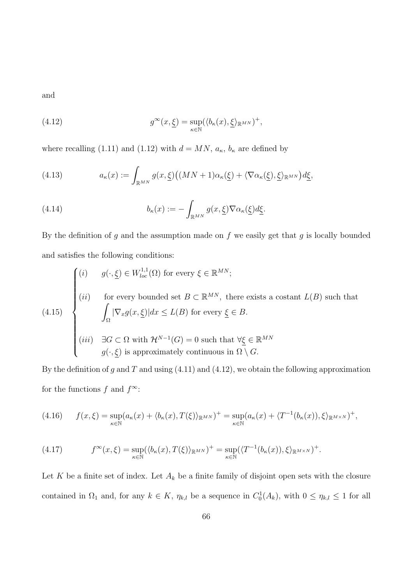and

(4.12) 
$$
g^{\infty}(x,\underline{\xi}) = \sup_{\kappa \in \mathbb{N}} (\langle b_{\kappa}(x),\underline{\xi} \rangle_{\mathbb{R}^{MN}})^{+},
$$

where recalling (1.11) and (1.12) with  $d = MN$ ,  $a_{\kappa}$ ,  $b_{\kappa}$  are defined by

(4.13) 
$$
a_{\kappa}(x) := \int_{\mathbb{R}^{MN}} g(x, \underline{\xi}) \big( (MN + 1) \alpha_{\kappa}(\underline{\xi}) + \langle \nabla \alpha_{\kappa}(\underline{\xi}), \underline{\xi} \rangle_{\mathbb{R}^{MN}} \big) d \underline{\xi},
$$

(4.14) 
$$
b_{\kappa}(x) := -\int_{\mathbb{R}^{MN}} g(x, \underline{\xi}) \nabla \alpha_{\kappa}(\underline{\xi}) d\underline{\xi}.
$$

By the definition of  $g$  and the assumption made on  $f$  we easily get that  $g$  is locally bounded and satisfies the following conditions:

$$
(4.15)
$$
\n
$$
\begin{cases}\n(i) & g(\cdot, \underline{\xi}) \in W_{loc}^{1,1}(\Omega) \text{ for every } \xi \in \mathbb{R}^{MN}; \\
(ii) & \text{for every bounded set } B \subset \mathbb{R}^{MN}, \text{ there exists a costant } L(B) \text{ such that} \\
\int_{\Omega} |\nabla_x g(x, \underline{\xi})| dx \le L(B) \text{ for every } \underline{\xi} \in B. \\
(iii) & \exists G \subset \Omega \text{ with } \mathcal{H}^{N-1}(G) = 0 \text{ such that } \forall \underline{\xi} \in \mathbb{R}^{MN} \\
g(\cdot, \underline{\xi}) \text{ is approximately continuous in } \Omega \setminus G.\n\end{cases}
$$

By the definition of g and T and using  $(4.11)$  and  $(4.12)$ , we obtain the following approximation for the functions f and  $f^{\infty}$ :

$$
(4.16) \qquad f(x,\xi) = \sup_{\kappa \in \mathbb{N}} (a_{\kappa}(x) + \langle b_{\kappa}(x), T(\xi) \rangle_{\mathbb{R}^{MN}})^{+} = \sup_{\kappa \in \mathbb{N}} (a_{\kappa}(x) + \langle T^{-1}(b_{\kappa}(x)), \xi \rangle_{\mathbb{R}^{M \times N}})^{+},
$$

(4.17) 
$$
f^{\infty}(x,\xi) = \sup_{\kappa \in \mathbb{N}} (\langle b_{\kappa}(x), T(\xi) \rangle_{\mathbb{R}^{MN}})^{+} = \sup_{\kappa \in \mathbb{N}} (\langle T^{-1}(b_{\kappa}(x)), \xi \rangle_{\mathbb{R}^{M \times N}})^{+}.
$$

Let K be a finite set of index. Let  $A_k$  be a finite family of disjoint open sets with the closure contained in  $\Omega_1$  and, for any  $k \in K$ ,  $\eta_{k,l}$  be a sequence in  $C_0^1(A_k)$ , with  $0 \leq \eta_{k,l} \leq 1$  for all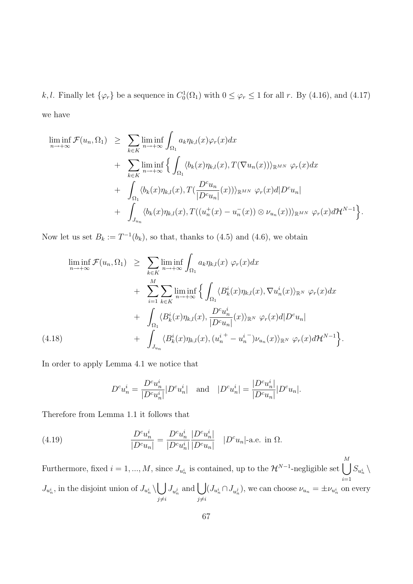k, l. Finally let  $\{\varphi_r\}$  be a sequence in  $C_0^1(\Omega_1)$  with  $0 \leq \varphi_r \leq 1$  for all r. By (4.16), and (4.17) we have

$$
\liminf_{n \to +\infty} \mathcal{F}(u_n, \Omega_1) \geq \sum_{k \in K} \liminf_{n \to +\infty} \int_{\Omega_1} a_k \eta_{k,l}(x) \varphi_r(x) dx \n+ \sum_{k \in K} \liminf_{n \to +\infty} \left\{ \int_{\Omega_1} \langle b_k(x) \eta_{k,l}(x), T(\nabla u_n(x)) \rangle_{\mathbb{R}^{MN}} \varphi_r(x) dx \n+ \int_{\Omega_1} \langle b_k(x) \eta_{k,l}(x), T(\frac{D^c u_n}{|D^c u_n|}(x)) \rangle_{\mathbb{R}^{MN}} \varphi_r(x) d|D^c u_n| \n+ \int_{J_{u_n}} \langle b_k(x) \eta_{k,l}(x), T((u_n^+(x) - u_n^-(x)) \otimes \nu_{u_n}(x)) \rangle_{\mathbb{R}^{MN}} \varphi_r(x) d\mathcal{H}^{N-1} \right\}.
$$

Now let us set  $B_k := T^{-1}(b_k)$ , so that, thanks to (4.5) and (4.6), we obtain

$$
\liminf_{n \to +\infty} \mathcal{F}(u_n, \Omega_1) \geq \sum_{k \in K} \liminf_{n \to +\infty} \int_{\Omega_1} a_k \eta_{k,l}(x) \varphi_r(x) dx \n+ \sum_{i=1}^M \sum_{k \in K} \liminf_{n \to +\infty} \left\{ \int_{\Omega_1} \langle B_k^i(x) \eta_{k,l}(x), \nabla u_n^i(x) \rangle_{\mathbb{R}^N} \varphi_r(x) dx \n+ \int_{\Omega_1} \langle B_k^i(x) \eta_{k,l}(x), \frac{D^c u_n^i}{|D^c u_n|}(x) \rangle_{\mathbb{R}^N} \varphi_r(x) d|D^c u_n| \n+ \int_{J_{u_n}} \langle B_k^i(x) \eta_{k,l}(x), (u_n^{i+} - u_n^{i-}) \nu_{u_n}(x) \rangle_{\mathbb{R}^N} \varphi_r(x) d\mathcal{H}^{N-1} \right\}.
$$

In order to apply Lemma 4.1 we notice that

$$
D^cu_n^i=\frac{D^cu_n^i}{|D^cu_n^i|}|D^cu_n^i|\quad\text{and}\quad |D^cu_n^i|=\frac{|D^cu_n^i|}{|D^cu_n|}|D^cu_n|.
$$

Therefore from Lemma 1.1 it follows that

(4.19) 
$$
\frac{D^c u_n^i}{|D^c u_n|} = \frac{D^c u_n^i}{|D^c u_n^i|} \frac{|D^c u_n^i|}{|D^c u_n|} |D^c u_n| \text{ a.e. in } \Omega.
$$

Furthermore, fixed  $i = 1, ..., M$ , since  $J_{u_n^i}$  is contained, up to the  $\mathcal{H}^{N-1}$ -negligible set  $\bigcup^M$  $i=1$  $S_{u_n^i} \setminus$  $J_{u_n^i}$ , in the disjoint union of  $J_{u_n^i} \setminus$  $\overline{a}$  $j\neq i$  $J_{u_n^j}$  and  $\bigcup$  $j\neq i$  $(J_{u_n^i} \cap J_{u_n^j})$ , we can choose  $\nu_{u_n} = \pm \nu_{u_n^i}$  on every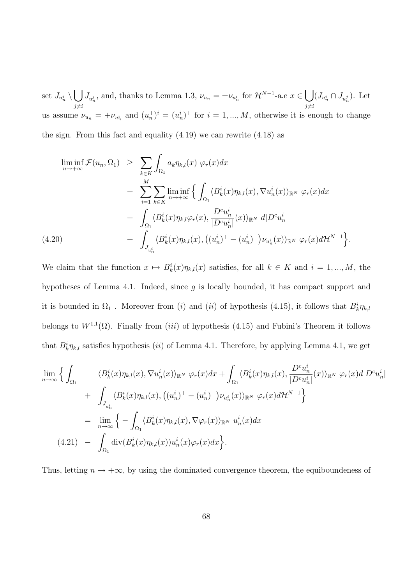set  $J_{u_n^i}\setminus$  $\overline{a}$  $j\neq i$  $J_{u_n^j}$ , and, thanks to Lemma 1.3,  $\nu_{u_n} = \pm \nu_{u_n^i}$  for  $\mathcal{H}^{N-1}$ -a.e  $x \in$  $\overline{a}$  $j\neq i$  $(J_{u_n^i} \cap J_{u_n^j})$ . Let us assume  $\nu_{u_n} = +\nu_{u_n}$  and  $(u_n^+)^i = (u_n^i)^+$  for  $i = 1, ..., M$ , otherwise it is enough to change the sign. From this fact and equality  $(4.19)$  we can rewrite  $(4.18)$  as

 $\liminf_{n\to+\infty} \mathcal{F}(u_n,\Omega_1) \geq$  $\overline{\phantom{a}}$ k∈K  $\Omega_1$  $a_k \eta_{k,l}(x) \varphi_r(x) dx$  $+$  $\frac{M}{\sqrt{M}}$  $i=1$  $\overline{\phantom{a}}$ k∈K  $\liminf_{n\to+\infty}$  $\overline{a}$  $\Omega_1$  $\langle B_k^i(x)\eta_{k,l}(x), \nabla u_n^i(x)\rangle_{\mathbb{R}^N}$   $\varphi_r(x)dx$  $+$  $\overline{\phantom{a}}$  $\Omega_1$  $\langle B_k^i(x)\eta_{k,l}\varphi_r(x),\rangle$  $D^c u_n^i$  $\frac{D^{\dagger}u_n}{|D^cu_n^i|}(x)\rangle_{\mathbb{R}^N}$   $d|D^cu_n^i|$  $+$  $\overline{J}$  $J_{u^i_{\tau}}$  $\langle B_k^i(x)\eta_{k,l}(x),\right.$ ¡  $(u_n^i)^+ - (u_n^i)^-\right)$  $\nu_{u_n^i}(x)\rangle_{\mathbb{R}^N}$   $\varphi_r(x)d\mathcal{H}^{N-1}$ (4.20)  $+ \int \langle B_k^i(x) \eta_{k,l}(x), ((u_n^i)^+ - (u_n^i)^-) \nu_{u_k^i}(x) \rangle_{\mathbb{R}^N} \varphi_r(x) d\mathcal{H}^{N-1} \rangle.$ 

n

We claim that the function  $x \mapsto B_k^i(x)\eta_{k,l}(x)$  satisfies, for all  $k \in K$  and  $i = 1, ..., M$ , the hypotheses of Lemma 4.1. Indeed, since g is locally bounded, it has compact support and it is bounded in  $\Omega_1$ . Moreover from (i) and (ii) of hypothesis (4.15), it follows that  $B_k^i \eta_{k,l}$ belongs to  $W^{1,1}(\Omega)$ . Finally from *(iii)* of hypothesis (4.15) and Fubini's Theorem it follows that  $B_k^i \eta_{k,l}$  satisfies hypothesis (*ii*) of Lemma 4.1. Therefore, by applying Lemma 4.1, we get

o

$$
\lim_{n \to \infty} \left\{ \int_{\Omega_1} \left\langle B_k^i(x) \eta_{k,l}(x), \nabla u_n^i(x) \rangle_{\mathbb{R}^N} \varphi_r(x) dx + \int_{\Omega_1} \langle B_k^i(x) \eta_{k,l}(x), \frac{D^c u_n^i}{|D^c u_n^i|}(x) \rangle_{\mathbb{R}^N} \varphi_r(x) d|D^c u_n^i| + \int_{J_{u_n^i}} \langle B_k^i(x) \eta_{k,l}(x), ((u_n^i)^+ - (u_n^i)^-) \nu_{u_n^i}(x) \rangle_{\mathbb{R}^N} \varphi_r(x) d\mathcal{H}^{N-1} \right\}
$$
\n
$$
= \lim_{n \to \infty} \left\{ - \int_{\Omega_1} \langle B_k^i(x) \eta_{k,l}(x), \nabla \varphi_r(x) \rangle_{\mathbb{R}^N} u_n^i(x) dx \right\}
$$
\n
$$
(4.21) - \int_{\Omega_1} \text{div}(B_k^i(x) \eta_{k,l}(x)) u_n^i(x) \varphi_r(x) dx \right\}.
$$

Thus, letting  $n \to +\infty$ , by using the dominated convergence theorem, the equiboundeness of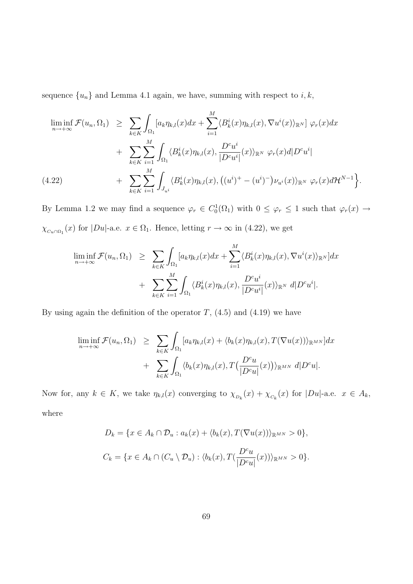sequence  ${u_n}$  and Lemma 4.1 again, we have, summing with respect to  $i, k$ ,

$$
\liminf_{n \to +\infty} \mathcal{F}(u_n, \Omega_1) \geq \sum_{k \in K} \int_{\Omega_1} [a_k \eta_{k,l}(x) dx + \sum_{i=1}^M \langle B_k^i(x) \eta_{k,l}(x), \nabla u^i(x) \rangle_{\mathbb{R}^N}] \varphi_r(x) dx + \sum_{k \in K} \sum_{i=1}^M \int_{\Omega_1} \langle B_k^i(x) \eta_{k,l}(x), \frac{D^c u^i}{|D^c u^i|}(x) \rangle_{\mathbb{R}^N} \varphi_r(x) d|D^c u^i| + \sum_{k \in K} \sum_{i=1}^M \int_{J_{u^i}} \langle B_k^i(x) \eta_{k,l}(x), ((u^i)^+ - (u^i)^-) \nu_{u^i}(x) \rangle_{\mathbb{R}^N} \varphi_r(x) d\mathcal{H}^{N-1} \Big\}.
$$

By Lemma 1.2 we may find a sequence  $\varphi_r \in C_0^1(\Omega_1)$  with  $0 \leq \varphi_r \leq 1$  such that  $\varphi_r(x) \to$  $\chi_{C_u \cap \Omega_1}(x)$  for  $|Du|$ -a.e.  $x \in \Omega_1$ . Hence, letting  $r \to \infty$  in (4.22), we get

$$
\liminf_{n \to +\infty} \mathcal{F}(u_n, \Omega_1) \geq \sum_{k \in K} \int_{\Omega_1} [a_k \eta_{k,l}(x) dx + \sum_{i=1}^M \langle B_k^i(x) \eta_{k,l}(x), \nabla u^i(x) \rangle_{\mathbb{R}^N}] dx + \sum_{k \in K} \sum_{i=1}^M \int_{\Omega_1} \langle B_k^i(x) \eta_{k,l}(x), \frac{D^c u^i}{|D^c u^i|}(x) \rangle_{\mathbb{R}^N} d|D^c u^i|.
$$

By using again the definition of the operator  $T$ ,  $(4.5)$  and  $(4.19)$  we have

$$
\liminf_{n \to +\infty} \mathcal{F}(u_n, \Omega_1) \geq \sum_{k \in K} \int_{\Omega_1} [a_k \eta_{k,l}(x) + \langle b_k(x) \eta_{k,l}(x), T(\nabla u(x)) \rangle_{\mathbb{R}^{MN}}] dx + \sum_{k \in K} \int_{\Omega_1} \langle b_k(x) \eta_{k,l}(x), T(\frac{D^c u}{|D^c u|}(x)) \rangle_{\mathbb{R}^{MN}} d|D^c u|.
$$

Now for, any  $k \in K$ , we take  $\eta_{k,l}(x)$  converging to  $\chi_{D_k}(x) + \chi_{C_k}(x)$  for  $|Du|$ -a.e.  $x \in A_k$ , where

$$
D_k = \{x \in A_k \cap \mathcal{D}_u : a_k(x) + \langle b_k(x), T(\nabla u(x)) \rangle_{\mathbb{R}^{MN}} > 0\},\
$$
  

$$
C_k = \{x \in A_k \cap (C_u \setminus \mathcal{D}_u) : \langle b_k(x), T(\frac{D^c u}{|D^c u|}(x)) \rangle_{\mathbb{R}^{MN}} > 0\}.
$$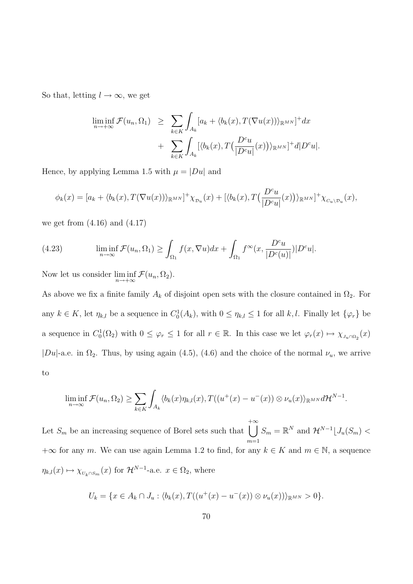So that, letting  $l \to \infty$ , we get

$$
\liminf_{n \to +\infty} \mathcal{F}(u_n, \Omega_1) \geq \sum_{k \in K} \int_{A_k} [a_k + \langle b_k(x), T(\nabla u(x)) \rangle_{\mathbb{R}^{MN}}]^+ dx + \sum_{k \in K} \int_{A_k} [\langle b_k(x), T(\frac{D^c u}{|D^c u|}(x)) \rangle_{\mathbb{R}^{MN}}]^+ d|D^c u|.
$$

Hence, by applying Lemma 1.5 with  $\mu = |Du|$  and

$$
\phi_k(x) = [a_k + \langle b_k(x), T(\nabla u(x)) \rangle_{\mathbb{R}^{MN}}]^+ \chi_{\mathcal{D}_u}(x) + [\langle b_k(x), T(\frac{D^c u}{|D^c u|}(x)) \rangle_{\mathbb{R}^{MN}}]^+ \chi_{\mathcal{C}_u \setminus \mathcal{D}_u}(x),
$$

we get from  $(4.16)$  and  $(4.17)$ 

(4.23) 
$$
\liminf_{n \to \infty} \mathcal{F}(u_n, \Omega_1) \ge \int_{\Omega_1} f(x, \nabla u) dx + \int_{\Omega_1} f^{\infty}(x, \frac{D^c u}{|D^c(u)|}) |D^c u|.
$$

Now let us consider  $\liminf_{n \to +\infty} \mathcal{F}(u_n, \Omega_2)$ .

As above we fix a finite family  $A_k$  of disjoint open sets with the closure contained in  $\Omega_2$ . For any  $k \in K$ , let  $\eta_{k,l}$  be a sequence in  $C_0^1(A_k)$ , with  $0 \leq \eta_{k,l} \leq 1$  for all  $k,l$ . Finally let  $\{\varphi_r\}$  be a sequence in  $C_0^1(\Omega_2)$  with  $0 \leq \varphi_r \leq 1$  for all  $r \in \mathbb{R}$ . In this case we let  $\varphi_r(x) \mapsto \chi_{J_u \cap \Omega_2}(x)$ |Du|-a.e. in  $\Omega_2$ . Thus, by using again (4.5), (4.6) and the choice of the normal  $\nu_u$ , we arrive to

$$
\liminf_{n\to\infty} \mathcal{F}(u_n,\Omega_2) \ge \sum_{k\in K} \int_{A_k} \langle b_k(x)\eta_{k,l}(x), T((u^+(x)-u^-(x))\otimes \nu_u(x))_{\mathbb{R}^{MN}}d\mathcal{H}^{N-1}.
$$

Let  $S_m$  be an increasing sequence of Borel sets such that  $+\infty$  $m=1$  $S_m = \mathbb{R}^N$  and  $\mathcal{H}^{N-1} \lfloor J_u(S_m) \right.$  $+\infty$  for any m. We can use again Lemma 1.2 to find, for any  $k \in K$  and  $m \in \mathbb{N}$ , a sequence  $\eta_{k,l}(x) \mapsto \chi_{_{U_k \cap S_m}}(x)$  for  $\mathcal{H}^{N-1}$ -a.e.  $x \in \Omega_2$ , where

$$
U_k = \{ x \in A_k \cap J_u : \langle b_k(x), T((u^+(x) - u^-(x)) \otimes \nu_u(x)) \rangle_{\mathbb{R}^{MN}} > 0 \}.
$$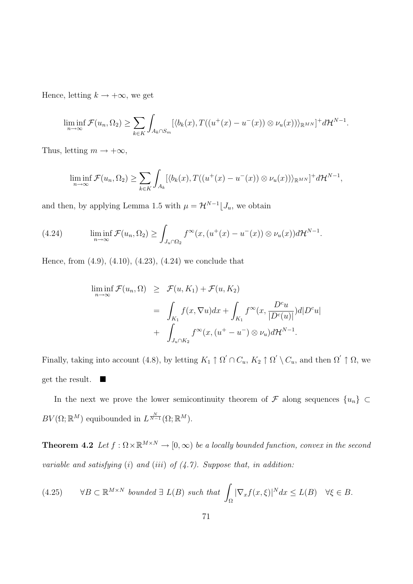Hence, letting  $k\to +\infty,$  we get

$$
\liminf_{n\to\infty} \mathcal{F}(u_n,\Omega_2) \ge \sum_{k\in K} \int_{A_k \cap S_m} [\langle b_k(x), T((u^+(x)-u^-(x)) \otimes \nu_u(x))\rangle_{\mathbb{R}^{MN}}]^+ d\mathcal{H}^{N-1}.
$$

Thus, letting  $m \to +\infty$ ,

$$
\liminf_{n\to\infty} \mathcal{F}(u_n,\Omega_2) \geq \sum_{k\in K} \int_{A_k} [\langle b_k(x),T((u^+(x)-u^-(x))\otimes \nu_u(x))\rangle_{\mathbb{R}^{MN}}]^+ d\mathcal{H}^{N-1},
$$

and then, by applying Lemma 1.5 with  $\mu = \mathcal{H}^{N-1} \bigcup J_u$ , we obtain

(4.24) 
$$
\liminf_{n \to \infty} \mathcal{F}(u_n, \Omega_2) \geq \int_{J_u \cap \Omega_2} f^{\infty}(x, (u^+(x) - u^-(x)) \otimes \nu_u(x)) d\mathcal{H}^{N-1}.
$$

Hence, from (4.9), (4.10), (4.23), (4.24) we conclude that

$$
\liminf_{n \to \infty} \mathcal{F}(u_n, \Omega) \geq \mathcal{F}(u, K_1) + \mathcal{F}(u, K_2)
$$
  
= 
$$
\int_{K_1} f(x, \nabla u) dx + \int_{K_1} f^{\infty}(x, \frac{D^c u}{|D^c(u)|}) d|D^c u|
$$
  
+ 
$$
\int_{J_u \cap K_2} f^{\infty}(x, (u^+ - u^-) \otimes \nu_u) d\mathcal{H}^{N-1}.
$$

Finally, taking into account (4.8), by letting  $K_1 \uparrow \Omega' \cap C_u$ ,  $K_2 \uparrow \Omega' \setminus C_u$ , and then  $\Omega' \uparrow \Omega$ , we get the result.  $\blacksquare$ 

In the next we prove the lower semicontinuity theorem of  $\mathcal F$  along sequences  $\{u_n\}$  ⊂  $BV(\Omega;\mathbb{R}^M)$  equibounded in  $L^{\frac{N}{N-1}}(\Omega;\mathbb{R}^M)$ .

**Theorem 4.2** Let  $f : \Omega \times \mathbb{R}^{M \times N} \to [0, \infty)$  be a locally bounded function, convex in the second variable and satisfying  $(i)$  and  $(iii)$  of  $(4.7)$ . Suppose that, in addition:

(4.25) 
$$
\forall B \subset \mathbb{R}^{M \times N} \text{ bounded } \exists L(B) \text{ such that } \int_{\Omega} |\nabla_x f(x, \xi)|^N dx \le L(B) \quad \forall \xi \in B.
$$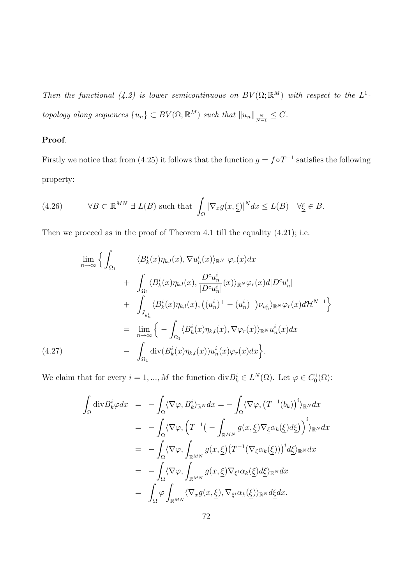Then the functional (4.2) is lower semicontinuous on  $BV(\Omega;\mathbb{R}^M)$  with respect to the  $L^1$ topology along sequences  $\{u_n\} \subset BV(\Omega;\mathbb{R}^M)$  such that  $||u_n||_{\frac{N}{N-1}} \leq C$ .

## Proof.

Firstly we notice that from (4.25) it follows that the function  $g = f \circ T^{-1}$  satisfies the following property:

(4.26) 
$$
\forall B \subset \mathbb{R}^{MN} \exists L(B) \text{ such that } \int_{\Omega} |\nabla_x g(x, \underline{\xi})|^N dx \le L(B) \quad \forall \underline{\xi} \in B.
$$

Then we proceed as in the proof of Theorem 4.1 till the equality (4.21); i.e.

$$
\lim_{n \to \infty} \Biggl\{ \int_{\Omega_1} \frac{\langle B_k^i(x)\eta_{k,l}(x), \nabla u_n^i(x)\rangle_{\mathbb{R}^N} \varphi_r(x) dx}{\int_{\Omega_1} \langle B_k^i(x)\eta_{k,l}(x), \frac{D^c u_n^i}{|D^c u_n^i|}(x)\rangle_{\mathbb{R}^N} \varphi_r(x) d|D^c u_n^i| + \int_{J_{u_n^i}} \langle B_k^i(x)\eta_{k,l}(x), ((u_n^i)^+ - (u_n^i)^-) \nu_{u_n^i}\rangle_{\mathbb{R}^N} \varphi_r(x) d\mathcal{H}^{N-1} \Biggr\}
$$
\n
$$
= \lim_{n \to \infty} \Biggl\{ -\int_{\Omega_1} \langle B_k^i(x)\eta_{k,l}(x), \nabla \varphi_r(x)\rangle_{\mathbb{R}^N} u_n^i(x) dx \Biggr\}
$$
\n(4.27)\n
$$
- \int_{\Omega_1} \text{div}(B_k^i(x)\eta_{k,l}(x)) u_n^i(x) \varphi_r(x) dx \Biggr\}.
$$

We claim that for every  $i = 1, ..., M$  the function  $\text{div} B_k^i \in L^N(\Omega)$ . Let  $\varphi \in C_0^1(\Omega)$ :

$$
\int_{\Omega} \text{div} B_k^i \varphi dx = -\int_{\Omega} \langle \nabla \varphi, B_k^i \rangle_{\mathbb{R}^N} dx = -\int_{\Omega} \langle \nabla \varphi, (T^{-1}(b_k))^i \rangle_{\mathbb{R}^N} dx \n= -\int_{\Omega} \langle \nabla \varphi, (T^{-1}(-\int_{\mathbb{R}^{MN}} g(x, \underline{\xi}) \nabla_{\underline{\xi}} \alpha_k(\underline{\xi}) d\underline{\xi}) \rangle^i)_{\mathbb{R}^N} dx \n= -\int_{\Omega} \langle \nabla \varphi, \int_{\mathbb{R}^{MN}} g(x, \underline{\xi}) (T^{-1}(\nabla_{\underline{\xi}} \alpha_k(\underline{\xi})))^i d\underline{\xi})_{\mathbb{R}^N} dx \n= -\int_{\Omega} \langle \nabla \varphi, \int_{\mathbb{R}^{MN}} g(x, \underline{\xi}) \nabla_{\xi} i \alpha_k(\underline{\xi}) d\underline{\xi})_{\mathbb{R}^N} dx \n= \int_{\Omega} \varphi \int_{\mathbb{R}^{MN}} \langle \nabla_x g(x, \underline{\xi}), \nabla_{\xi} i \alpha_k(\underline{\xi}) \rangle_{\mathbb{R}^N} d\underline{\xi} dx.
$$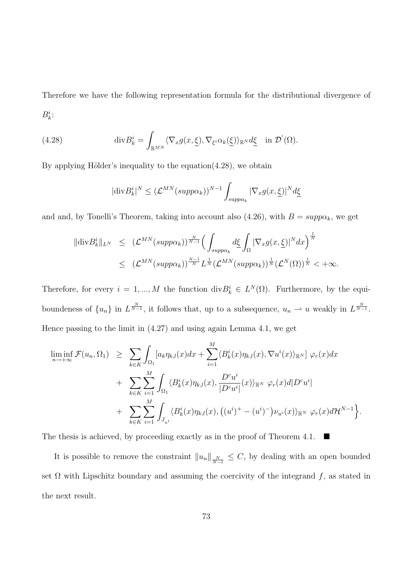Therefore we have the following representation formula for the distributional divergence of  $B_k^i$ :

(4.28) 
$$
\operatorname{div} B_k^i = \int_{\mathbb{R}^{MN}} \langle \nabla_x g(x, \underline{\xi}), \nabla_{\xi^i} \alpha_k(\underline{\xi}) \rangle_{\mathbb{R}^N} d\underline{\xi} \quad \text{in } \mathcal{D}'(\Omega).
$$

By applying Hölder's inequality to the equation $(4.28)$ , we obtain

$$
|\text{div} B_k^i|^N \le (\mathcal{L}^{MN} (supp \alpha_k))^{N-1} \int_{supp \alpha_k} |\nabla_x g(x, \underline{\xi})|^N d\underline{\xi}
$$

and and, by Tonelli's Theorem, taking into account also (4.26), with  $B = \text{supp} \alpha_k$ , we get

$$
\|\text{div} B_k^i\|_{L^N} \leq (\mathcal{L}^{MN}(\text{supp}\alpha_k))^{\frac{N}{N-1}} \Big(\int_{\text{supp}\alpha_k} d\xi \int_{\Omega} |\nabla_x g(x,\xi)|^N dx\Big)^{\frac{1}{N}} \leq (\mathcal{L}^{MN}(\text{supp}\alpha_k))^{\frac{N-1}{N}} L^{\frac{1}{N}}(\mathcal{L}^{MN}(\text{supp}\alpha_k))^{\frac{1}{N}}(\mathcal{L}^{N}(\Omega))^{\frac{1}{N}} < +\infty.
$$

Therefore, for every  $i = 1, ..., M$  the function  $\text{div} B_k^i \in L^N(\Omega)$ . Furthermore, by the equiboundeness of  $\{u_n\}$  in  $L^{\frac{N}{N-1}}$ , it follows that, up to a subsequence,  $u_n \rightharpoonup u$  weakly in  $L^{\frac{N}{N-1}}$ . Hence passing to the limit in (4.27) and using again Lemma 4.1, we get

$$
\liminf_{n \to +\infty} \mathcal{F}(u_n, \Omega_1) \geq \sum_{k \in K} \int_{\Omega_1} [a_k \eta_{k,l}(x) dx + \sum_{i=1}^M \langle B_k^i(x) \eta_{k,l}(x), \nabla u^i(x) \rangle_{\mathbb{R}^N}] \varphi_r(x) dx + \sum_{k \in K} \sum_{i=1}^M \int_{\Omega_1} \langle B_k^i(x) \eta_{k,l}(x), \frac{D^c u^i}{|D^c u^i|}(x) \rangle_{\mathbb{R}^N} \varphi_r(x) d|D^c u^i| + \sum_{k \in K} \sum_{i=1}^M \int_{J_{u^i}} \langle B_k^i(x) \eta_{k,l}(x), ((u^i)^+ - (u^i)^-) \nu_{u^i}(x) \rangle_{\mathbb{R}^N} \varphi_r(x) d\mathcal{H}^{N-1} \Big\}.
$$

The thesis is achieved, by proceeding exactly as in the proof of Theorem 4.1.  $\blacksquare$ 

It is possible to remove the constraint  $||u_n||_{\frac{N}{N-1}} \leq C$ , by dealing with an open bounded set  $\Omega$  with Lipschitz boundary and assuming the coercivity of the integrand f, as stated in the next result.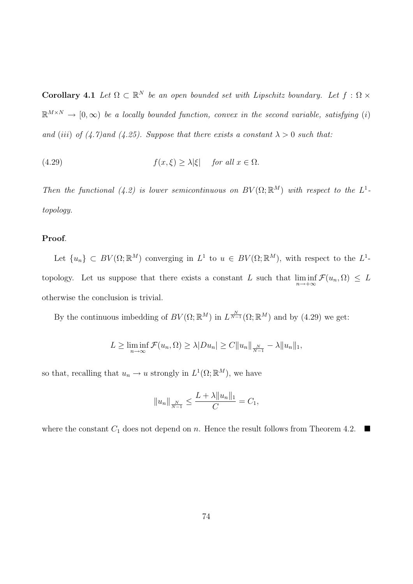**Corollary 4.1** Let  $\Omega \subset \mathbb{R}^N$  be an open bounded set with Lipschitz boundary. Let  $f : \Omega \times$  $\mathbb{R}^{M\times N} \to [0,\infty)$  be a locally bounded function, convex in the second variable, satisfying (i) and (iii) of (4.7)and (4.25). Suppose that there exists a constant  $\lambda > 0$  such that:

(4.29) 
$$
f(x,\xi) \ge \lambda |\xi| \quad \text{for all } x \in \Omega.
$$

Then the functional (4.2) is lower semicontinuous on  $BV(\Omega;\mathbb{R}^M)$  with respect to the  $L^1$ topology.

#### Proof.

Let  $\{u_n\} \subset BV(\Omega;\mathbb{R}^M)$  converging in  $L^1$  to  $u \in BV(\Omega;\mathbb{R}^M)$ , with respect to the  $L^1$ topology. Let us suppose that there exists a constant L such that  $\liminf_{n\to+\infty} \mathcal{F}(u_n,\Omega) \leq L$ otherwise the conclusion is trivial.

By the continuous imbedding of  $BV(\Omega;\mathbb{R}^M)$  in  $L^{\frac{N}{N-1}}(\Omega;\mathbb{R}^M)$  and by (4.29) we get:

$$
L \geq \liminf_{n \to \infty} \mathcal{F}(u_n, \Omega) \geq \lambda |Du_n| \geq C ||u_n||_{\frac{N}{N-1}} - \lambda ||u_n||_1,
$$

so that, recalling that  $u_n \to u$  strongly in  $L^1(\Omega;\mathbb{R}^M)$ , we have

$$
||u_n||_{\frac{N}{N-1}} \le \frac{L + \lambda ||u_n||_1}{C} = C_1,
$$

where the constant  $C_1$  does not depend on n. Hence the result follows from Theorem 4.2.  $\blacksquare$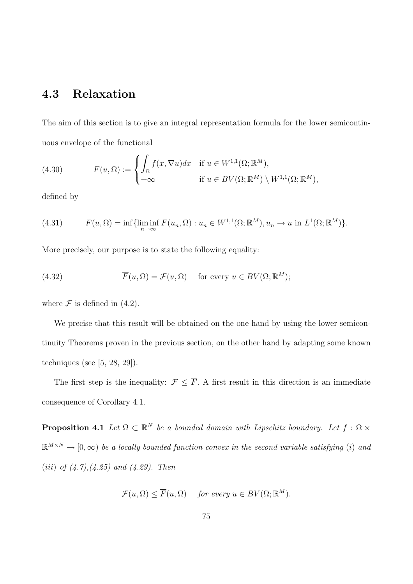# 4.3 Relaxation

The aim of this section is to give an integral representation formula for the lower semicontinuous envelope of the functional

(4.30) 
$$
F(u, \Omega) := \begin{cases} \int_{\Omega} f(x, \nabla u) dx & \text{if } u \in W^{1,1}(\Omega; \mathbb{R}^{M}), \\ +\infty & \text{if } u \in BV(\Omega; \mathbb{R}^{M}) \setminus W^{1,1}(\Omega; \mathbb{R}^{M}), \end{cases}
$$

defined by

(4.31) 
$$
\overline{F}(u,\Omega) = \inf \{ \liminf_{n \to \infty} F(u_n,\Omega) : u_n \in W^{1,1}(\Omega; \mathbb{R}^M), u_n \to u \text{ in } L^1(\Omega; \mathbb{R}^M) \}.
$$

More precisely, our purpose is to state the following equality:

(4.32) 
$$
\overline{F}(u,\Omega) = \mathcal{F}(u,\Omega) \quad \text{for every } u \in BV(\Omega;\mathbb{R}^M);
$$

where  $\mathcal F$  is defined in (4.2).

We precise that this result will be obtained on the one hand by using the lower semicontinuity Theorems proven in the previous section, on the other hand by adapting some known techniques (see [5, 28, 29]).

The first step is the inequality:  $\mathcal{F} \leq \overline{F}$ . A first result in this direction is an immediate consequence of Corollary 4.1.

**Proposition 4.1** Let  $\Omega \subset \mathbb{R}^N$  be a bounded domain with Lipschitz boundary. Let  $f : \Omega \times$  $\mathbb{R}^{M\times N} \to [0,\infty)$  be a locally bounded function convex in the second variable satisfying (i) and (*iii*) of  $(4.7)$ , $(4.25)$  and  $(4.29)$ . Then

 $\mathcal{F}(u,\Omega) \leq \overline{F}(u,\Omega)$  for every  $u \in BV(\Omega;\mathbb{R}^M)$ .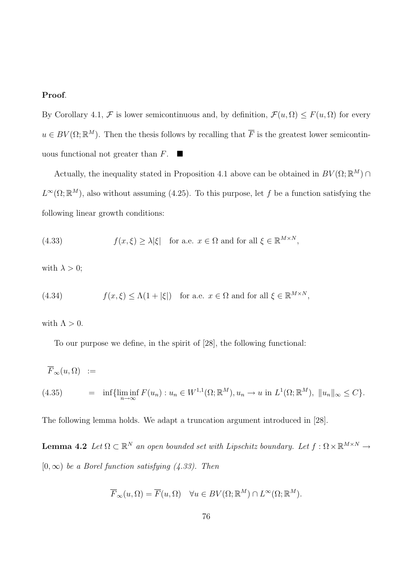## Proof.

By Corollary 4.1,  $\mathcal F$  is lower semicontinuous and, by definition,  $\mathcal F(u,\Omega) \leq F(u,\Omega)$  for every  $u \in BV(\Omega;\mathbb{R}^M)$ . Then the thesis follows by recalling that  $\overline{F}$  is the greatest lower semicontinuous functional not greater than  $F$ .

Actually, the inequality stated in Proposition 4.1 above can be obtained in  $BV(\Omega;\mathbb{R}^M) \cap$  $L^{\infty}(\Omega;\mathbb{R}^M)$ , also without assuming (4.25). To this purpose, let f be a function satisfying the following linear growth conditions:

(4.33) 
$$
f(x,\xi) \ge \lambda |\xi| \text{ for a.e. } x \in \Omega \text{ and for all } \xi \in \mathbb{R}^{M \times N},
$$

with  $\lambda > 0$ ;

(4.34) 
$$
f(x,\xi) \le \Lambda(1+|\xi|) \text{ for a.e. } x \in \Omega \text{ and for all } \xi \in \mathbb{R}^{M \times N},
$$

with  $\Lambda > 0$ .

To our purpose we define, in the spirit of [28], the following functional:

$$
\overline{F}_{\infty}(u,\Omega) :=
$$
\n
$$
(4.35) = \inf\{\liminf_{n\to\infty} F(u_n) : u_n \in W^{1,1}(\Omega; \mathbb{R}^M), u_n \to u \text{ in } L^1(\Omega; \mathbb{R}^M), ||u_n||_{\infty} \le C\}.
$$

The following lemma holds. We adapt a truncation argument introduced in [28].

**Lemma 4.2** Let  $\Omega \subset \mathbb{R}^N$  an open bounded set with Lipschitz boundary. Let  $f : \Omega \times \mathbb{R}^{M \times N} \to$  $[0, \infty)$  be a Borel function satisfying (4.33). Then

$$
\overline{F}_{\infty}(u,\Omega) = \overline{F}(u,\Omega) \quad \forall u \in BV(\Omega;\mathbb{R}^M) \cap L^{\infty}(\Omega;\mathbb{R}^M).
$$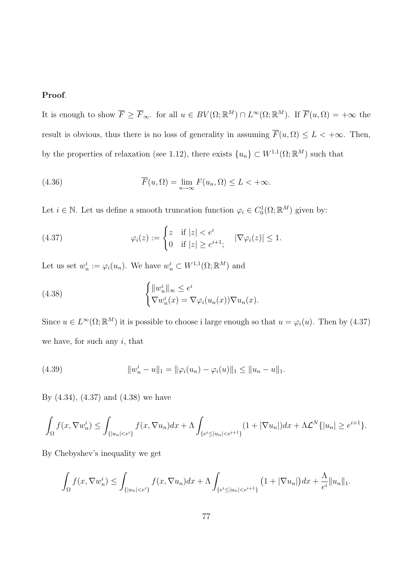# Proof.

It is enough to show  $\overline{F} \geq \overline{F}_{\infty}$ . for all  $u \in BV(\Omega;\mathbb{R}^M) \cap L^{\infty}(\Omega;\mathbb{R}^M)$ . If  $\overline{F}(u,\Omega) = +\infty$  the result is obvious, thus there is no loss of generality in assuming  $\overline{F}(u, \Omega) \leq L < +\infty$ . Then, by the properties of relaxation (see 1.12), there exists  $\{u_n\} \subset W^{1,1}(\Omega;\mathbb{R}^M)$  such that

(4.36) 
$$
\overline{F}(u,\Omega) = \lim_{n \to \infty} F(u_n,\Omega) \le L < +\infty.
$$

Let  $i \in \mathbb{N}$ . Let us define a smooth truncation function  $\varphi_i \in C_0^1(\Omega;\mathbb{R}^M)$  given by:

(4.37) 
$$
\varphi_i(z) := \begin{cases} z & \text{if } |z| < e^i \\ 0 & \text{if } |z| \ge e^{i+1}, \end{cases} \quad |\nabla \varphi_i(z)| \le 1.
$$

Let us set  $w_n^i := \varphi_i(u_n)$ . We have  $w_n^i \subset W^{1,1}(\Omega;\mathbb{R}^M)$  and

(4.38) 
$$
\begin{cases} ||w_n^i||_{\infty} \le e^i \\ \nabla w_n^i(x) = \nabla \varphi_i(u_n(x)) \nabla u_n(x). \end{cases}
$$

Since  $u \in L^{\infty}(\Omega; \mathbb{R}^M)$  it is possible to choose i large enough so that  $u = \varphi_i(u)$ . Then by (4.37) we have, for such any  $i$ , that

(4.39) 
$$
||w_n^i - u||_1 = ||\varphi_i(u_n) - \varphi_i(u)||_1 \le ||u_n - u||_1.
$$

By (4.34), (4.37) and (4.38) we have

$$
\int_{\Omega} f(x, \nabla w_n^i) \leq \int_{\{|u_n| < e^i\}} f(x, \nabla u_n) dx + \Lambda \int_{\{e^i \leq |u_n| < e^{i+1}\}} (1 + |\nabla u_n|) dx + \Lambda \mathcal{L}^N \{|u_n| \geq e^{i+1}\}.
$$

By Chebyshev's inequality we get

$$
\int_{\Omega} f(x, \nabla w_n^i) \leq \int_{\{|u_n| < e^i\}} f(x, \nabla u_n) dx + \Lambda \int_{\{e^i \leq |u_n| < e^{i+1}\}} \left(1 + |\nabla u_n|\right) dx + \frac{\Lambda}{e^i} \|u_n\|_1.
$$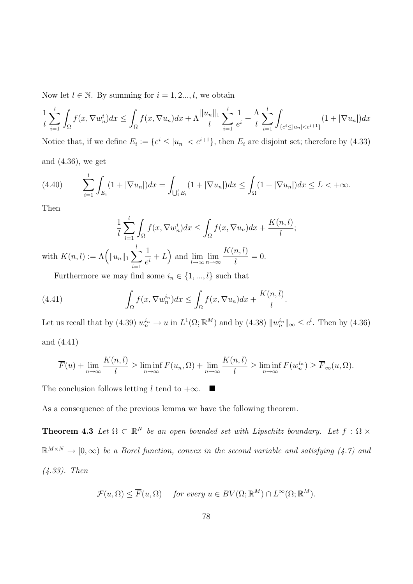Now let  $l \in \mathbb{N}$ . By summing for  $i = 1, 2..., l$ , we obtain

$$
\frac{1}{l} \sum_{i=1}^{l} \int_{\Omega} f(x, \nabla w_n^i) dx \le \int_{\Omega} f(x, \nabla u_n) dx + \Lambda \frac{\|u_n\|_1}{l} \sum_{i=1}^{l} \frac{1}{e^i} + \frac{\Lambda}{l} \sum_{i=1}^{l} \int_{\{e^i \le |u_n| < e^{i+1}\}} (1 + |\nabla u_n|) dx
$$

Notice that, if we define  $E_i := \{e^i \le |u_n| < e^{i+1}\}$ , then  $E_i$  are disjoint set; therefore by (4.33) and (4.36), we get

;

$$
(4.40) \qquad \sum_{i=1}^{l} \int_{E_i} (1 + |\nabla u_n|) dx = \int_{\bigcup_{i}^{l} E_i} (1 + |\nabla u_n|) dx \le \int_{\Omega} (1 + |\nabla u_n|) dx \le L < +\infty.
$$

Then

$$
\frac{1}{l} \sum_{i=1}^{l} \int_{\Omega} f(x, \nabla w_n^i) dx \le \int_{\Omega} f(x, \nabla u_n) dx + \frac{K(n, l)}{l}
$$
  
with  $K(n, l) := \Lambda \Big( ||u_n||_1 \sum_{i=1}^{l} \frac{1}{e^i} + L \Big)$  and  $\lim_{l \to \infty} \lim_{n \to \infty} \frac{K(n, l)}{l} = 0.$ 

Furthermore we may find some  $i_n \in \{1, ..., l\}$  such that

(4.41) 
$$
\int_{\Omega} f(x, \nabla w_n^{i_n}) dx \leq \int_{\Omega} f(x, \nabla u_n) dx + \frac{K(n, l)}{l}.
$$

Let us recall that by (4.39)  $w_n^{i_n} \to u$  in  $L^1(\Omega;\mathbb{R}^M)$  and by (4.38)  $||w_n^{i_n}||_{\infty} \le e^l$ . Then by (4.36) and (4.41)

$$
\overline{F}(u) + \lim_{n \to \infty} \frac{K(n, l)}{l} \ge \liminf_{n \to \infty} F(u_n, \Omega) + \lim_{n \to \infty} \frac{K(n, l)}{l} \ge \liminf_{n \to \infty} F(w_n^{i_n}) \ge \overline{F}_{\infty}(u, \Omega).
$$

The conclusion follows letting l tend to  $+\infty$ .  $\blacksquare$ 

As a consequence of the previous lemma we have the following theorem.

**Theorem 4.3** Let  $\Omega \subset \mathbb{R}^N$  be an open bounded set with Lipschitz boundary. Let  $f : \Omega \times$  $\mathbb{R}^{M\times N} \to [0,\infty)$  be a Borel function, convex in the second variable and satisfying (4.7) and (4.33). Then

$$
\mathcal{F}(u,\Omega) \leq \overline{F}(u,\Omega) \quad \text{ for every } u \in BV(\Omega;\mathbb{R}^M) \cap L^{\infty}(\Omega;\mathbb{R}^M).
$$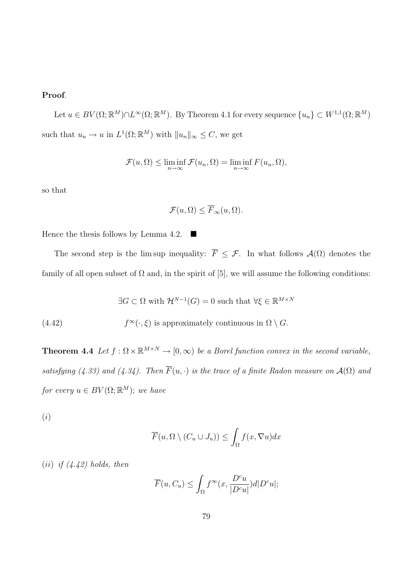# Proof.

Let  $u \in BV(\Omega;\mathbb{R}^M) \cap L^{\infty}(\Omega;\mathbb{R}^M)$ . By Theorem 4.1 for every sequence  $\{u_n\} \subset W^{1,1}(\Omega;\mathbb{R}^M)$ such that  $u_n \to u$  in  $L^1(\Omega; \mathbb{R}^M)$  with  $||u_n||_{\infty} \leq C$ , we get

$$
\mathcal{F}(u,\Omega) \le \liminf_{n\to\infty} \mathcal{F}(u_n,\Omega) = \liminf_{n\to\infty} F(u_n,\Omega),
$$

so that

$$
\mathcal{F}(u,\Omega) \leq \overline{F}_{\infty}(u,\Omega).
$$

Hence the thesis follows by Lemma 4.2.  $\blacksquare$ 

The second step is the lim sup inequality:  $\overline{F} \leq \mathcal{F}$ . In what follows  $\mathcal{A}(\Omega)$  denotes the family of all open subset of  $\Omega$  and, in the spirit of [5], we will assume the following conditions:

$$
\exists G \subset \Omega \text{ with } \mathcal{H}^{N-1}(G) = 0 \text{ such that } \forall \xi \in \mathbb{R}^{M \times N}
$$

(4.42)  $f^{\infty}(\cdot,\xi)$  is approximately continuous in  $\Omega \setminus G$ .

**Theorem 4.4** Let  $f : \Omega \times \mathbb{R}^{M \times N} \to [0, \infty)$  be a Borel function convex in the second variable, satisfying (4.33) and (4.34). Then  $\overline{F}(u, \cdot)$  is the trace of a finite Radon measure on  $\mathcal{A}(\Omega)$  and for every  $u \in BV(\Omega;\mathbb{R}^M)$ ; we have

(i)

$$
\overline{F}(u, \Omega \setminus (C_u \cup J_u)) \le \int_{\Omega} f(x, \nabla u) dx
$$

(*ii*) if  $(4.42)$  holds, then

$$
\overline{F}(u, C_u) \le \int_{\Omega} f^{\infty}(x, \frac{D^c u}{|D^c u|}) d|D^c u|;
$$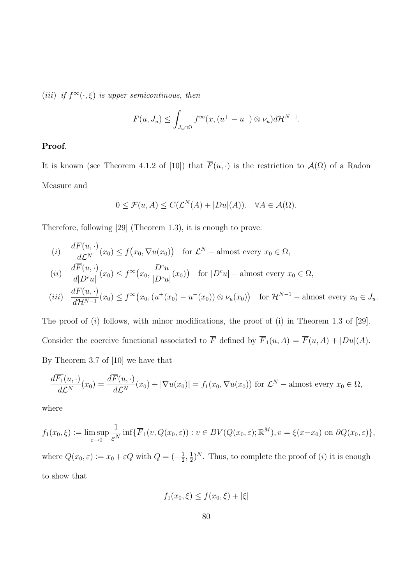(*iii*) if  $f^{\infty}(\cdot,\xi)$  is upper semicontinous, then

$$
\overline{F}(u, J_u) \le \int_{J_u \cap \Omega} f^{\infty}(x, (u^+ - u^-) \otimes \nu_u) d\mathcal{H}^{N-1}.
$$

## Proof.

It is known (see Theorem 4.1.2 of [10]) that  $\overline{F}(u, \cdot)$  is the restriction to  $\mathcal{A}(\Omega)$  of a Radon Measure and

$$
0 \le \mathcal{F}(u, A) \le C(\mathcal{L}^N(A) + |Du|(A)). \quad \forall A \in \mathcal{A}(\Omega).
$$

Therefore, following [29] (Theorem 1.3), it is enough to prove:

(i) 
$$
\frac{d\overline{F}(u, \cdot)}{d\mathcal{L}^N}(x_0) \le f(x_0, \nabla u(x_0)) \text{ for } \mathcal{L}^N-\text{almost every } x_0 \in \Omega,
$$

$$
(ii) \quad \frac{d\overline{F}(u,\cdot)}{d|D^c u|}(x_0) \le f^{\infty}(x_0,\frac{D^c u}{|D^c u|}(x_0)) \quad \text{for } |D^c u| - \text{almost every } x_0 \in \Omega,
$$

$$
(iii) \quad \frac{d\overline{F}(u,\cdot)}{d\mathcal{H}^{N-1}}(x_0) \le f^{\infty}(x_0,(u^+(x_0)-u^-(x_0)) \otimes \nu_u(x_0)) \quad \text{for } \mathcal{H}^{N-1}-\text{almost every } x_0 \in J_u.
$$

The proof of  $(i)$  follows, with minor modifications, the proof of  $(i)$  in Theorem 1.3 of [29]. Consider the coercive functional associated to  $\overline{F}$  defined by  $\overline{F}_1(u, A) = \overline{F}(u, A) + |Du|(A)$ . By Theorem 3.7 of [10] we have that

$$
\frac{d\overline{F_1}(u,\cdot)}{d\mathcal{L}^N}(x_0) = \frac{d\overline{F}(u,\cdot)}{d\mathcal{L}^N}(x_0) + |\nabla u(x_0)| = f_1(x_0, \nabla u(x_0))
$$
 for  $\mathcal{L}^N$  – almost every  $x_0 \in \Omega$ ,

where

$$
f_1(x_0, \xi) := \limsup_{\varepsilon \to 0} \frac{1}{\varepsilon^N} \inf \{ \overline{F}_1(v, Q(x_0, \varepsilon)) : v \in BV(Q(x_0, \varepsilon); \mathbb{R}^M), v = \xi(x - x_0) \text{ on } \partial Q(x_0, \varepsilon) \},
$$
  
where  $Q(x_0, \varepsilon) := x_0 + \varepsilon Q$  with  $Q = (-\frac{1}{2}, \frac{1}{2})^N$ . Thus, to complete the proof of *(i)* it is enough  
to show that

 $f_1(x_0, \xi) \leq f(x_0, \xi) + |\xi|$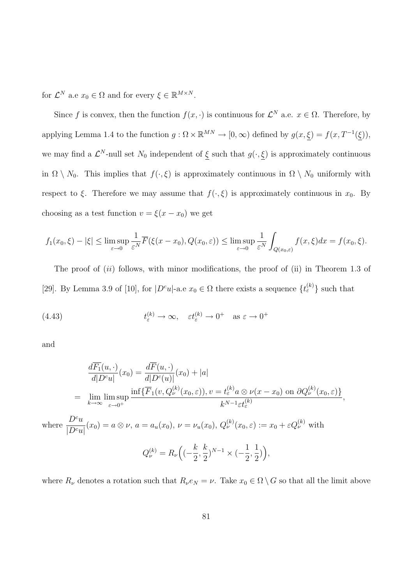for  $\mathcal{L}^N$  a.e  $x_0 \in \Omega$  and for every  $\xi \in \mathbb{R}^{M \times N}$ .

Since f is convex, then the function  $f(x, \cdot)$  is continuous for  $\mathcal{L}^N$  a.e.  $x \in \Omega$ . Therefore, by applying Lemma 1.4 to the function  $g: \Omega \times \mathbb{R}^{MN} \to [0, \infty)$  defined by  $g(x, \xi) = f(x, T^{-1}(\xi)),$ we may find a  $\mathcal{L}^N$ -null set  $N_0$  independent of  $\xi$  such that  $g(\cdot,\xi)$  is approximately continuous in  $\Omega \setminus N_0$ . This implies that  $f(\cdot, \xi)$  is approximately continuous in  $\Omega \setminus N_0$  uniformly with respect to  $\xi$ . Therefore we may assume that  $f(\cdot,\xi)$  is approximately continuous in  $x_0$ . By choosing as a test function  $v = \xi(x - x_0)$  we get

$$
f_1(x_0,\xi)-|\xi| \leq \limsup_{\varepsilon \to 0} \frac{1}{\varepsilon^N} \overline{F}(\xi(x-x_0),Q(x_0,\varepsilon)) \leq \limsup_{\varepsilon \to 0} \frac{1}{\varepsilon^N} \int_{Q(x_0,\varepsilon)} f(x,\xi) dx = f(x_0,\xi).
$$

The proof of (ii) follows, with minor modifications, the proof of (ii) in Theorem 1.3 of [29]. By Lemma 3.9 of [10], for  $|D^c u|$ -a.e  $x_0 \in \Omega$  there exists a sequence  $\{t_{\varepsilon}^{(k)}\}$  such that

(4.43) 
$$
t_{\varepsilon}^{(k)} \to \infty, \quad \varepsilon t_{\varepsilon}^{(k)} \to 0^+ \quad \text{as } \varepsilon \to 0^+
$$

and

$$
\frac{d\overline{F_1}(u, \cdot)}{d|D^c u|}(x_0) = \frac{d\overline{F}(u, \cdot)}{d|D^c(u)|}(x_0) + |a|
$$
\n
$$
= \lim_{k \to \infty} \lim_{\varepsilon \to 0^+} \frac{\inf \{ \overline{F}_1(v, Q_{\nu}^{(k)}(x_0, \varepsilon)), v = t_{\varepsilon}^{(k)} a \otimes \nu(x - x_0) \text{ on } \partial Q_{\nu}^{(k)}(x_0, \varepsilon) \}}{k^{N-1} \varepsilon t_{\varepsilon}^{(k)}} ,
$$
\nwhere\n
$$
\frac{D^c u}{|D^c u|}(x_0) = a \otimes \nu, a = a_u(x_0), \nu = \nu_u(x_0), Q_{\nu}^{(k)}(x_0, \varepsilon) := x_0 + \varepsilon Q_{\nu}^{(k)}
$$
\nwith\n
$$
Q_{\nu}^{(k)} = R_{\nu} \left( (-\frac{k}{2}, \frac{k}{2})^{N-1} \times (-\frac{1}{2}, \frac{1}{2}) \right),
$$

where  $R_{\nu}$  denotes a rotation such that  $R_{\nu}e_N = \nu$ . Take  $x_0 \in \Omega \setminus G$  so that all the limit above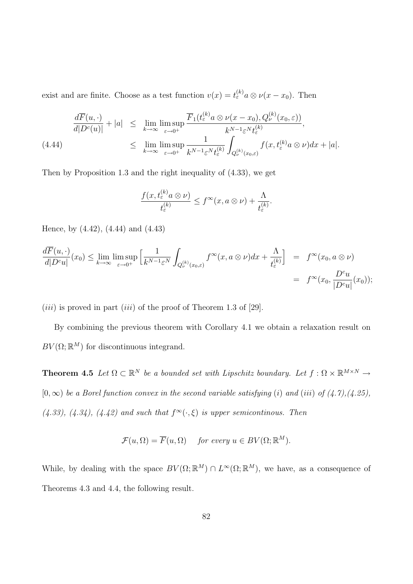exist and are finite. Choose as a test function  $v(x) = t_{\varepsilon}^{(k)} a \otimes v(x - x_0)$ . Then

$$
\frac{d\overline{F}(u,\cdot)}{d|D^c(u)|} + |a| \leq \lim_{k \to \infty} \limsup_{\varepsilon \to 0^+} \frac{\overline{F}_1(t_\varepsilon^{(k)} a \otimes \nu(x - x_0), Q_\nu^{(k)}(x_0, \varepsilon))}{k^{N-1} \varepsilon^N t_\varepsilon^{(k)}},
$$
\n
$$
\leq \lim_{k \to \infty} \limsup_{\varepsilon \to 0^+} \frac{1}{k^{N-1} \varepsilon^N t_\varepsilon^{(k)}} \int_{Q_\nu^{(k)}(x_0, \varepsilon)} f(x, t_\varepsilon^{(k)} a \otimes \nu) dx + |a|.
$$

Then by Proposition 1.3 and the right inequality of (4.33), we get

$$
\frac{f(x,t_{\varepsilon}^{(k)}a\otimes\nu)}{t_{\varepsilon}^{(k)}}\leq f^{\infty}(x,a\otimes\nu)+\frac{\Lambda}{t_{\varepsilon}^{(k)}}.
$$

Hence, by (4.42), (4.44) and (4.43)

$$
\frac{d\overline{F}(u,\cdot)}{d|D^c u|}(x_0) \le \lim_{k \to \infty} \limsup_{\varepsilon \to 0^+} \left[ \frac{1}{k^{N-1} \varepsilon^N} \int_{Q_{\nu}^{(k)}(x_0,\varepsilon)} f^{\infty}(x, a \otimes \nu) dx + \frac{\Lambda}{t_{\varepsilon}^{(k)}} \right] = f^{\infty}(x_0, a \otimes \nu)
$$
  
=  $f^{\infty}(x_0, \frac{D^c u}{|D^c u|}(x_0));$ 

(*iii*) is proved in part (*iii*) of the proof of Theorem 1.3 of [29].

By combining the previous theorem with Corollary 4.1 we obtain a relaxation result on  $BV(\Omega;\mathbb{R}^M)$  for discontinuous integrand.

**Theorem 4.5** Let  $\Omega \subset \mathbb{R}^N$  be a bounded set with Lipschitz boundary. Let  $f : \Omega \times \mathbb{R}^{M \times N} \to$  $[0, \infty)$  be a Borel function convex in the second variable satisfying (i) and (iii) of  $(4.7)$ ,  $(4.25)$ ,  $(4.33), (4.34), (4.42)$  and such that  $f^{\infty}(\cdot,\xi)$  is upper semicontinous. Then

$$
\mathcal{F}(u,\Omega) = \overline{F}(u,\Omega) \quad \text{ for every } u \in BV(\Omega;\mathbb{R}^M).
$$

While, by dealing with the space  $BV(\Omega;\mathbb{R}^M) \cap L^{\infty}(\Omega;\mathbb{R}^M)$ , we have, as a consequence of Theorems 4.3 and 4.4, the following result.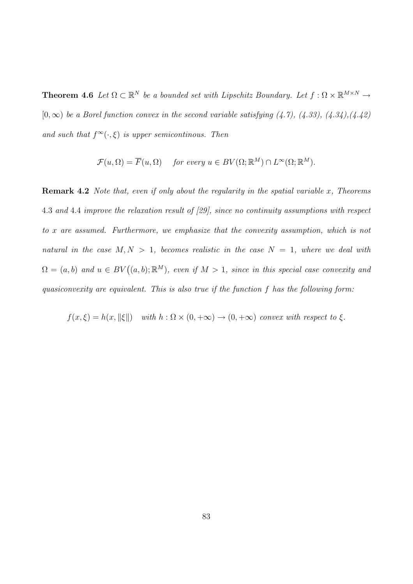**Theorem 4.6** Let  $\Omega \subset \mathbb{R}^N$  be a bounded set with Lipschitz Boundary. Let  $f : \Omega \times \mathbb{R}^{M \times N} \to$  $[0, \infty)$  be a Borel function convex in the second variable satisfying  $(4.7)$ ,  $(4.33)$ ,  $(4.34)$ ,  $(4.42)$ and such that  $f^{\infty}(\cdot,\xi)$  is upper semicontinous. Then

$$
\mathcal{F}(u,\Omega) = \overline{F}(u,\Omega) \quad \text{ for every } u \in BV(\Omega;\mathbb{R}^M) \cap L^{\infty}(\Omega;\mathbb{R}^M).
$$

**Remark 4.2** Note that, even if only about the regularity in the spatial variable x, Theorems 4.3 and 4.4 improve the relaxation result of [29], since no continuity assumptions with respect to x are assumed. Furthermore, we emphasize that the convexity assumption, which is not natural in the case  $M, N > 1$ , becomes realistic in the case  $N = 1$ , where we deal with  $\Omega = (a, b)$  and  $u \in BV((a, b); \mathbb{R}^M)$ , even if  $M > 1$ , since in this special case convexity and quasiconvexity are equivalent. This is also true if the function f has the following form:

$$
f(x,\xi) = h(x, \|\xi\|)
$$
 with  $h : \Omega \times (0, +\infty) \to (0, +\infty)$  convex with respect to  $\xi$ .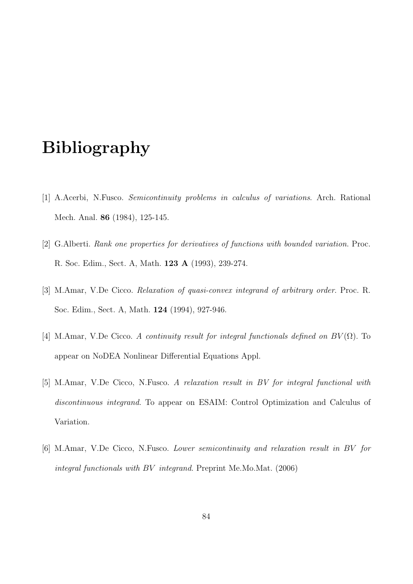# Bibliography

- [1] A.Acerbi, N.Fusco. Semicontinuity problems in calculus of variations. Arch. Rational Mech. Anal. 86 (1984), 125-145.
- [2] G.Alberti. Rank one properties for derivatives of functions with bounded variation. Proc. R. Soc. Edim., Sect. A, Math. 123 A (1993), 239-274.
- [3] M.Amar, V.De Cicco. Relaxation of quasi-convex integrand of arbitrary order. Proc. R. Soc. Edim., Sect. A, Math. 124 (1994), 927-946.
- [4] M.Amar, V.De Cicco. A continuity result for integral functionals defined on  $BV(\Omega)$ . To appear on NoDEA Nonlinear Differential Equations Appl.
- [5] M.Amar, V.De Cicco, N.Fusco. A relaxation result in BV for integral functional with discontinuous integrand. To appear on ESAIM: Control Optimization and Calculus of Variation.
- [6] M.Amar, V.De Cicco, N.Fusco. Lower semicontinuity and relaxation result in BV for integral functionals with BV integrand. Preprint Me.Mo.Mat. (2006)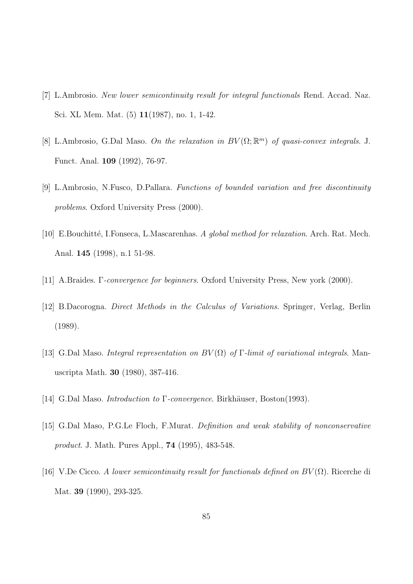- [7] L.Ambrosio. New lower semicontinuity result for integral functionals Rend. Accad. Naz. Sci. XL Mem. Mat. (5) 11(1987), no. 1, 1-42.
- [8] L.Ambrosio, G.Dal Maso. On the relaxation in  $BV(\Omega;\mathbb{R}^m)$  of quasi-convex integrals. J. Funct. Anal. 109 (1992), 76-97.
- [9] L.Ambrosio, N.Fusco, D.Pallara. Functions of bounded variation and free discontinuity problems. Oxford University Press (2000).
- [10] E.Bouchitté, I.Fonseca, L.Mascarenhas. A global method for relaxation. Arch. Rat. Mech. Anal. 145 (1998), n.1 51-98.
- [11] A.Braides. Γ-convergence for beginners. Oxford University Press, New york (2000).
- [12] B.Dacorogna. Direct Methods in the Calculus of Variations. Springer, Verlag, Berlin (1989).
- [13] G.Dal Maso. Integral representation on  $BV(\Omega)$  of Γ-limit of variational integrals. Manuscripta Math. 30 (1980), 387-416.
- [14] G.Dal Maso. *Introduction to* Γ-convergence. Birkhäuser, Boston(1993).
- [15] G.Dal Maso, P.G.Le Floch, F.Murat. Definition and weak stability of nonconservative product. J. Math. Pures Appl., 74 (1995), 483-548.
- [16] V.De Cicco. A lower semicontinuity result for functionals defined on  $BV(\Omega)$ . Ricerche di Mat. 39 (1990), 293-325.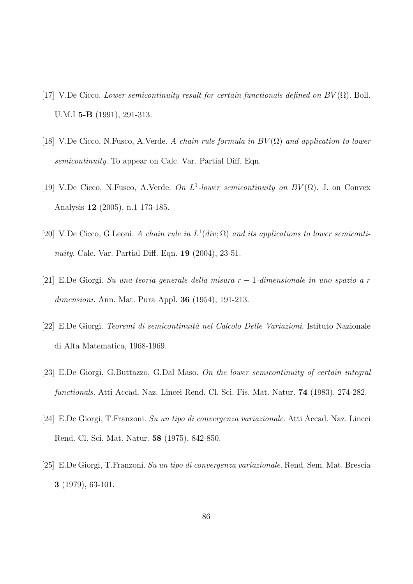- [17] V.De Cicco. Lower semicontinuity result for certain functionals defined on  $BV(\Omega)$ . Boll. U.M.I 5-B (1991), 291-313.
- [18] V.De Cicco, N.Fusco, A.Verde. A chain rule formula in  $BV(\Omega)$  and application to lower semicontinuity. To appear on Calc. Var. Partial Diff. Eqn.
- [19] V.De Cicco, N.Fusco, A.Verde. On  $L^1$ -lower semicontinuity on  $BV(\Omega)$ . J. on Convex Analysis 12 (2005), n.1 173-185.
- [20] V.De Cicco, G.Leoni. A chain rule in  $L^1(\text{div};\Omega)$  and its applications to lower semicontinuity. Calc. Var. Partial Diff. Eqn. **19** (2004), 23-51.
- [21] E.De Giorgi. Su una teoria generale della misura r − 1-dimensionale in uno spazio a r dimensioni. Ann. Mat. Pura Appl. 36 (1954), 191-213.
- [22] E.De Giorgi. Teoremi di semicontinuità nel Calcolo Delle Variazioni. Istituto Nazionale di Alta Matematica, 1968-1969.
- [23] E.De Giorgi, G.Buttazzo, G.Dal Maso. On the lower semicontinuity of certain integral functionals. Atti Accad. Naz. Lincei Rend. Cl. Sci. Fis. Mat. Natur. 74 (1983), 274-282.
- [24] E.De Giorgi, T.Franzoni. Su un tipo di convergenza variazionale. Atti Accad. Naz. Lincei Rend. Cl. Sci. Mat. Natur. 58 (1975), 842-850.
- [25] E.De Giorgi, T.Franzoni. Su un tipo di convergenza variazionale. Rend. Sem. Mat. Brescia 3 (1979), 63-101.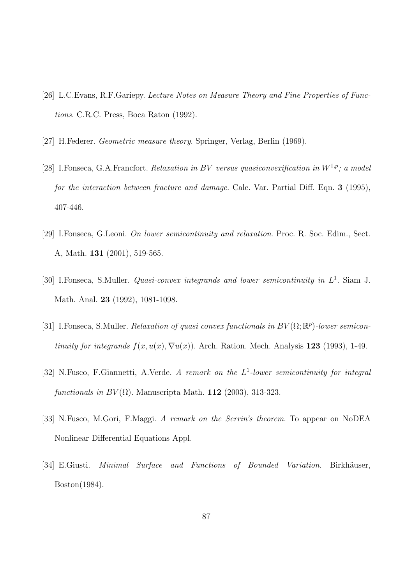- [26] L.C.Evans, R.F.Gariepy. Lecture Notes on Measure Theory and Fine Properties of Functions. C.R.C. Press, Boca Raton (1992).
- [27] H.Federer. Geometric measure theory. Springer, Verlag, Berlin (1969).
- [28] I.Fonseca, G.A.Francfort. Relaxation in BV versus quasiconvexification in  $W^{1,p}$ ; a model for the interaction between fracture and damage. Calc. Var. Partial Diff. Eqn. 3 (1995), 407-446.
- [29] I.Fonseca, G.Leoni. On lower semicontinuity and relaxation. Proc. R. Soc. Edim., Sect. A, Math. 131 (2001), 519-565.
- [30] I.Fonseca, S.Muller. *Quasi-convex integrands and lower semicontinuity in*  $L^1$ . Siam J. Math. Anal. 23 (1992), 1081-1098.
- [31] I.Fonseca, S.Muller. Relaxation of quasi convex functionals in  $BV(\Omega;\mathbb{R}^p)$ -lower semicontinuity for integrands  $f(x, u(x), \nabla u(x))$ . Arch. Ration. Mech. Analysis 123 (1993), 1-49.
- [32] N.Fusco, F.Giannetti, A.Verde. A remark on the  $L^1$ -lower semicontinuity for integral functionals in  $BV(\Omega)$ . Manuscripta Math. 112 (2003), 313-323.
- [33] N.Fusco, M.Gori, F.Maggi. A remark on the Serrin's theorem. To appear on NoDEA Nonlinear Differential Equations Appl.
- [34] E.Giusti. Minimal Surface and Functions of Bounded Variation. Birkhäuser, Boston(1984).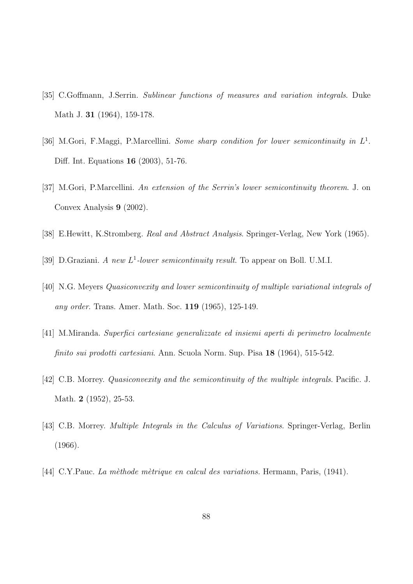- [35] C.Goffmann, J.Serrin. Sublinear functions of measures and variation integrals. Duke Math J. 31 (1964), 159-178.
- [36] M.Gori, F.Maggi, P.Marcellini. Some sharp condition for lower semicontinuity in  $L^1$ . Diff. Int. Equations 16 (2003), 51-76.
- [37] M.Gori, P.Marcellini. An extension of the Serrin's lower semicontinuity theorem. J. on Convex Analysis 9 (2002).
- [38] E.Hewitt, K.Stromberg. Real and Abstract Analysis. Springer-Verlag, New York (1965).
- [39] D.Graziani. A new  $L^1$ -lower semicontinuity result. To appear on Boll. U.M.I.
- [40] N.G. Meyers Quasiconvexity and lower semicontinuity of multiple variational integrals of any order. Trans. Amer. Math. Soc. 119 (1965), 125-149.
- [41] M.Miranda. Superfici cartesiane generalizzate ed insiemi aperti di perimetro localmente finito sui prodotti cartesiani. Ann. Scuola Norm. Sup. Pisa 18 (1964), 515-542.
- [42] C.B. Morrey. Quasiconvexity and the semicontinuity of the multiple integrals. Pacific. J. Math. 2 (1952), 25-53.
- [43] C.B. Morrey. Multiple Integrals in the Calculus of Variations. Springer-Verlag, Berlin (1966).
- [44] C.Y.Pauc. La mèthode mètrique en calcul des variations. Hermann, Paris, (1941).